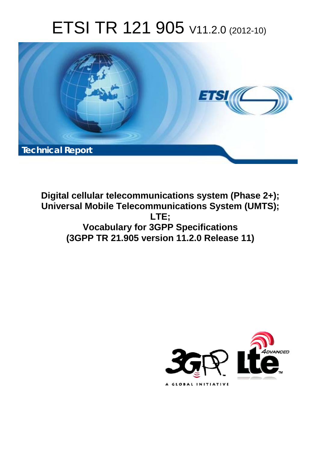# ETSI TR 121 905 V11.2.0 (2012-10)



**Digital cellular telecommunications system (Phase 2+); Universal Mobile Telecommunications System (UMTS); LTE; Vocabulary for 3GPP Specifications (3GPP TR 21.905 version 11.2.0 Release 11)** 

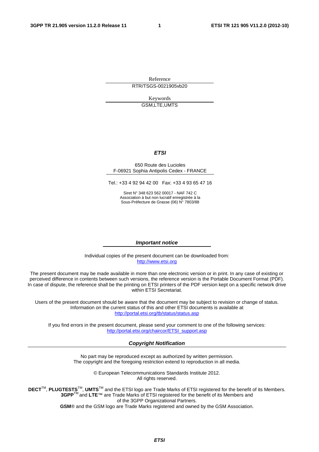Reference RTR/TSGS-0021905vb20

> Keywords GSM,LTE,UMTS

#### *ETSI*

#### 650 Route des Lucioles F-06921 Sophia Antipolis Cedex - FRANCE

Tel.: +33 4 92 94 42 00 Fax: +33 4 93 65 47 16

Siret N° 348 623 562 00017 - NAF 742 C Association à but non lucratif enregistrée à la Sous-Préfecture de Grasse (06) N° 7803/88

#### *Important notice*

Individual copies of the present document can be downloaded from: [http://www.etsi.org](http://www.etsi.org/)

The present document may be made available in more than one electronic version or in print. In any case of existing or perceived difference in contents between such versions, the reference version is the Portable Document Format (PDF). In case of dispute, the reference shall be the printing on ETSI printers of the PDF version kept on a specific network drive within ETSI Secretariat.

Users of the present document should be aware that the document may be subject to revision or change of status. Information on the current status of this and other ETSI documents is available at <http://portal.etsi.org/tb/status/status.asp>

If you find errors in the present document, please send your comment to one of the following services: [http://portal.etsi.org/chaircor/ETSI\\_support.asp](http://portal.etsi.org/chaircor/ETSI_support.asp)

#### *Copyright Notification*

No part may be reproduced except as authorized by written permission. The copyright and the foregoing restriction extend to reproduction in all media.

> © European Telecommunications Standards Institute 2012. All rights reserved.

**DECT**TM, **PLUGTESTS**TM, **UMTS**TM and the ETSI logo are Trade Marks of ETSI registered for the benefit of its Members. **3GPP**TM and **LTE**™ are Trade Marks of ETSI registered for the benefit of its Members and of the 3GPP Organizational Partners.

**GSM**® and the GSM logo are Trade Marks registered and owned by the GSM Association.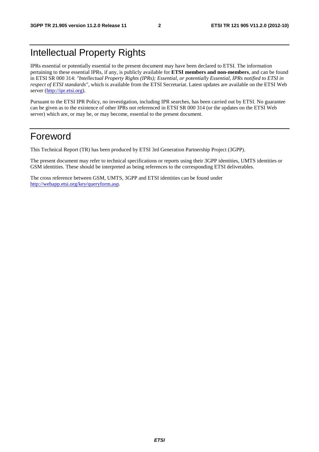### Intellectual Property Rights

IPRs essential or potentially essential to the present document may have been declared to ETSI. The information pertaining to these essential IPRs, if any, is publicly available for **ETSI members and non-members**, and can be found in ETSI SR 000 314: *"Intellectual Property Rights (IPRs); Essential, or potentially Essential, IPRs notified to ETSI in respect of ETSI standards"*, which is available from the ETSI Secretariat. Latest updates are available on the ETSI Web server [\(http://ipr.etsi.org](http://webapp.etsi.org/IPR/home.asp)).

Pursuant to the ETSI IPR Policy, no investigation, including IPR searches, has been carried out by ETSI. No guarantee can be given as to the existence of other IPRs not referenced in ETSI SR 000 314 (or the updates on the ETSI Web server) which are, or may be, or may become, essential to the present document.

### Foreword

This Technical Report (TR) has been produced by ETSI 3rd Generation Partnership Project (3GPP).

The present document may refer to technical specifications or reports using their 3GPP identities, UMTS identities or GSM identities. These should be interpreted as being references to the corresponding ETSI deliverables.

The cross reference between GSM, UMTS, 3GPP and ETSI identities can be found under [http://webapp.etsi.org/key/queryform.asp.](http://webapp.etsi.org/key/queryform.asp)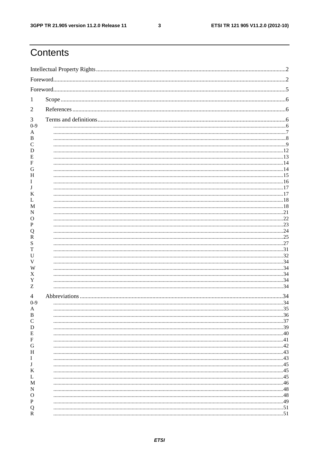$\mathbf{3}$ 

### Contents

| 2       |    |
|---------|----|
| 3       |    |
| $0 - 9$ |    |
| В       |    |
|         |    |
| D<br>Е  |    |
|         |    |
| (j      |    |
| н       |    |
|         |    |
|         |    |
| М       |    |
| N<br>O  |    |
|         |    |
|         |    |
| R       |    |
|         |    |
|         |    |
|         |    |
| Х<br>Y  |    |
| Z       |    |
| 4       |    |
| $0 - 9$ | 34 |
| А<br>В  |    |
| C       |    |
| D<br>Ε  |    |
| F       |    |
| G       |    |
| Н<br>1  |    |
| J       |    |
| Κ<br>L  |    |
| M       |    |
| N<br>O  |    |
| P       |    |
| Q       |    |
| R       |    |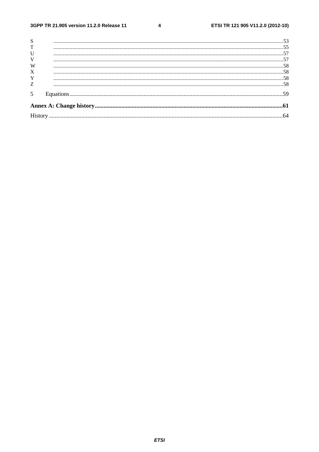#### $\overline{\mathbf{4}}$

| S           |  |
|-------------|--|
| T           |  |
| $\mathbf U$ |  |
| V           |  |
| W           |  |
| X           |  |
| Y           |  |
| Z           |  |
| 5           |  |
|             |  |
|             |  |
|             |  |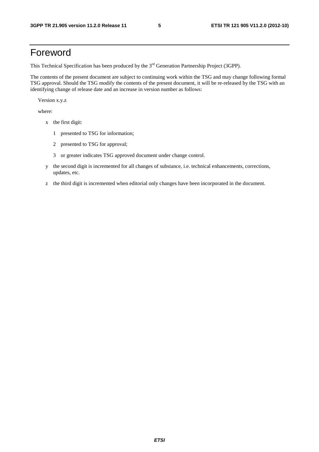### Foreword

This Technical Specification has been produced by the 3<sup>rd</sup> Generation Partnership Project (3GPP).

The contents of the present document are subject to continuing work within the TSG and may change following formal TSG approval. Should the TSG modify the contents of the present document, it will be re-released by the TSG with an identifying change of release date and an increase in version number as follows:

Version x.y.z

where:

- x the first digit:
	- 1 presented to TSG for information;
	- 2 presented to TSG for approval;
	- 3 or greater indicates TSG approved document under change control.
- y the second digit is incremented for all changes of substance, i.e. technical enhancements, corrections, updates, etc.
- z the third digit is incremented when editorial only changes have been incorporated in the document.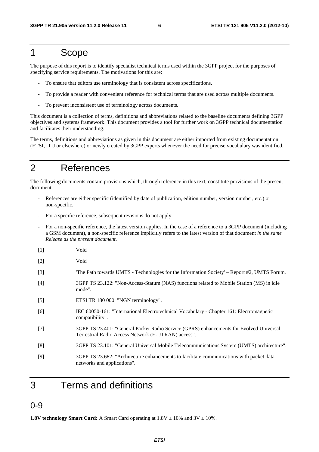### 1 Scope

The purpose of this report is to identify specialist technical terms used within the 3GPP project for the purposes of specifying service requirements. The motivations for this are:

- To ensure that editors use terminology that is consistent across specifications.
- To provide a reader with convenient reference for technical terms that are used across multiple documents.
- To prevent inconsistent use of terminology across documents.

This document is a collection of terms, definitions and abbreviations related to the baseline documents defining 3GPP objectives and systems framework. This document provides a tool for further work on 3GPP technical documentation and facilitates their understanding.

The terms, definitions and abbreviations as given in this document are either imported from existing documentation (ETSI, ITU or elsewhere) or newly created by 3GPP experts whenever the need for precise vocabulary was identified.

### 2 References

The following documents contain provisions which, through reference in this text, constitute provisions of the present document.

- References are either specific (identified by date of publication, edition number, version number, etc.) or non-specific.
- For a specific reference, subsequent revisions do not apply.
- For a non-specific reference, the latest version applies. In the case of a reference to a 3GPP document (including a GSM document), a non-specific reference implicitly refers to the latest version of that document *in the same Release as the present document*.
- [1] Void
- [2] Void
- [3] 'The Path towards UMTS Technologies for the Information Society' Report #2, UMTS Forum.
- [4] 3GPP TS 23.122: "Non-Access-Statum (NAS) functions related to Mobile Station (MS) in idle mode".
- [5] ETSI TR 180 000: "NGN terminology".
- [6] IEC 60050-161: "International Electrotechnical Vocabulary Chapter 161: Electromagnetic compatibility".
- [7] 3GPP TS 23.401: "General Packet Radio Service (GPRS) enhancements for Evolved Universal Terrestrial Radio Access Network (E-UTRAN) access".
- [8] 3GPP TS 23.101: "General Universal Mobile Telecommunications System (UMTS) architecture".
- [9] 3GPP TS 23.682: "Architecture enhancements to facilitate communications with packet data networks and applications".
- 3 Terms and definitions

#### 0-9

**1.8V technology Smart Card:** A Smart Card operating at  $1.8V \pm 10\%$  and  $3V \pm 10\%$ .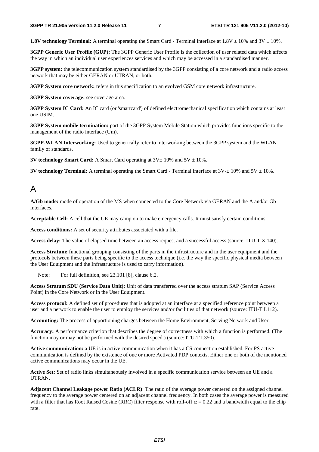**1.8V technology Terminal:** A terminal operating the Smart Card - Terminal interface at  $1.8V \pm 10\%$  and  $3V \pm 10\%$ .

**3GPP Generic User Profile (GUP):** The 3GPP Generic User Profile is the collection of user related data which affects the way in which an individual user experiences services and which may be accessed in a standardised manner.

**3GPP system:** the telecommunication system standardised by the 3GPP consisting of a core network and a radio access network that may be either GERAN or UTRAN, or both.

**3GPP System core network:** refers in this specification to an evolved GSM core network infrastructure.

**3GPP System coverage:** see coverage area.

**3GPP System IC Card:** An IC card (or 'smartcard') of defined electromechanical specification which contains at least one USIM.

**3GPP System mobile termination:** part of the 3GPP System Mobile Station which provides functions specific to the management of the radio interface (Um).

**3GPP-WLAN Interworking:** Used to generically refer to interworking between the 3GPP system and the WLAN family of standards.

**3V technology Smart Card:** A Smart Card operating at  $3V \pm 10\%$  and  $5V \pm 10\%$ .

**3V technology Terminal:** A terminal operating the Smart Card - Terminal interface at  $3V \pm 10\%$  and  $5V \pm 10\%$ .

#### A

**A/Gb mode:** mode of operation of the MS when connected to the Core Network via GERAN and the A and/or Gb interfaces.

**Acceptable Cell:** A cell that the UE may camp on to make emergency calls. It must satisfy certain conditions.

**Access conditions:** A set of security attributes associated with a file.

**Access delay:** The value of elapsed time between an access request and a successful access (source: ITU-T X.140).

**Access Stratum:** functional grouping consisting of the parts in the infrastructure and in the user equipment and the protocols between these parts being specific to the access technique (i.e. the way the specific physical media between the User Equipment and the Infrastructure is used to carry information).

Note: For full definition, see 23.101 [8], clause 6.2.

**Access Stratum SDU (Service Data Unit):** Unit of data transferred over the access stratum SAP (Service Access Point) in the Core Network or in the User Equipment.

**Access protocol:** A defined set of procedures that is adopted at an interface at a specified reference point between a user and a network to enable the user to employ the services and/or facilities of that network (source: ITU-T I.112).

**Accounting:** The process of apportioning charges between the Home Environment, Serving Network and User.

**Accuracy:** A performance criterion that describes the degree of correctness with which a function is performed. (The function may or may not be performed with the desired speed.) (source: ITU-T I.350).

**Active communication:** a UE is in active communication when it has a CS connection established. For PS active communication is defined by the existence of one or more Activated PDP contexts. Either one or both of the mentioned active communications may occur in the UE.

**Active Set:** Set of radio links simultaneously involved in a specific communication service between an UE and a UTRAN.

**Adjacent Channel Leakage power Ratio (ACLR)**: The ratio of the average power centered on the assigned channel frequency to the average power centered on an adjacent channel frequency. In both cases the average power is measured with a filter that has Root Raised Cosine (RRC) filter response with roll-off  $\alpha = 0.22$  and a bandwidth equal to the chip rate.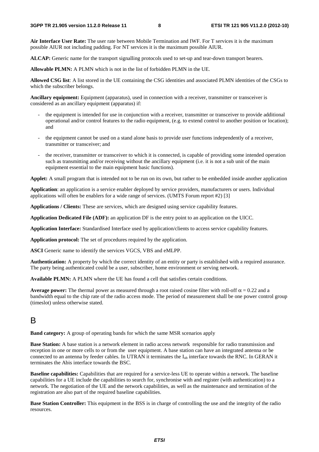**Air Interface User Rate:** The user rate between Mobile Termination and IWF. For T services it is the maximum possible AIUR not including padding. For NT services it is the maximum possible AIUR.

**ALCAP:** Generic name for the transport signalling protocols used to set-up and tear-down transport bearers.

**Allowable PLMN:** A PLMN which is not in the list of forbidden PLMN in the UE.

**Allowed CSG list**: A list stored in the UE containing the CSG identities and associated PLMN identities of the CSGs to which the subscriber belongs.

**Ancillary equipment:** Equipment (apparatus), used in connection with a receiver, transmitter or transceiver is considered as an ancillary equipment (apparatus) if:

- the equipment is intended for use in conjunction with a receiver, transmitter or transceiver to provide additional operational and/or control features to the radio equipment, (e.g. to extend control to another position or location); and
- the equipment cannot be used on a stand alone basis to provide user functions independently of a receiver, transmitter or transceiver; and
- the receiver, transmitter or transceiver to which it is connected, is capable of providing some intended operation such as transmitting and/or receiving without the ancillary equipment (i.e. it is not a sub unit of the main equipment essential to the main equipment basic functions).

**Applet:** A small program that is intended not to be run on its own, but rather to be embedded inside another application

**Application**: an application is a service enabler deployed by service providers, manufacturers or users. Individual applications will often be enablers for a wide range of services. (UMTS Forum report #2) [3]

**Applications / Clients:** These are services, which are designed using service capability features.

**Application Dedicated File (ADF):** an application DF is the entry point to an application on the UICC.

**Application Interface:** Standardised Interface used by application/clients to access service capability features.

**Application protocol:** The set of procedures required by the application.

**ASCI** Generic name to identify the services VGCS, VBS and eMLPP.

**Authentication:** A property by which the correct identity of an entity or party is established with a required assurance. The party being authenticated could be a user, subscriber, home environment or serving network.

**Available PLMN:** A PLMN where the UE has found a cell that satisfies certain conditions.

**Average power:** The thermal power as measured through a root raised cosine filter with roll-off  $\alpha = 0.22$  and a bandwidth equal to the chip rate of the radio access mode. The period of measurement shall be one power control group (timeslot) unless otherwise stated.

#### B

**Band category:** A group of operating bands for which the same MSR scenarios apply

**Base Station:** A base station is a network element in radio access network responsible for radio transmission and reception in one or more cells to or from the user equipment. A base station can have an integrated antenna or be connected to an antenna by feeder cables. In UTRAN it terminates the I<sub>ub</sub> interface towards the RNC. In GERAN it terminates the Abis interface towards the BSC.

**Baseline capabilities:** Capabilities that are required for a service-less UE to operate within a network. The baseline capabilities for a UE include the capabilities to search for, synchronise with and register (with authentication) to a network. The negotiation of the UE and the network capabilities, as well as the maintenance and termination of the registration are also part of the required baseline capabilities.

**Base Station Controller:** This equipment in the BSS is in charge of controlling the use and the integrity of the radio resources.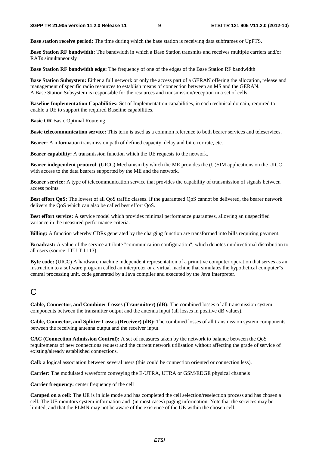**Base station receive period:** The time during which the base station is receiving data subframes or UpPTS.

**Base Station RF bandwidth:** The bandwidth in which a Base Station transmits and receives multiple carriers and/or RATs simultaneously

**Base Station RF bandwidth edge:** The frequency of one of the edges of the Base Station RF bandwidth

**Base Station Subsystem:** Either a full network or only the access part of a GERAN offering the allocation, release and management of specific radio resources to establish means of connection between an MS and the GERAN. A Base Station Subsystem is responsible for the resources and transmission/reception in a set of cells.

**Baseline Implementation Capabilities:** Set of Implementation capabilities, in each technical domain, required to enable a UE to support the required Baseline capabilities.

**Basic OR** Basic Optimal Routeing

**Basic telecommunication service:** This term is used as a common reference to both bearer services and teleservices.

**Bearer:** A information transmission path of defined capacity, delay and bit error rate, etc.

**Bearer capability:** A transmission function which the UE requests to the network.

**Bearer independent protocol**: (UICC) Mechanism by which the ME provides the (U)SIM applications on the UICC with access to the data bearers supported by the ME and the network.

**Bearer service:** A type of telecommunication service that provides the capability of transmission of signals between access points.

**Best effort QoS:** The lowest of all QoS traffic classes. If the guaranteed QoS cannot be delivered, the bearer network delivers the QoS which can also be called best effort QoS.

**Best effort service:** A service model which provides minimal performance guarantees, allowing an unspecified variance in the measured performance criteria.

**Billing:** A function whereby CDRs generated by the charging function are transformed into bills requiring payment.

**Broadcast:** A value of the service attribute "communication configuration", which denotes unidirectional distribution to all users (source: ITU-T I.113).

**Byte code:** (UICC) A hardware machine independent representation of a primitive computer operation that serves as an instruction to a software program called an interpreter or a virtual machine that simulates the hypothetical computer"s central processing unit. code generated by a Java compiler and executed by the Java interpreter.

### $\mathsf{C}$

**Cable, Connector, and Combiner Losses (Transmitter) (dB):** The combined losses of all transmission system components between the transmitter output and the antenna input (all losses in positive dB values).

**Cable, Connector, and Splitter Losses (Receiver) (dB):** The combined losses of all transmission system components between the receiving antenna output and the receiver input.

**CAC (Connection Admission Control):** A set of measures taken by the network to balance between the QoS requirements of new connections request and the current network utilisation without affecting the grade of service of existing/already established connections.

**Call:** a logical association between several users (this could be connection oriented or connection less).

**Carrier:** The modulated waveform conveying the E-UTRA, UTRA or GSM/EDGE physical channels

**Carrier frequency:** center frequency of the cell

**Camped on a cell:** The UE is in idle mode and has completed the cell selection/reselection process and has chosen a cell. The UE monitors system information and (in most cases) paging information. Note that the services may be limited, and that the PLMN may not be aware of the existence of the UE within the chosen cell.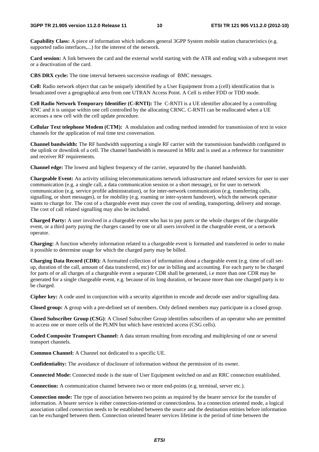**Capability Class:** A piece of information which indicates general 3GPP System mobile station characteristics (e.g. supported radio interfaces,...) for the interest of the network.

**Card session:** A link between the card and the external world starting with the ATR and ending with a subsequent reset or a deactivation of the card.

**CBS DRX cycle:** The time interval between successive readings of BMC messages.

**Cell:** Radio network object that can be uniquely identified by a User Equipment from a (cell) identification that is broadcasted over a geographical area from one UTRAN Access Point. A Cell is either FDD or TDD mode.

**Cell Radio Network Temporary Identifier (C-RNTI):** The C-RNTI is a UE identifier allocated by a controlling RNC and it is unique within one cell controlled by the allocating CRNC. C-RNTI can be reallocated when a UE accesses a new cell with the cell update procedure.

**Cellular Text telephone Modem (CTM):** A modulation and coding method intended for transmission of text in voice channels for the application of real time text conversation.

**Channel bandwidth:** The RF bandwidth supporting a single RF carrier with the transmission bandwidth configured in the uplink or downlink of a cell. The channel bandwidth is measured in MHz and is used as a reference for transmitter and receiver RF requirements.

**Channel edge:** The lowest and highest frequency of the carrier, separated by the channel bandwidth.

**Chargeable Event:** An activity utilising telecommunications network infrastructure and related services for user to user communication (e.g. a single call, a data communication session or a short message), or for user to network communication (e.g. service profile administration), or for inter-network communication (e.g. transferring calls, signalling, or short messages), or for mobility (e.g. roaming or inter-system handover), which the network operator wants to charge for. The cost of a chargeable event may cover the cost of sending, transporting, delivery and storage. The cost of call related signalling may also be included.

**Charged Party:** A user involved in a chargeable event who has to pay parts or the whole charges of the chargeable event, or a third party paying the charges caused by one or all users involved in the chargeable event, or a network operator.

**Charging:** A function whereby information related to a chargeable event is formatted and transferred in order to make it possible to determine usage for which the charged party may be billed.

**Charging Data Record (CDR):** A formatted collection of information about a chargeable event (e.g. time of call setup, duration of the call, amount of data transferred, etc) for use in billing and accounting. For each party to be charged for parts of or all charges of a chargeable event a separate CDR shall be generated, i.e more than one CDR may be generated for a single chargeable event, e.g. because of its long duration, or because more than one charged party is to be charged.

**Cipher key:** A code used in conjunction with a security algorithm to encode and decode user and/or signalling data.

**Closed group:** A group with a pre-defined set of members. Only defined members may participate in a closed group.

**Closed Subscriber Group (CSG)**: A Closed Subscriber Group identifies subscribers of an operator who are permitted to access one or more cells of the PLMN but which have restricted access (CSG cells).

**Coded Composite Transport Channel:** A data stream resulting from encoding and multiplexing of one or several transport channels.

**Common Channel:** A Channel not dedicated to a specific UE.

**Confidentiality:** The avoidance of disclosure of information without the permission of its owner.

**Connected Mode:** Connected mode is the state of User Equipment switched on and an RRC connection established.

**Connection:** A communication channel between two or more end-points (e.g. terminal, server etc.).

**Connection mode:** The type of association between two points as required by the bearer service for the transfer of information. A bearer service is either connection-oriented or connectionless. In a connection oriented mode, a logical association called *connection* needs to be established between the source and the destination entities before information can be exchanged between them. Connection oriented bearer services lifetime is the period of time between the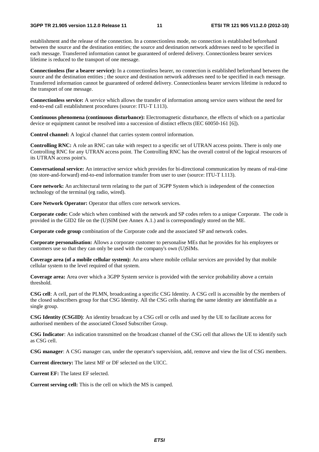establishment and the release of the connection. In a connectionless mode, no connection is established beforehand between the source and the destination entities; the source and destination network addresses need to be specified in each message. Transferred information cannot be guaranteed of ordered delivery. Connectionless bearer services lifetime is reduced to the transport of one message.

**Connectionless (for a bearer service):** In a connectionless bearer, no connection is established beforehand between the source and the destination entities ; the source and destination network addresses need to be specified in each message. Transferred information cannot be guaranteed of ordered delivery. Connectionless bearer services lifetime is reduced to the transport of one message.

**Connectionless service:** A service which allows the transfer of information among service users without the need for end-to-end call establishment procedures (source: ITU-T I.113).

**Continuous phenomena (continuous disturbance):** Electromagnetic disturbance, the effects of which on a particular device or equipment cannot be resolved into a succession of distinct effects (IEC 60050-161 [6]).

**Control channel:** A logical channel that carries system control information.

**Controlling RNC:** A role an RNC can take with respect to a specific set of UTRAN access points. There is only one Controlling RNC for any UTRAN access point. The Controlling RNC has the overall control of the logical resources of its UTRAN access point's.

**Conversational service:** An interactive service which provides for bi-directional communication by means of real-time (no store-and-forward) end-to-end information transfer from user to user (source: ITU-T I.113).

**Core network:** An architectural term relating to the part of 3GPP System which is independent of the connection technology of the terminal (eg radio, wired).

**Core Network Operator:** Operator that offers core network services.

**Corporate code:** Code which when combined with the network and SP codes refers to a unique Corporate. The code is provided in the GID2 file on the (U)SIM (see Annex A.1.) and is correspondingly stored on the ME.

**Corporate code group** combination of the Corporate code and the associated SP and network codes.

**Corporate personalisation:** Allows a corporate customer to personalise MEs that he provides for his employees or customers use so that they can only be used with the company's own (U)SIMs.

**Coverage area (of a mobile cellular system):** An area where mobile cellular services are provided by that mobile cellular system to the level required of that system.

**Coverage area:** Area over which a 3GPP System service is provided with the service probability above a certain threshold.

**CSG cell**: A cell, part of the PLMN, broadcasting a specific CSG Identity. A CSG cell is accessible by the members of the closed subscribers group for that CSG Identity. All the CSG cells sharing the same identity are identifiable as a single group.

**CSG Identity (CSGID)**: An identity broadcast by a CSG cell or cells and used by the UE to facilitate access for authorised members of the associated Closed Subscriber Group.

**CSG Indicator**: An indication transmitted on the broadcast channel of the CSG cell that allows the UE to identify such as CSG cell.

**CSG manager**: A CSG manager can, under the operator's supervision, add, remove and view the list of CSG members.

**Current directory:** The latest MF or DF selected on the UICC.

**Current EF:** The latest EF selected.

**Current serving cell:** This is the cell on which the MS is camped.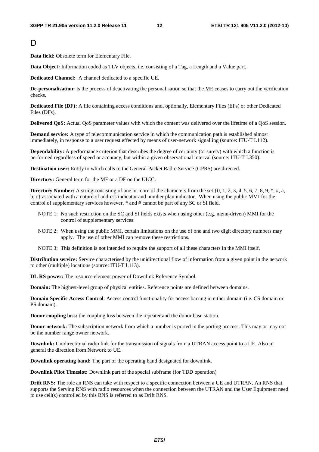#### D<sub>1</sub>

**Data field:** Obsolete term for Elementary File.

**Data Object:** Information coded as TLV objects, i.e. consisting of a Tag, a Length and a Value part.

**Dedicated Channel:** A channel dedicated to a specific UE.

**De-personalisation:** Is the process of deactivating the personalisation so that the ME ceases to carry out the verification checks.

**Dedicated File (DF):** A file containing access conditions and, optionally, Elementary Files (EFs) or other Dedicated Files (DFs).

**Delivered QoS:** Actual QoS parameter values with which the content was delivered over the lifetime of a QoS session.

**Demand service:** A type of telecommunication service in which the communication path is established almost immediately, in response to a user request effected by means of user-network signalling (source: ITU-T I.112).

**Dependability:** A performance criterion that describes the degree of certainty (or surety) with which a function is performed regardless of speed or accuracy, but within a given observational interval (source: ITU-T I.350).

**Destination user:** Entity to which calls to the General Packet Radio Service (GPRS) are directed.

**Directory:** General term for the MF or a DF on the UICC.

**Directory Number:** A string consisting of one or more of the characters from the set  $\{0, 1, 2, 3, 4, 5, 6, 7, 8, 9, *, *, a,$ b, c} associated with a nature of address indicator and number plan indicator. When using the public MMI for the control of supplementary services however, \* and # cannot be part of any SC or SI field.

- NOTE 1: No such restriction on the SC and SI fields exists when using other (e.g. menu-driven) MMI for the control of supplementary services.
- NOTE 2: When using the public MMI, certain limitations on the use of one and two digit directory numbers may apply. The use of other MMI can remove these restrictions.

NOTE 3: This definition is not intended to require the support of all these characters in the MMI itself.

**Distribution service:** Service characterised by the unidirectional flow of information from a given point in the network to other (multiple) locations (source: ITU-T I.113).

**DL RS power:** The resource element power of Downlink Reference Symbol.

**Domain:** The highest-level group of physical entities. Reference points are defined between domains.

**Domain Specific Access Control**: Access control functionality for access barring in either domain (i.e. CS domain or PS domain).

**Donor coupling loss:** the coupling loss between the repeater and the donor base station.

**Donor network:** The subscription network from which a number is ported in the porting process. This may or may not be the number range owner network.

**Downlink:** Unidirectional radio link for the transmission of signals from a UTRAN access point to a UE. Also in general the direction from Network to UE.

**Downlink operating band:** The part of the operating band designated for downlink.

**Downlink Pilot Timeslot:** Downlink part of the special subframe (for TDD operation)

**Drift RNS:** The role an RNS can take with respect to a specific connection between a UE and UTRAN. An RNS that supports the Serving RNS with radio resources when the connection between the UTRAN and the User Equipment need to use cell(s) controlled by this RNS is referred to as Drift RNS.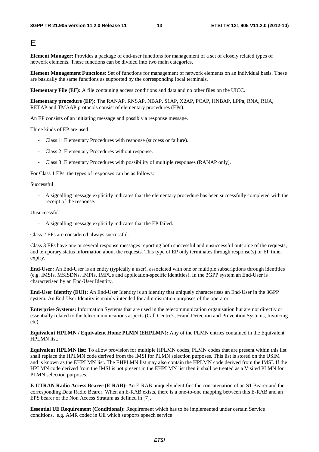#### E

**Element Manager:** Provides a package of end-user functions for management of a set of closely related types of network elements. These functions can be divided into two main categories.

**Element Management Functions:** Set of functions for management of network elements on an individual basis. These are basically the same functions as supported by the corresponding local terminals.

**Elementary File (EF):** A file containing access conditions and data and no other files on the UICC.

**Elementary procedure (EP):** The RANAP, RNSAP, NBAP, S1AP, X2AP, PCAP, HNBAP, LPPa, RNA, RUA, RETAP and TMAAP protocols consist of elementary procedures (EPs).

An EP consists of an initiating message and possibly a response message.

Three kinds of EP are used:

- Class 1: Elementary Procedures with response (success or failure).
- Class 2: Elementary Procedures without response.
- Class 3: Elementary Procedures with possibility of multiple responses (RANAP only).

For Class 1 EPs, the types of responses can be as follows:

#### Successful

- A signalling message explicitly indicates that the elementary procedure has been successfully completed with the receipt of the response.

#### Unsuccessful

- A signalling message explicitly indicates that the EP failed.

Class 2 EPs are considered always successful.

Class 3 EPs have one or several response messages reporting both successful and unsuccessful outcome of the requests, and temporary status information about the requests. This type of EP only terminates through response(s) or EP timer expiry.

**End-User:** An End-User is an entity (typically a user), associated with one or multiple subscriptions through identities (e.g. IMSIs, MSISDNs, IMPIs, IMPUs and application-specific identities). In the 3GPP system an End-User is characterised by an End-User Identity.

**End-User Identity (EUI):** An End-User Identity is an identity that uniquely characterises an End-User in the 3GPP system. An End-User Identity is mainly intended for administration purposes of the operator.

**Enterprise Systems:** Information Systems that are used in the telecommunication organisation but are not directly or essentially related to the telecommunications aspects (Call Centre's, Fraud Detection and Prevention Systems, Invoicing etc).

**Equivalent HPLMN / Equivalent Home PLMN (EHPLMN):** Any of the PLMN entries contained in the Equivalent HPLMN list.

**Equivalent HPLMN list:** To allow provision for multiple HPLMN codes, PLMN codes that are present within this list shall replace the HPLMN code derived from the IMSI for PLMN selection purposes. This list is stored on the USIM and is known as the EHPLMN list. The EHPLMN list may also contain the HPLMN code derived from the IMSI. If the HPLMN code derived from the IMSI is not present in the EHPLMN list then it shall be treated as a Visited PLMN for PLMN selection purposes.

**E-UTRAN Radio Access Bearer (E-RAB):** An E-RAB uniquely identifies the concatenation of an S1 Bearer and the corresponding Data Radio Bearer. When an E-RAB exists, there is a one-to-one mapping between this E-RAB and an EPS bearer of the Non Access Stratum as defined in [7].

**Essential UE Requirement (Conditional):** Requirement which has to be implemented under certain Service conditions. e.g. AMR codec in UE which supports speech service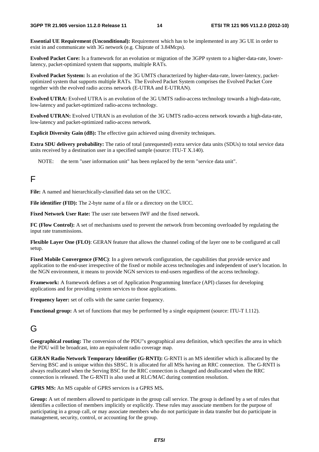**Essential UE Requirement (Unconditional):** Requirement which has to be implemented in any 3G UE in order to exist in and communicate with 3G network (e.g. Chiprate of 3.84Mcps).

**Evolved Packet Core:** Is a framework for an evolution or migration of the 3GPP system to a higher-data-rate, lowerlatency, packet-optimized system that supports, multiple RATs.

**Evolved Packet System:** Is an evolution of the 3G UMTS characterized by higher-data-rate, lower-latency, packetoptimized system that supports multiple RATs. The Evolved Packet System comprises the Evolved Packet Core together with the evolved radio access network (E-UTRA and E-UTRAN).

**Evolved UTRA:** Evolved UTRA is an evolution of the 3G UMTS radio-access technology towards a high-data-rate, low-latency and packet-optimized radio-access technology.

**Evolved UTRAN:** Evolved UTRAN is an evolution of the 3G UMTS radio-access network towards a high-data-rate, low-latency and packet-optimized radio-access network.

**Explicit Diversity Gain (dB):** The effective gain achieved using diversity techniques.

**Extra SDU delivery probability:** The ratio of total (unrequested) extra service data units (SDUs) to total service data units received by a destination user in a specified sample (source: ITU-T X.140).

NOTE: the term "user information unit" has been replaced by the term "service data unit".

#### F

**File:** A named and hierarchically-classified data set on the UICC.

**File identifier (FID):** The 2-byte name of a file or a directory on the UICC.

**Fixed Network User Rate:** The user rate between IWF and the fixed network.

**FC (Flow Control):** A set of mechanisms used to prevent the network from becoming overloaded by regulating the input rate transmissions.

**Flexible Layer One (FLO)**: GERAN feature that allows the channel coding of the layer one to be configured at call setup.

**Fixed Mobile Convergence (FMC)**: In a given network configuration, the capabilities that provide service and application to the end-user irrespective of the fixed or mobile access technologies and independent of user's location. In the NGN environment, it means to provide NGN services to end-users regardless of the access technology.

**Framework:** A framework defines a set of Application Programming Interface (API) classes for developing applications and for providing system services to those applications.

**Frequency layer:** set of cells with the same carrier frequency.

**Functional group:** A set of functions that may be performed by a single equipment (source: ITU-T I.112).

#### G

**Geographical routing:** The conversion of the PDU"s geographical area definition, which specifies the area in which the PDU will be broadcast, into an equivalent radio coverage map.

**GERAN Radio Network Temporary Identifier (G-RNTI):** G-RNTI is an MS identifier which is allocated by the Serving BSC and is unique within this SBSC. It is allocated for all MSs having an RRC connection. The G-RNTI is always reallocated when the Serving BSC for the RRC connection is changed and deallocated when the RRC connection is released. The G-RNTI is also used at RLC/MAC during contention resolution.

**GPRS MS:** An MS capable of GPRS services is a GPRS MS**.** 

**Group:** A set of members allowed to participate in the group call service. The group is defined by a set of rules that identifies a collection of members implicitly or explicitly. These rules may associate members for the purpose of participating in a group call, or may associate members who do not participate in data transfer but do participate in management, security, control, or accounting for the group.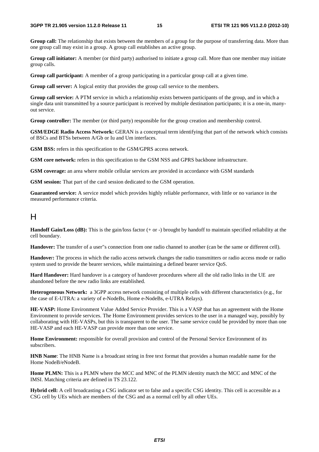**Group call:** The relationship that exists between the members of a group for the purpose of transferring data. More than one group call may exist in a group. A group call establishes an active group.

**Group call initiator:** A member (or third party) authorised to initiate a group call. More than one member may initiate group calls.

**Group call participant:** A member of a group participating in a particular group call at a given time.

**Group call server:** A logical entity that provides the group call service to the members.

**Group call service:** A PTM service in which a relationship exists between participants of the group, and in which a single data unit transmitted by a source participant is received by multiple destination participants; it is a one-in, manyout service.

**Group controller:** The member (or third party) responsible for the group creation and membership control.

**GSM/EDGE Radio Access Network:** GERAN is a conceptual term identifying that part of the network which consists of BSCs and BTSs between A/Gb or Iu and Um interfaces.

**GSM BSS:** refers in this specification to the GSM/GPRS access network.

**GSM core network:** refers in this specification to the GSM NSS and GPRS backbone infrastructure.

**GSM coverage:** an area where mobile cellular services are provided in accordance with GSM standards

**GSM session:** That part of the card session dedicated to the GSM operation.

**Guaranteed service:** A service model which provides highly reliable performance, with little or no variance in the measured performance criteria.

#### $H$

**Handoff Gain/Loss (dB):** This is the gain/loss factor (+ or -) brought by handoff to maintain specified reliability at the cell boundary.

**Handover:** The transfer of a user"s connection from one radio channel to another (can be the same or different cell).

**Handove**r**:** The process in which the radio access network changes the radio transmitters or radio access mode or radio system used to provide the bearer services, while maintaining a defined bearer service QoS.

**Hard Handover:** Hard handover is a category of handover procedures where all the old radio links in the UE are abandoned before the new radio links are established.

**Heterogeneous Network:** a 3GPP access network consisting of multiple cells with different characteristics (e.g., for the case of E-UTRA: a variety of e-NodeBs, Home e-NodeBs, e-UTRA Relays).

**HE-VASP:** Home Environment Value Added Service Provider. This is a VASP that has an agreement with the Home Environment to provide services. The Home Environment provides services to the user in a managed way, possibly by collaborating with HE-VASPs, but this is transparent to the user. The same service could be provided by more than one HE-VASP and each HE-VASP can provide more than one service.

**Home Environment:** responsible for overall provision and control of the Personal Service Environment of its subscribers.

**HNB Name**: The HNB Name is a broadcast string in free text format that provides a human readable name for the Home NodeB/eNodeB.

**Home PLMN:** This is a PLMN where the MCC and MNC of the PLMN identity match the MCC and MNC of the IMSI. Matching criteria are defined in TS 23.122.

**Hybrid cell:** A cell broadcasting a CSG indicator set to false and a specific CSG identity. This cell is accessible as a CSG cell by UEs which are members of the CSG and as a normal cell by all other UEs.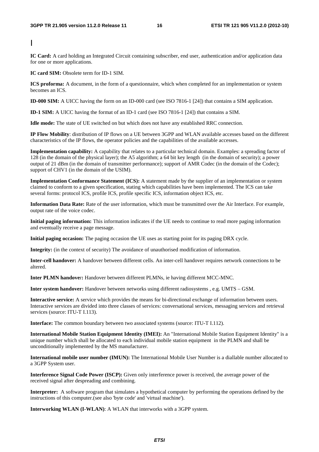I

**IC Card:** A card holding an Integrated Circuit containing subscriber, end user, authentication and/or application data for one or more applications.

**IC card SIM:** Obsolete term for ID-1 SIM.

**ICS proforma:** A document, in the form of a questionnaire, which when completed for an implementation or system becomes an ICS.

**ID-000 SIM:** A UICC having the form on an ID-000 card (see ISO 7816-1 [24]) that contains a SIM application.

**ID-1 SIM:** A UICC having the format of an ID-1 card (see ISO 7816-1 [24]) that contains a SIM.

**Idle mode:** The state of UE switched on but which does not have any established RRC connection.

**IP Flow Mobility**: distribution of IP flows on a UE between 3GPP and WLAN available accesses based on the different characteristics of the IP flows, the operator policies and the capabilities of the available accesses.

**Implementation capability:** A capability that relates to a particular technical domain. Examples: a spreading factor of 128 (in the domain of the physical layer); the A5 algorithm; a 64 bit key length (in the domain of security); a power output of 21 dBm (in the domain of transmitter performance); support of AMR Codec (in the domain of the Codec); support of CHV1 (in the domain of the USIM).

**Implementation Conformance Statement (ICS):** A statement made by the supplier of an implementation or system claimed to conform to a given specification, stating which capabilities have been implemented. The ICS can take several forms: protocol ICS, profile ICS, profile specific ICS, information object ICS, etc.

**Information Data Rate:** Rate of the user information, which must be transmitted over the Air Interface. For example, output rate of the voice codec.

**Initial paging information:** This information indicates if the UE needs to continue to read more paging information and eventually receive a page message.

**Initial paging occasion:** The paging occasion the UE uses as starting point for its paging DRX cycle.

**Integrity:** (in the context of security) The avoidance of unauthorised modification of information.

**Inter-cell handover:** A handover between different cells. An inter-cell handover requires network connections to be altered.

**Inter PLMN handove**r**:** Handover between different PLMNs, ie having different MCC-MNC.

**Inter system handover:** Handover between networks using different radiosystems , e.g. UMTS – GSM.

**Interactive service:** A service which provides the means for bi-directional exchange of information between users. Interactive services are divided into three classes of services: conversational services, messaging services and retrieval services (source: ITU-T I.113).

**Interface:** The common boundary between two associated systems (source: ITU-T I.112).

**International Mobile Station Equipment Identity (IMEI):** An "International Mobile Station Equipment Identity" is a unique number which shall be allocated to each individual mobile station equipment in the PLMN and shall be unconditionally implemented by the MS manufacturer.

**International mobile user number (IMUN):** The International Mobile User Number is a diallable number allocated to a 3GPP System user.

**Interference Signal Code Power (ISCP):** Given only interference power is received, the average power of the received signal after despreading and combining.

**Interpreter:** A software program that simulates a hypothetical computer by performing the operations defined by the instructions of this computer.(see also 'byte code' and 'virtual machine').

**Interworking WLAN (I-WLAN)**: A WLAN that interworks with a 3GPP system.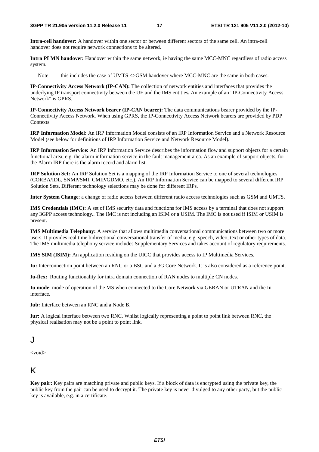**Intra-cell handover:** A handover within one sector or between different sectors of the same cell. An intra-cell handover does not require network connections to be altered.

**Intra PLMN handove**r**:** Handover within the same network, ie having the same MCC-MNC regardless of radio access system.

Note: this includes the case of UMTS  $\leq$  GSM handover where MCC-MNC are the same in both cases.

**IP-Connectivity Access Network (IP-CAN):** The collection of network entities and interfaces that provides the underlying IP transport connectivity between the UE and the IMS entities**.** An example of an "IP-Connectivity Access Network" is GPRS.

**IP-Connectivity Access Network bearer (IP-CAN bearer):** The data communications bearer provided by the IP-Connectivity Access Network. When using GPRS, the IP-Connectivity Access Network bearers are provided by PDP Contexts.

**IRP Information Model:** An IRP Information Model consists of an IRP Information Service and a Network Resource Model (see below for definitions of IRP Information Service and Network Resource Model).

**IRP Information Service:** An IRP Information Service describes the information flow and support objects for a certain functional area, e.g. the alarm information service in the fault management area. As an example of support objects, for the Alarm IRP there is the alarm record and alarm list.

**IRP Solution Set:** An IRP Solution Set is a mapping of the IRP Information Service to one of several technologies (CORBA/IDL, SNMP/SMI, CMIP/GDMO, etc.). An IRP Information Service can be mapped to several different IRP Solution Sets. Different technology selections may be done for different IRPs.

**Inter System Change**: a change of radio access between different radio access technologies such as GSM and UMTS.

**IMS Credentials (IMC):** A set of IMS security data and functions for IMS access by a terminal that does not support any 3GPP access technology.. The IMC is not including an ISIM or a USIM. The IMC is not used if ISIM or USIM is present.

**IMS Multimedia Telephony:** A service that allows multimedia conversational communications between two or more users. It provides real time bidirectional conversational transfer of media, e.g. speech, video, text or other types of data. The IMS multimedia telephony service includes Supplementary Services and takes account of regulatory requirements.

**IMS SIM (ISIM):** An application residing on the UICC that provides access to IP Multimedia Services.

**Iu:** Interconnection point between an RNC or a BSC and a 3G Core Network. It is also considered as a reference point.

**Iu-flex:** Routing functionality for intra domain connection of RAN nodes to multiple CN nodes.

**Iu mode**: mode of operation of the MS when connected to the Core Network via GERAN or UTRAN and the Iu interface.

**Iub:** Interface between an RNC and a Node B.

**Iur:** A logical interface between two RNC. Whilst logically representing a point to point link between RNC, the physical realisation may not be a point to point link.

#### J

<void>

### K

**Key pair:** Key pairs are matching private and public keys. If a block of data is encrypted using the private key, the public key from the pair can be used to decrypt it. The private key is never divulged to any other party, but the public key is available, e.g. in a certificate.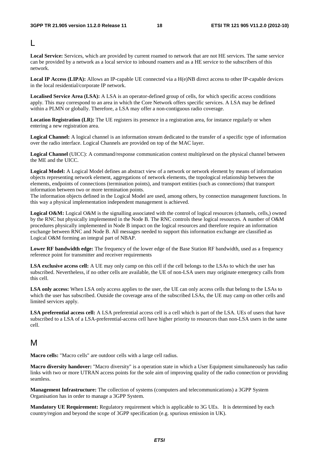L

**Local Service:** Services, which are provided by current roamed to network that are not HE services. The same service can be provided by a network as a local service to inbound roamers and as a HE service to the subscribers of this network.

**Local IP Access (LIPA):** Allows an IP-capable UE connected via a H(e)NB direct access to other IP-capable devices in the local residential/corporate IP network.

**Localised Service Area (LSA):** A LSA is an operator-defined group of cells, for which specific access conditions apply. This may correspond to an area in which the Core Network offers specific services. A LSA may be defined within a PLMN or globally. Therefore, a LSA may offer a non-contiguous radio coverage.

Location Registration (LR): The UE registers its presence in a registration area, for instance regularly or when entering a new registration area.

**Logical Channel:** A logical channel is an information stream dedicated to the transfer of a specific type of information over the radio interface. Logical Channels are provided on top of the MAC layer.

**Logical Channel** (UICC): A command/response communication context multiplexed on the physical channel between the ME and the UICC.

**Logical Model:** A Logical Model defines an abstract view of a network or network element by means of information objects representing network element, aggregations of network elements, the topological relationship between the elements, endpoints of connections (termination points), and transport entities (such as connections) that transport information between two or more termination points.

The information objects defined in the Logical Model are used, among others, by connection management functions. In this way a physical implementation independent management is achieved.

Logical O&M: Logical O&M is the signalling associated with the control of logical resources (channels, cells,) owned by the RNC but physically implemented in the Node B. The RNC controls these logical resources. A number of O&M procedures physically implemented in Node B impact on the logical resources and therefore require an information exchange between RNC and Node B. All messages needed to support this information exchange are classified as Logical O&M forming an integral part of NBAP.

**Lower RF bandwidth edge:** The frequency of the lower edge of the Base Station RF bandwidth, used as a frequency reference point for transmitter and receiver requirements

**LSA exclusive access cell:** A UE may only camp on this cell if the cell belongs to the LSAs to which the user has subscribed. Nevertheless, if no other cells are available, the UE of non-LSA users may originate emergency calls from this cell.

**LSA only access:** When LSA only access applies to the user, the UE can only access cells that belong to the LSAs to which the user has subscribed. Outside the coverage area of the subscribed LSAs, the UE may camp on other cells and limited services apply.

**LSA preferential access cell:** A LSA preferential access cell is a cell which is part of the LSA. UEs of users that have subscribed to a LSA of a LSA-preferential-access cell have higher priority to resources than non-LSA users in the same cell.

#### M

**Macro cells:** "Macro cells" are outdoor cells with a large cell radius.

**Macro diversity handover:** "Macro diversity" is a operation state in which a User Equipment simultaneously has radio links with two or more UTRAN access points for the sole aim of improving quality of the radio connection or providing seamless.

**Management Infrastructure:** The collection of systems (computers and telecommunications) a 3GPP System Organisation has in order to manage a 3GPP System.

**Mandatory UE Requirement:** Regulatory requirement which is applicable to 3G UEs. It is determined by each country/region and beyond the scope of 3GPP specification (e.g. spurious emission in UK).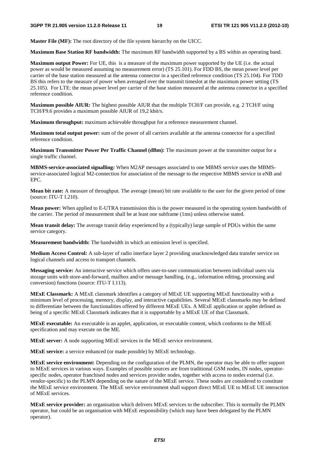**Master File (MF):** The root directory of the file system hierarchy on the UICC.

**Maximum Base Station RF bandwidth:** The maximum RF bandwidth supported by a BS within an operating band.

**Maximum output Power:** For UE, this is a measure of the maximum power supported by the UE (i.e. the actual power as would be measured assuming no measurement error) (TS 25.101). For FDD BS, the mean power level per carrier of the base station measured at the antenna connector in a specified reference condition (TS 25.104). For TDD BS this refers to the measure of power when averaged over the transmit timeslot at the maximum power setting (TS 25.105). For LTE: the mean power level per carrier of the base station measured at the antenna connector in a specified reference condition.

**Maximum possible AIUR:** The highest possible AIUR that the multiple TCH/F can provide, e.g. 2 TCH/F using TCH/F9.6 provides a maximum possible AIUR of 19,2 kbit/s.

**Maximum throughput:** maximum achievable throughput for a reference measurement channel.

**Maximum total output power:** sum of the power of all carriers available at the antenna connector for a specified reference condition.

**Maximum Transmitter Power Per Traffic Channel (dBm):** The maximum power at the transmitter output for a single traffic channel.

**MBMS-service-associated signalling:** When M2AP messages associated to one MBMS service uses the MBMSservice-associated logical M2-connection for association of the message to the respective MBMS service in eNB and EPC.

**Mean bit rate:** A measure of throughput. The average (mean) bit rate available to the user for the given period of time (source: ITU-T I.210).

**Mean power:** When applied to E-UTRA transmission this is the power measured in the operating system bandwidth of the carrier. The period of measurement shall be at least one subframe (1ms) unless otherwise stated.

**Mean transit delay:** The average transit delay experienced by a (typically) large sample of PDUs within the same service category.

**Measurement bandwidth:** The bandwidth in which an emission level is specified.

**Medium Access Control:** A sub-layer of radio interface layer 2 providing unacknowledged data transfer service on logical channels and access to transport channels.

**Messaging service:** An interactive service which offers user-to-user communication between individual users via storage units with store-and-forward, mailbox and/or message handling, (e.g., information editing, processing and conversion) functions (source: ITU-T I.113).

**MExE Classmark:** A MExE classmark identifies a category of MExE UE supporting MExE functionality with a minimum level of processing, memory, display, and interactive capabilities. Several MExE classmarks may be defined to differentiate between the functionalities offered by different MExE UEs. A MExE application or applet defined as being of a specific MExE Classmark indicates that it is supportable by a MExE UE of that Classmark.

**MExE executable:** An executable is an applet, application, or executable content, which conforms to the MExE specification and may execute on the ME.

**MExE server:** A node supporting MExE services in the MExE service environment.

**MExE service:** a service enhanced (or made possible) by MExE technology.

**MExE service environment:** Depending on the configuration of the PLMN, the operator may be able to offer support to MExE services in various ways. Examples of possible sources are from traditional GSM nodes, IN nodes, operatorspecific nodes, operator franchised nodes and services provider nodes, together with access to nodes external (i.e. vendor-specific) to the PLMN depending on the nature of the MExE service. These nodes are considered to constitute the MExE service environment. The MExE service environment shall support direct MExE UE to MExE UE interaction of MExE services.

**MExE service provider:** an organisation which delivers MExE services to the subscriber. This is normally the PLMN operator, but could be an organisation with MExE responsibility (which may have been delegated by the PLMN operator).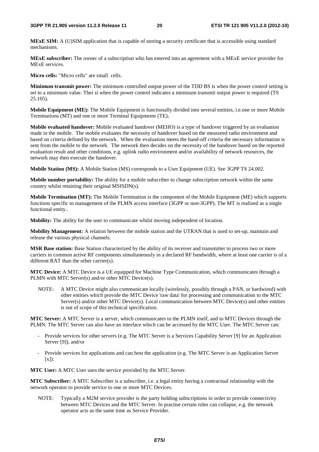**MExE SIM:** A (U)SIM application that is capable of storing a security certificate that is accessible using standard mechanisms.

**MExE subscriber:** The owner of a subscription who has entered into an agreement with a MExE service provider for MExE services.

**Micro cells:** "Micro cells" are small cells.

**Minimum transmit power:** The minimum controlled output power of the TDD BS is when the power control setting is set to a minimum value. Thei si when the power control indicates a miminum transmit output power is required (TS 25.105).

**Mobile Equipment (ME):** The Mobile Equipment is functionally divided into several entities, i.e.one or more Mobile Terminations (MT) and one or more Terminal Equipments (TE)**.** 

**Mobile evaluated handover:** Mobile evaluated handover (MEHO) is a type of handover triggered by an evaluation made in the mobile. The mobile evaluates the necessity of handover based on the measured radio environment and based on criteria defined by the network. When the evaluation meets the hand-off criteria the necessary information is sent from the mobile to the network. The network then decides on the necessity of the handover based on the reported evaluation result and other conditions, e.g. uplink radio environment and/or availability of network resources, the network may then execute the handover.

**Mobile Station (MS):** A Mobile Station (MS) corresponds to a User Equipment (UE). See 3GPP TS 24.002.

**Mobile number portability:** The ability for a mobile subscriber to change subscription network within the same country whilst retaining their original MSISDN(s).

**Mobile Termination (MT):** The Mobile Termination is the component of the Mobile Equipment (ME) which supports functions specific to management of the PLMN access interface (3GPP or non-3GPP). The MT is realized as a single functional entity..

**Mobility:** The ability for the user to communicate whilst moving independent of location.

**Mobility Management:** A relation between the mobile station and the UTRAN that is used to set-up, maintain and release the various physical channels.

**MSR Base station:** Base Station characterized by the ability of its receiver and transmitter to process two or more carriers in common active RF components simultaneously in a declared RF bandwidth, where at least one carrier is of a different RAT than the other carrier(s).

**MTC Device:** A MTC Device is a UE equipped for Machine Type Communication, which communicates through a PLMN with MTC Server(s) and/or other MTC Device(s).

NOTE: A MTC Device might also communicate locally (wirelessly, possibly through a PAN, or hardwired) with other entities which provide the MTC Device 'raw data' for processing and communication to the MTC Server(s) and/or other MTC Device(s). Local communication between MTC Device(s) and other entities is out of scope of this technical specification.

**MTC Server:** A MTC Server is a server, which communicates to the PLMN itself, and to MTC Devices through the PLMN. The MTC Server can also have an interface which can be accessed by the MTC User. The MTC Server can:

- Provide services for other servers (e.g. The MTC Server is a Services Capability Server [9] for an Application Server [9]), and/or
- Provide services for applications and can host the application (e.g. The MTC Server is an Application Server  $[x]$ ).

**MTC User:** A MTC User uses the service provided by the MTC Server.

**MTC Subscriber:** A MTC Subscriber is a subscriber, i.e. a legal entity having a contractual relationship with the network operator to provide service to one or more MTC Devices.

NOTE: Typically a M2M service provider is the party holding subscriptions in order to provide connectivity between MTC Devices and the MTC Server. In practise certain roles can collapse, e.g. the network operator acts as the same time as Service Provider.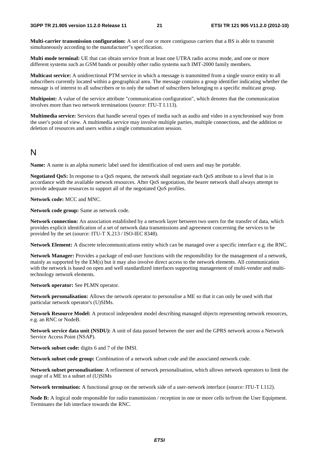**Multi-carrier transmission configuration:** A set of one or more contiguous carriers that a BS is able to transmit simultaneously according to the manufacturer"s specification.

**Multi mode terminal:** UE that can obtain service from at least one UTRA radio access mode, and one or more different systems such as GSM bands or possibly other radio systems such IMT-2000 family members.

**Multicast service:** A unidirectional PTM service in which a message is transmitted from a single source entity to all subscribers currently located within a geographical area. The message contains a group identifier indicating whether the message is of interest to all subscribers or to only the subset of subscribers belonging to a specific multicast group.

**Multipoint:** A value of the service attribute "communication configuration", which denotes that the communication involves more than two network terminations (source: ITU-T I.113).

**Multimedia service:** Services that handle several types of media such as audio and video in a synchronised way from the user's point of view. A multimedia service may involve multiple parties, multiple connections, and the addition or deletion of resources and users within a single communication session.

#### N

**Name:** A name is an alpha numeric label used for identification of end users and may be portable.

**Negotiated QoS:** In response to a QoS request, the network shall negotiate each QoS attribute to a level that is in accordance with the available network resources. After QoS negotiation, the bearer network shall always attempt to provide adequate resources to support all of the negotiated QoS profiles.

#### **Network code:** MCC and MNC.

**Network code group:** Same as network code.

**Network connection:** An association established by a network layer between two users for the transfer of data, which provides explicit identification of a set of network data transmissions and agreement concerning the services to be provided by the set (source: ITU-T X.213 / ISO-IEC 8348).

**Network Element:** A discrete telecommunications entity which can be managed over a specific interface e.g. the RNC.

**Network Manager:** Provides a package of end-user functions with the responsibility for the management of a network, mainly as supported by the EM(s) but it may also involve direct access to the network elements. All communication with the network is based on open and well standardized interfaces supporting management of multi-vendor and multitechnology network elements.

**Network operator:** See PLMN operator.

**Network personalisation:** Allows the network operator to personalise a ME so that it can only be used with that particular network operator's (U)SIMs.

**Network Resource Model:** A protocol independent model describing managed objects representing network resources, e.g. an RNC or NodeB.

**Network service data unit (NSDU):** A unit of data passed between the user and the GPRS network across a Network Service Access Point (NSAP).

**Network subset code:** digits 6 and 7 of the IMSI.

**Network subset code group:** Combination of a network subset code and the associated network code.

**Network subset personalisation:** A refinement of network personalisation, which allows network operators to limit the usage of a ME to a subset of (U)SIMs

**Network termination:** A functional group on the network side of a user-network interface (source: ITU-T I.112).

**Node B:** A logical node responsible for radio transmission / reception in one or more cells to/from the User Equipment. Terminates the Iub interface towards the RNC.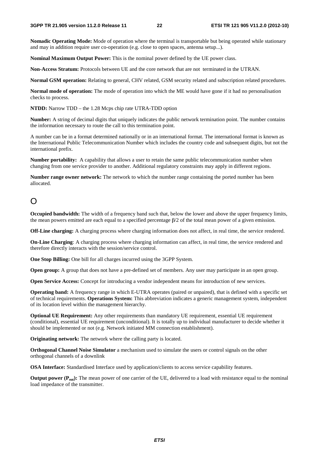**Nomadic Operating Mode:** Mode of operation where the terminal is transportable but being operated while stationary and may in addition require user co-operation (e.g. close to open spaces, antenna setup...).

**Nominal Maximum Output Power:** This is the nominal power defined by the UE power class.

**Non-Access Stratum:** Protocols between UE and the core network that are not terminated in the UTRAN.

**Normal GSM operation:** Relating to general, CHV related, GSM security related and subscription related procedures.

**Normal mode of operation:** The mode of operation into which the ME would have gone if it had no personalisation checks to process.

**NTDD:** Narrow TDD – the 1.28 Mcps chip rate UTRA-TDD option

**Number:** A string of decimal digits that uniquely indicates the public network termination point. The number contains the information necessary to route the call to this termination point.

A number can be in a format determined nationally or in an international format. The international format is known as the International Public Telecommunication Number which includes the country code and subsequent digits, but not the international prefix.

**Number portability:** A capability that allows a user to retain the same public telecommunication number when changing from one service provider to another. Additional regulatory constraints may apply in different regions.

**Number range owner network:** The network to which the number range containing the ported number has been allocated.

### $\Omega$

**Occupied bandwidth:** The width of a frequency band such that, below the lower and above the upper frequency limits, the mean powers emitted are each equal to a specified percentage β/2 of the total mean power of a given emission.

**Off-Line charging:** A charging process where charging information does not affect, in real time, the service rendered.

**On-Line Charging**: A charging process where charging information can affect, in real time, the service rendered and therefore directly interacts with the session/service control.

**One Stop Billing:** One bill for all charges incurred using the 3GPP System.

**Open group:** A group that does not have a pre-defined set of members. Any user may participate in an open group.

**Open Service Access:** Concept for introducing a vendor independent means for introduction of new services.

**Operating band:** A frequency range in which E-UTRA operates (paired or unpaired), that is defined with a specific set of technical requirements. **Operations System:** This abbreviation indicates a generic management system, independent of its location level within the management hierarchy.

**Optional UE Requirement:** Any other requirements than mandatory UE requirement, essential UE requirement (conditional), essential UE requirement (unconditional). It is totally up to individual manufacturer to decide whether it should be implemented or not (e.g. Network initiated MM connection establishment).

**Originating network:** The network where the calling party is located.

**Orthogonal Channel Noise Simulator** a mechanism used to simulate the users or control signals on the other orthogonal channels of a downlink

**OSA Interface:** Standardised Interface used by application/clients to access service capability features.

**Output power (P<sub>out</sub>):** The mean power of one carrier of the UE, delivered to a load with resistance equal to the nominal load impedance of the transmitter.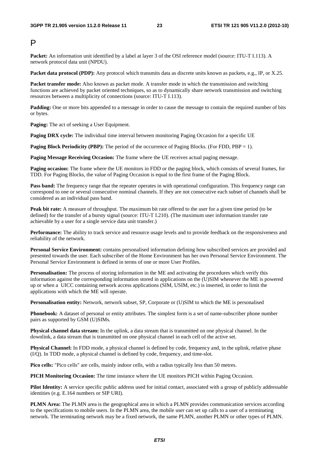#### P

**Packet:** An information unit identified by a label at layer 3 of the OSI reference model (source: ITU-T I.113). A network protocol data unit (NPDU).

**Packet data protocol (PDP):** Any protocol which transmits data as discrete units known as packets, e.g., IP, or X.25.

**Packet transfer mode:** Also known as packet mode. A transfer mode in which the transmission and switching functions are achieved by packet oriented techniques, so as to dynamically share network transmission and switching resources between a multiplicity of connections (source: ITU-T I.113).

**Padding:** One or more bits appended to a message in order to cause the message to contain the required number of bits or bytes.

**Paging:** The act of seeking a User Equipment.

**Paging DRX cycle:** The individual time interval between monitoring Paging Occasion for a specific UE

**Paging Block Periodicity (PBP):** The period of the occurrence of Paging Blocks. (For FDD, PBP = 1).

**Paging Message Receiving Occasion:** The frame where the UE receives actual paging message.

**Paging occasion:** The frame where the UE monitors in FDD or the paging block, which consists of several frames, for TDD. For Paging Blocks, the value of Paging Occasion is equal to the first frame of the Paging Block.

**Pass band:** The frequency range that the repeater operates in with operational configuration. This frequency range can correspond to one or several consecutive nominal channels. If they are not consecutive each subset of channels shall be considered as an individual pass band.

**Peak bit rate:** A measure of throughput. The maximum bit rate offered to the user for a given time period (to be defined) for the transfer of a bursty signal (source: ITU-T I.210). (The maximum user information transfer rate achievable by a user for a single service data unit transfer.)

Performance: The ability to track service and resource usage levels and to provide feedback on the responsiveness and reliability of the network.

**Personal Service Environment:** contains personalised information defining how subscribed services are provided and presented towards the user. Each subscriber of the Home Environment has her own Personal Service Environment. The Personal Service Environment is defined in terms of one or more User Profiles.

**Personalisation:** The process of storing information in the ME and activating the procedures which verify this information against the corresponding information stored in applications on the (U)SIM whenever the ME is powered up or when a UICC containing network access applications (SIM, USIM, etc.) is inserted, in order to limit the applications with which the ME will operate.

**Personalisation entity:** Network, network subset, SP, Corporate or (U)SIM to which the ME is personalised

**Phonebook:** A dataset of personal or entity attributes. The simplest form is a set of name-subscriber phone number pairs as supported by GSM (U)SIMs.

**Physical channel data stream:** In the uplink, a data stream that is transmitted on one physical channel. In the downlink, a data stream that is transmitted on one physical channel in each cell of the active set.

**Physical Channel:** In FDD mode, a physical channel is defined by code, frequency and, in the uplink, relative phase (I/Q). In TDD mode, a physical channel is defined by code, frequency, and time-slot.

**Pico cells:** "Pico cells" are cells, mainly indoor cells, with a radius typically less than 50 metres.

**PICH Monitoring Occasion:** The time instance where the UE monitors PICH within Paging Occasion.

**Pilot Identity:** A service specific public address used for initial contact, associated with a group of publicly addressable identities (e.g. E.164 numbers or SIP URI).

**PLMN Area:** The PLMN area is the geographical area in which a PLMN provides communication services according to the specifications to mobile users. In the PLMN area, the mobile user can set up calls to a user of a terminating network. The terminating network may be a fixed network, the same PLMN, another PLMN or other types of PLMN.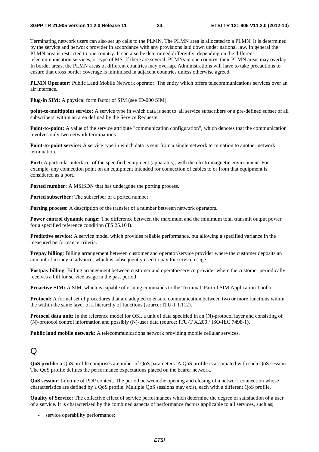Terminating network users can also set up calls to the PLMN. The PLMN area is allocated to a PLMN. It is determined by the service and network provider in accordance with any provisions laid down under national law. In general the PLMN area is restricted to one country. It can also be determined differently, depending on the different telecommunication services, or type of MS. If there are several PLMNs in one country, their PLMN areas may overlap. In border areas, the PLMN areas of different countries may overlap. Administrations will have to take precautions to ensure that cross border coverage is minimised in adjacent countries unless otherwise agreed.

**PLMN Operator:** Public Land Mobile Network operator. The entity which offers telecommunications services over an air interface..

**Plug-in SIM:** A physical form factor of SIM (see ID-000 SIM).

**point-to-multipoint service:** A service type in which data is sent to 'all service subscribers or a pre-defined subset of all subscribers' within an area defined by the Service Requester.

**Point-to-point:** A value of the service attribute "communication configuration", which denotes that the communication involves only two network terminations.

**Point-to-point service:** A service type in which data is sent from a single network termination to another network termination.

**Port:** A particular interface, of the specified equipment (apparatus), with the electromagnetic environment. For example, any connection point on an equipment intended for connection of cables to or from that equipment is considered as a port.

**Ported number:** A MSISDN that has undergone the porting process.

**Ported subscriber:** The subscriber of a ported number.

**Porting process:** A description of the transfer of a number between network operators.

**Power control dynamic range:** The difference between the maximum and the minimum total transmit output power for a specified reference condition (TS 25.104).

**Predictive service:** A service model which provides reliable performance, but allowing a specified variance in the measured performance criteria.

**Prepay billing**: Billing arrangement between customer and operator/service provider where the customer deposits an amount of money in advance, which is subsequently used to pay for service usage.

**Postpay billing**: Billing arrangement between customer and operator/service provider where the customer periodically receives a bill for service usage in the past period.

**Proactive SIM:** A SIM, which is capable of issuing commands to the Terminal. Part of SIM Application Toolkit.

**Protocol:** A formal set of procedures that are adopted to ensure communication between two or more functions within the within the same layer of a hierarchy of functions (source: ITU-T I.112).

**Protocol data unit:** In the reference model for OSI, a unit of data specified in an (N)-protocol layer and consisting of (N)-protocol control information and possibly (N)-user data (source: ITU-T X.200 / ISO-IEC 7498-1).

**Public land mobile network:** A telecommunications network providing mobile cellular services.

#### $\Omega$

**QoS profile:** a QoS profile comprises a number of QoS parameters. A QoS profile is associated with each QoS session. The QoS profile defines the performance expectations placed on the bearer network.

**QoS session:** Lifetime of PDP context. The period between the opening and closing of a network connection whose characteristics are defined by a QoS profile. Multiple QoS sessions may exist, each with a different QoS profile.

**Quality of Service:** The collective effect of service performances which determine the degree of satisfaction of a user of a service. It is characterised by the combined aspects of performance factors applicable to all services, such as;

- service operability performance;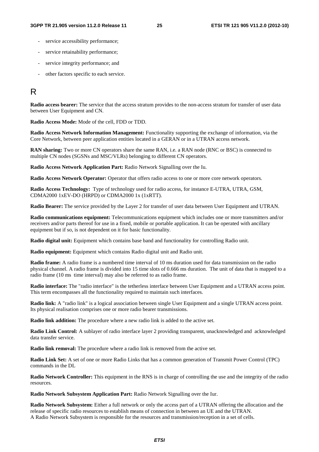- service accessibility performance;
- service retainability performance;
- service integrity performance; and
- other factors specific to each service.

### R

**Radio access bearer:** The service that the access stratum provides to the non-access stratum for transfer of user data between User Equipment and CN.

**Radio Access Mode:** Mode of the cell, FDD or TDD.

**Radio Access Network Information Management:** Functionality supporting the exchange of information, via the Core Network, between peer application entities located in a GERAN or in a UTRAN access network.

**RAN sharing:** Two or more CN operators share the same RAN, i.e. a RAN node (RNC or BSC) is connected to multiple CN nodes (SGSNs and MSC/VLRs) belonging to different CN operators.

**Radio Access Network Application Part:** Radio Network Signalling over the Iu.

**Radio Access Network Operator:** Operator that offers radio access to one or more core network operators.

**Radio Access Technology:** Type of technology used for radio access, for instance E-UTRA, UTRA, GSM, CDMA2000 1xEV-DO (HRPD) or CDMA2000 1x (1xRTT).

**Radio Bearer:** The service provided by the Layer 2 for transfer of user data between User Equipment and UTRAN.

**Radio communications equipment:** Telecommunications equipment which includes one or more transmitters and/or receivers and/or parts thereof for use in a fixed, mobile or portable application. It can be operated with ancillary equipment but if so, is not dependent on it for basic functionality.

**Radio digital unit:** Equipment which contains base band and functionality for controlling Radio unit.

**Radio equipment:** Equipment which contains Radio digital unit and Radio unit.

**Radio frame:** A radio frame is a numbered time interval of 10 ms duration used for data transmission on the radio physical channel. A radio frame is divided into 15 time slots of 0.666 ms duration. The unit of data that is mapped to a radio frame (10 ms time interval) may also be referred to as radio frame.

**Radio interface:** The "radio interface" is the tetherless interface between User Equipment and a UTRAN access point. This term encompasses all the functionality required to maintain such interfaces.

**Radio link:** A "radio link" is a logical association between single User Equipment and a single UTRAN access point. Its physical realisation comprises one or more radio bearer transmissions.

**Radio link addition:** The procedure where a new radio link is added to the active set.

**Radio Link Control:** A sublayer of radio interface layer 2 providing transparent, unacknowledged and acknowledged data transfer service.

**Radio link removal:** The procedure where a radio link is removed from the active set.

**Radio Link Set:** A set of one or more Radio Links that has a common generation of Transmit Power Control (TPC) commands in the DL

**Radio Network Controller:** This equipment in the RNS is in charge of controlling the use and the integrity of the radio resources.

**Radio Network Subsystem Application Part:** Radio Network Signalling over the Iur.

**Radio Network Subsystem:** Either a full network or only the access part of a UTRAN offering the allocation and the release of specific radio resources to establish means of connection in between an UE and the UTRAN. A Radio Network Subsystem is responsible for the resources and transmission/reception in a set of cells.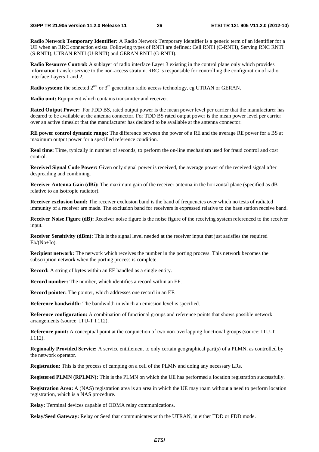**Radio Network Temporary Identifier:** A Radio Network Temporary Identifier is a generic term of an identifier for a UE when an RRC connection exists. Following types of RNTI are defined: Cell RNTI (C-RNTI), Serving RNC RNTI (S-RNTI), UTRAN RNTI (U-RNTI) and GERAN RNTI (G-RNTI).

**Radio Resource Control:** A sublayer of radio interface Layer 3 existing in the control plane only which provides information transfer service to the non-access stratum. RRC is responsible for controlling the configuration of radio interface Layers 1 and 2.

**Radio system:** the selected  $2<sup>nd</sup>$  or  $3<sup>rd</sup>$  generation radio access technology, eg UTRAN or GERAN.

**Radio unit:** Equipment which contains transmitter and receiver.

**Rated Output Power:** For FDD BS, rated output power is the mean power level per carrier that the manufacturer has decared to be available at the antenna connector. For TDD BS rated output power is the mean power level per carrier over an active timeslot that the manufacturer has declared to be available at the antenna connector.

**RE power control dynamic range:** The difference between the power of a RE and the average RE power for a BS at maximum output power for a specified reference condition.

**Real time:** Time, typically in number of seconds, to perform the on-line mechanism used for fraud control and cost control.

**Received Signal Code Power:** Given only signal power is received, the average power of the received signal after despreading and combining.

**Receiver Antenna Gain (dBi):** The maximum gain of the receiver antenna in the horizontal plane (specified as dB relative to an isotropic radiator).

**Receiver exclusion band:** The receiver exclusion band is the band of frequencies over which no tests of radiated immunity of a receiver are made. The exclusion band for receivers is expressed relative to the base station receive band.

**Receiver Noise Figure (dB):** Receiver noise figure is the noise figure of the receiving system referenced to the receiver input.

**Receiver Sensitivity (dBm):** This is the signal level needed at the receiver input that just satisfies the required Eb/(No+Io).

**Recipient network:** The network which receives the number in the porting process. This network becomes the subscription network when the porting process is complete.

**Record:** A string of bytes within an EF handled as a single entity.

**Record number:** The number, which identifies a record within an EF.

**Record pointer:** The pointer, which addresses one record in an EF.

**Reference bandwidth:** The bandwidth in which an emission level is specified.

**Reference configuration:** A combination of functional groups and reference points that shows possible network arrangements (source: ITU-T I.112).

**Reference point:** A conceptual point at the conjunction of two non-overlapping functional groups (source: ITU-T I.112).

**Regionally Provided Service:** A service entitlement to only certain geographical part(s) of a PLMN, as controlled by the network operator.

**Registration:** This is the process of camping on a cell of the PLMN and doing any necessary LRs.

**Registered PLMN (RPLMN):** This is the PLMN on which the UE has performed a location registration successfully.

**Registration Area:** A (NAS) registration area is an area in which the UE may roam without a need to perform location registration, which is a NAS procedure.

**Relay:** Terminal devices capable of ODMA relay communications.

**Relay/Seed Gateway:** Relay or Seed that communicates with the UTRAN, in either TDD or FDD mode.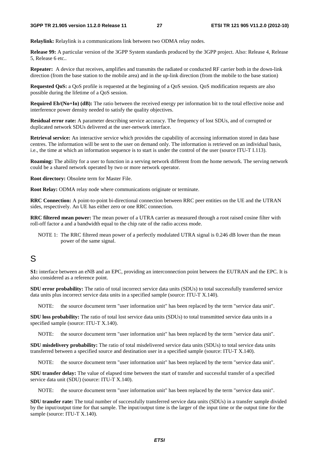**Relaylink:** Relaylink is a communications link between two ODMA relay nodes.

**Release 99:** A particular version of the 3GPP System standards produced by the 3GPP project. Also: Release 4, Release 5, Release 6 etc..

**Repeater:** A device that receives, amplifies and transmits the radiated or conducted RF carrier both in the down-link direction (from the base station to the mobile area) and in the up-link direction (from the mobile to the base station)

**Requested QoS:** a QoS profile is requested at the beginning of a QoS session. QoS modification requests are also possible during the lifetime of a QoS session.

**Required Eb/(No+Io) (dB):** The ratio between the received energy per information bit to the total effective noise and interference power density needed to satisfy the quality objectives.

**Residual error rate:** A parameter describing service accuracy. The frequency of lost SDUs, and of corrupted or duplicated network SDUs delivered at the user-network interface.

**Retrieval service:** An interactive service which provides the capability of accessing information stored in data base centres. The information will be sent to the user on demand only. The information is retrieved on an individual basis, i.e., the time at which an information sequence is to start is under the control of the user (source ITU-T I.113).

**Roaming:** The ability for a user to function in a serving network different from the home network. The serving network could be a shared network operated by two or more network operator.

**Root directory:** Obsolete term for Master File.

**Root Relay:** ODMA relay node where communications originate or terminate.

**RRC Connection:** A point-to-point bi-directional connection between RRC peer entities on the UE and the UTRAN sides, respectively. An UE has either zero or one RRC connection.

**RRC filtered mean power:** The mean power of a UTRA carrier as measured through a root raised cosine filter with roll-off factor a and a bandwidth equal to the chip rate of the radio access mode.

NOTE 1: The RRC filtered mean power of a perfectly modulated UTRA signal is 0.246 dB lower than the mean power of the same signal.

#### S

**S1:** interface between an eNB and an EPC, providing an interconnection point between the EUTRAN and the EPC. It is also considered as a reference point.

**SDU error probability:** The ratio of total incorrect service data units (SDUs) to total successfully transferred service data units plus incorrect service data units in a specified sample (source: ITU-T X.140).

NOTE: the source document term "user information unit" has been replaced by the term "service data unit".

**SDU loss probability:** The ratio of total lost service data units (SDUs) to total transmitted service data units in a specified sample (source: ITU-T X.140).

NOTE: the source document term "user information unit" has been replaced by the term "service data unit".

**SDU misdelivery probability:** The ratio of total misdelivered service data units (SDUs) to total service data units transferred between a specified source and destination user in a specified sample (source: ITU-T X.140).

NOTE: the source document term "user information unit" has been replaced by the term "service data unit".

**SDU transfer delay:** The value of elapsed time between the start of transfer and successful transfer of a specified service data unit (SDU) (source: ITU-T X.140).

NOTE: the source document term "user information unit" has been replaced by the term "service data unit".

**SDU transfer rate:** The total number of successfully transferred service data units (SDUs) in a transfer sample divided by the input/output time for that sample. The input/output time is the larger of the input time or the output time for the sample (source: ITU-T X.140).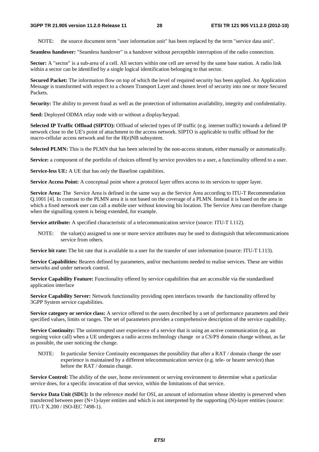NOTE: the source document term "user information unit" has been replaced by the term "service data unit".

**Seamless handover:** "Seamless handover" is a handover without perceptible interruption of the radio connection.

**Sector:** A "sector" is a sub-area of a cell. All sectors within one cell are served by the same base station. A radio link within a sector can be identified by a single logical identification belonging to that sector.

**Secured Packet:** The information flow on top of which the level of required security has been applied. An Application Message is transformed with respect to a chosen Transport Layer and chosen level of security into one or more Secured Packets.

**Security:** The ability to prevent fraud as well as the protection of information availability, integrity and confidentiality.

**Seed:** Deployed ODMA relay node with or without a display/keypad.

**Selected IP Traffic Offload (SIPTO):** Offload of selected types of IP traffic (e.g. internet traffic) towards a defined IP network close to the UE's point of attachment to the access network. SIPTO is applicable to traffic offload for the macro-cellular access network and for the H(e)NB subsystem.

**Selected PLMN:** This is the PLMN that has been selected by the non-access stratum, either manually or automatically.

**Service:** a component of the portfolio of choices offered by service providers to a user, a functionality offered to a user.

**Service-less UE:** A UE that has only the Baseline capabilities.

**Service Access Point:** A conceptual point where a protocol layer offers access to its services to upper layer.

**Service Area:** The Service Area is defined in the same way as the Service Area according to ITU-T Recommendation Q.1001 [4]. In contrast to the PLMN area it is not based on the coverage of a PLMN. Instead it is based on the area in which a fixed network user can call a mobile user without knowing his location. The Service Area can therefore change when the signalling system is being extended, for example.

**Service attribute:** A specified characteristic of a telecommunication service (source: ITU-T I.112).

NOTE: the value(s) assigned to one or more service attributes may be used to distinguish that telecommunications service from others.

**Service bit rate:** The bit rate that is available to a user for the transfer of user information (source: ITU-T I.113).

**Service Capabilities:** Bearers defined by parameters, and/or mechanisms needed to realise services. These are within networks and under network control.

**Service Capability Feature:** Functionality offered by service capabilities that are accessible via the standardised application interface

**Service Capability Server:** Network functionality providing open interfaces towards the functionality offered by 3GPP System service capabilities.

**Service category or service class:** A service offered to the users described by a set of performance parameters and their specified values, limits or ranges. The set of parameters provides a comprehensive description of the service capability.

**Service Continuity:** The uninterrupted user experience of a service that is using an active communication (e.g. an ongoing voice call) when a UE undergoes a radio access technology change or a CS/PS domain change without, as far as possible, the user noticing the change.

NOTE: In particular Service Continuity encompasses the possibility that after a RAT / domain change the user experience is maintained by a different telecommunication service (e.g. tele- or bearer service) than before the RAT / domain change.

**Service Control:** The ability of the user, home environment or serving environment to determine what a particular service does, for a specific invocation of that service, within the limitations of that service.

**Service Data Unit (SDU):** In the reference model for OSI, an amount of information whose identity is preserved when transferred between peer  $(N+1)$ -layer entities and which is not interpreted by the supporting  $(N)$ -layer entities (source: ITU-T X.200 / ISO-IEC 7498-1).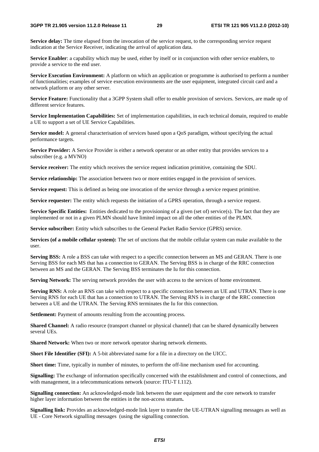**Service delay:** The time elapsed from the invocation of the service request, to the corresponding service request indication at the Service Receiver, indicating the arrival of application data.

**Service Enabler**: a capability which may be used, either by itself or in conjunction with other service enablers, to provide a service to the end user.

**Service Execution Environment:** A platform on which an application or programme is authorised to perform a number of functionalities; examples of service execution environments are the user equipment, integrated circuit card and a network platform or any other server.

**Service Feature:** Functionality that a 3GPP System shall offer to enable provision of services. Services, are made up of different service features.

**Service Implementation Capabilities:** Set of implementation capabilities, in each technical domain, required to enable a UE to support a set of UE Service Capabilities.

**Service model:** A general characterisation of services based upon a QoS paradigm, without specifying the actual performance targets.

**Service Provider:** A Service Provider is either a network operator or an other entity that provides services to a subscriber (e.g. a MVNO)

**Service receiver:** The entity which receives the service request indication primitive, containing the SDU.

**Service relationship:** The association between two or more entities engaged in the provision of services.

**Service request:** This is defined as being one invocation of the service through a service request primitive.

**Service requester:** The entity which requests the initiation of a GPRS operation, through a service request.

**Service Specific Entities:** Entities dedicated to the provisioning of a given (set of) service(s). The fact that they are implemented or not in a given PLMN should have limited impact on all the other entities of the PLMN.

**Service subscriber:** Entity which subscribes to the General Packet Radio Service (GPRS) service.

**Services (of a mobile cellular system):** The set of unctions that the mobile cellular system can make available to the user.

**Serving BSS:** A role a BSS can take with respect to a specific connection between an MS and GERAN. There is one Serving BSS for each MS that has a connection to GERAN. The Serving BSS is in charge of the RRC connection between an MS and the GERAN. The Serving BSS terminates the Iu for this connection.

**Serving Network:** The serving network provides the user with access to the services of home environment.

Serving RNS: A role an RNS can take with respect to a specific connection between an UE and UTRAN. There is one Serving RNS for each UE that has a connection to UTRAN. The Serving RNS is in charge of the RRC connection between a UE and the UTRAN. The Serving RNS terminates the Iu for this connection.

**Settlement:** Payment of amounts resulting from the accounting process.

**Shared Channel:** A radio resource (transport channel or physical channel) that can be shared dynamically between several UEs.

**Shared Network:** When two or more network operator sharing network elements.

**Short File Identifier (SFI):** A 5-bit abbreviated name for a file in a directory on the UICC.

**Short time:** Time, typically in number of minutes, to perform the off-line mechanism used for accounting.

**Signalling:** The exchange of information specifically concerned with the establishment and control of connections, and with management, in a telecommunications network (source: ITU-T I.112).

**Signalling connection:** An acknowledged-mode link between the user equipment and the core network to transfer higher layer information between the entities in the non-access stratum**.**

**Signalling link:** Provides an acknowledged-mode link layer to transfer the UE-UTRAN signalling messages as well as UE - Core Network signalling messages (using the signalling connection.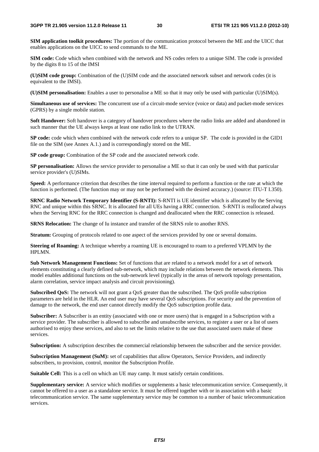**SIM application toolkit procedures:** The portion of the communication protocol between the ME and the UICC that enables applications on the UICC to send commands to the ME.

**SIM code:** Code which when combined with the network and NS codes refers to a unique SIM. The code is provided by the digits 8 to 15 of the IMSI

**(U)SIM code group:** Combination of the (U)SIM code and the associated network subset and network codes (it is equivalent to the IMSI).

**(U)SIM personalisation:** Enables a user to personalise a ME so that it may only be used with particular (U)SIM(s).

**Simultaneous use of services:** The concurrent use of a circuit-mode service (voice or data) and packet-mode services (GPRS) by a single mobile station.

**Soft Handover:** Soft handover is a category of handover procedures where the radio links are added and abandoned in such manner that the UE always keeps at least one radio link to the UTRAN.

**SP code:** code which when combined with the network code refers to a unique SP. The code is provided in the GID1 file on the SIM (see Annex A.1.) and is correspondingly stored on the ME.

**SP code group:** Combination of the SP code and the associated network code.

**SP personalisation:** Allows the service provider to personalise a ME so that it can only be used with that particular service provider's (U)SIMs.

**Speed:** A performance criterion that describes the time interval required to perform a function or the rate at which the function is performed. (The function may or may not be performed with the desired accuracy.) (source: ITU-T I.350).

**SRNC Radio Network Temporary Identifier (S-RNTI):** S-RNTI is UE identifier which is allocated by the Serving RNC and unique within this SRNC. It is allocated for all UEs having a RRC connection. S-RNTI is reallocated always when the Serving RNC for the RRC connection is changed and deallocated when the RRC connection is released.

**SRNS Relocation:** The change of Iu instance and transfer of the SRNS role to another RNS.

**Stratum:** Grouping of protocols related to one aspect of the services provided by one or several domains.

**Steering of Roaming:** A technique whereby a roaming UE is encouraged to roam to a preferred VPLMN by the HPLMN.

**Sub Network Management Functions:** Set of functions that are related to a network model for a set of network elements constituting a clearly defined sub-network, which may include relations between the network elements. This model enables additional functions on the sub-network level (typically in the areas of network topology presentation, alarm correlation, service impact analysis and circuit provisioning).

**Subscribed OoS:** The network will not grant a OoS greater than the subscribed. The OoS profile subscription parameters are held in the HLR. An end user may have several QoS subscriptions. For security and the prevention of damage to the network, the end user cannot directly modify the QoS subscription profile data.

**Subscriber:** A Subscriber is an entity (associated with one or more users) that is engaged in a Subscription with a service provider. The subscriber is allowed to subscribe and unsubscribe services, to register a user or a list of users authorised to enjoy these services, and also to set the limits relative to the use that associated users make of these services.

**Subscription:** A subscription describes the commercial relationship between the subscriber and the service provider.

**Subscription Management (SuM):** set of capabilities that allow Operators, Service Providers, and indirectly subscribers, to provision, control, monitor the Subscription Profile.

**Suitable Cell:** This is a cell on which an UE may camp. It must satisfy certain conditions.

**Supplementary service:** A service which modifies or supplements a basic telecommunication service. Consequently, it cannot be offered to a user as a standalone service. It must be offered together with or in association with a basic telecommunication service. The same supplementary service may be common to a number of basic telecommunication services.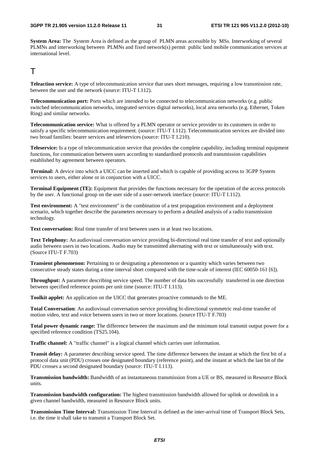**System Area:** The System Area is defined as the group of PLMN areas accessible by MSs. Interworking of several PLMNs and interworking between PLMNs and fixed network(s) permit public land mobile communication services at international level.

#### $T$

**Teleaction service:** A type of telecommunication service that uses short messages, requiring a low transmission rate, between the user and the network (source: ITU-T I.112).

**Telecommunication port:** Ports which are intended to be connected to telecommunication networks (e.g. public switched telecommunication networks, integrated services digital networks), local area networks (e.g. Ethernet, Token Ring) and similar networks.

**Telecommunication service:** What is offered by a PLMN operator or service provider to its customers in order to satisfy a specific telecommunication requirement. (source: ITU-T I.112). Telecommunication services are divided into two broad families: bearer services and teleservices (source: ITU-T I.210).

**Teleservice:** Is a type of telecommunication service that provides the complete capability, including terminal equipment functions, for communication between users according to standardised protocols and transmission capabilities established by agreement between operators.

**Terminal:** A device into which a UICC can be inserted and which is capable of providing access to 3GPP System services to users, either alone or in conjunction with a UICC.

**Terminal Equipment (TE):** Equipment that provides the functions necessary for the operation of the access protocols by the user. A functional group on the user side of a user-network interface (source: ITU-T I.112).

**Test environment:** A "test environment" is the combination of a test propagation environment and a deployment scenario, which together describe the parameters necessary to perform a detailed analysis of a radio transmission technology.

**Text conversation:** Real time transfer of text between users in at least two locations.

**Text Telephony:** An audiovisual conversation service providing bi-directional real time transfer of text and optionally audio between users in two locations. Audio may be transmitted alternating with text or simultaneously with text. (Source ITU-T F.703)

**Transient phenomenon:** Pertaining to or designating a phenomenon or a quantity which varies between two consecutive steady states during a time interval short compared with the time-scale of interest (IEC 60050-161 [6]).

**Throughput:** A parameter describing service speed. The number of data bits successfully transferred in one direction between specified reference points per unit time (source: ITU-T I.113).

**Toolkit applet:** An application on the UICC that generates proactive commands to the ME.

**Total Conversation**: An audiovisual conversation service providing bi-directional symmetric real-time transfer of motion video, text and voice between users in two or more locations. (source ITU-T F.703)

**Total power dynamic range:** The difference between the maximum and the minimum total transmit output power for a specified reference condition (TS25.104).

**Traffic channel:** A "traffic channel" is a logical channel which carries user information.

**Transit delay:** A parameter describing service speed. The time difference between the instant at which the first bit of a protocol data unit (PDU) crosses one designated boundary (reference point), and the instant at which the last bit of the PDU crosses a second designated boundary (source: ITU-T I.113).

**Transmission bandwidth:** Bandwidth of an instantaneous transmission from a UE or BS, measured in Resource Block units.

**Transmission bandwidth configuration:** The highest transmission bandwidth allowed for uplink or downlink in a given channel bandwidth, measured in Resource Block units.

**Transmission Time Interval:** Transmission Time Interval is defined as the inter-arrival time of Transport Block Sets, i.e. the time it shall take to transmit a Transport Block Set.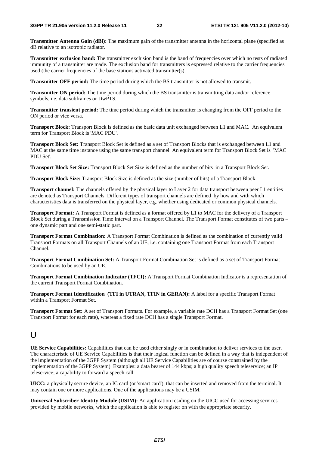**Transmitter Antenna Gain (dBi):** The maximum gain of the transmitter antenna in the horizontal plane (specified as dB relative to an isotropic radiator.

**Transmitter exclusion band:** The transmitter exclusion band is the band of frequencies over which no tests of radiated immunity of a transmitter are made. The exclusion band for transmitters is expressed relative to the carrier frequencies used (the carrier frequencies of the base stations activated transmitter(s).

**Transmitter OFF period:** The time period during which the BS transmitter is not allowed to transmit.

**Transmitter ON period:** The time period during which the BS transmitter is transmitting data and/or reference symbols, i.e. data subframes or DwPTS.

**Transmitter transient period:** The time period during which the transmitter is changing from the OFF period to the ON period or vice versa.

**Transport Block:** Transport Block is defined as the basic data unit exchanged between L1 and MAC. An equivalent term for Transport Block is 'MAC PDU'.

**Transport Block Set:** Transport Block Set is defined as a set of Transport Blocks that is exchanged between L1 and MAC at the same time instance using the same transport channel. An equivalent term for Transport Block Set is 'MAC PDU Set'.

**Transport Block Set Size:** Transport Block Set Size is defined as the number of bits in a Transport Block Set.

**Transport Block Size:** Transport Block Size is defined as the size (number of bits) of a Transport Block.

**Transport channel:** The channels offered by the physical layer to Layer 2 for data transport between peer L1 entities are denoted as Transport Channels. Different types of transport channels are defined by how and with which characteristics data is transferred on the physical layer, e.g. whether using dedicated or common physical channels.

**Transport Format:** A Transport Format is defined as a format offered by L1 to MAC for the delivery of a Transport Block Set during a Transmission Time Interval on a Transport Channel. The Transport Format constitutes of two parts – one dynamic part and one semi-static part.

**Transport Format Combination:** A Transport Format Combination is defined as the combination of currently valid Transport Formats on all Transport Channels of an UE, i.e. containing one Transport Format from each Transport Channel.

**Transport Format Combination Set:** A Transport Format Combination Set is defined as a set of Transport Format Combinations to be used by an UE.

**Transport Format Combination Indicator (TFCI):** A Transport Format Combination Indicator is a representation of the current Transport Format Combination.

**Transport Format Identification (TFI in UTRAN, TFIN in GERAN):** A label for a specific Transport Format within a Transport Format Set.

**Transport Format Set:** A set of Transport Formats. For example, a variable rate DCH has a Transport Format Set (one Transport Format for each rate), whereas a fixed rate DCH has a single Transport Format.

#### $\cup$

**UE Service Capabilities:** Capabilities that can be used either singly or in combination to deliver services to the user. The characteristic of UE Service Capabilities is that their logical function can be defined in a way that is independent of the implementation of the 3GPP System (although all UE Service Capabilities are of course constrained by the implementation of the 3GPP System). Examples: a data bearer of 144 kbps; a high quality speech teleservice; an IP teleservice; a capability to forward a speech call.

**UICC:** a physically secure device, an IC card (or 'smart card'), that can be inserted and removed from the terminal. It may contain one or more applications. One of the applications may be a USIM.

**Universal Subscriber Identity Module (USIM):** An application residing on the UICC used for accessing services provided by mobile networks, which the application is able to register on with the appropriate security.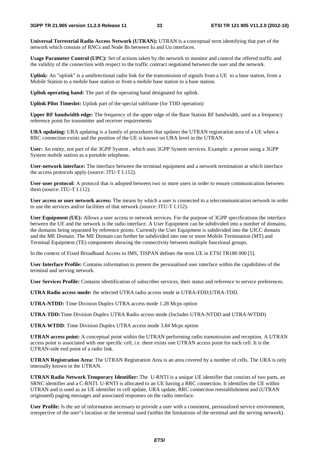**Universal Terrestrial Radio Access Network (UTRAN):** UTRAN is a conceptual term identifying that part of the network which consists of RNCs and Node Bs between Iu and Uu interfaces.

**Usage Parameter Control (UPC):** Set of actions taken by the network to monitor and control the offered traffic and the validity of the connection with respect to the traffic contract negotiated between the user and the network.

**Uplink:** An "uplink" is a unidirectional radio link for the transmission of signals from a UE to a base station, from a Mobile Station to a mobile base station or from a mobile base station to a base station.

**Uplink operating band:** The part of the operating band designated for uplink.

**Uplink Pilot Timeslot:** Uplink part of the special subframe (for TDD operation)

**Upper RF bandwidth edge:** The frequency of the upper edge of the Base Station RF bandwidth, used as a frequency reference point for transmitter and receiver requirements

**URA updating:** URA updating is a family of procedures that updates the UTRAN registration area of a UE when a RRC connection exists and the position of the UE is known on URA level in the UTRAN.

**User:** An entity, not part of the 3GPP System , which uses 3GPP System services. Example: a person using a 3GPP System mobile station as a portable telephone.

**User-network interface:** The interface between the terminal equipment and a network termination at which interface the access protocols apply (source: ITU-T I.112).

**User-user protocol:** A protocol that is adopted between two or more users in order to ensure communication between them (source: ITU-T I.112).

**User access or user network access:** The means by which a user is connected to a telecommunication network in order to use the services and/or facilities of that network (source: ITU-T I.112).

**User Equipment (UE):** Allows a user access to network services. For the purpose of 3GPP specifications the interface between the UE and the network is the radio interface. A User Equipment can be subdivided into a number of domains, the domains being separated by reference points. Currently the User Equipment is subdivided into the UICC domain and the ME Domain. The ME Domain can further be subdivided into one or more Mobile Termination (MT) and Terminal Equipment (TE) components showing the connectivity between multiple functional groups.

In the context of Fixed Broadband Access to IMS, TISPAN defines the term UE in ETSI TR180 000 [5].

**User Interface Profile:** Contains information to present the personalised user interface within the capabilities of the terminal and serving network.

**User Services Profile:** Contains identification of subscriber services, their status and reference to service preferences.

**UTRA Radio access mode:** the selected UTRA radio access mode ie UTRA-FDD;UTRA-TDD.

**UTRA-NTDD:** Time Division Duplex UTRA access mode 1.28 Mcps option

**UTRA-TDD:** Time Division Duplex UTRA Radio access mode (Includes UTRA-NTDD and UTRA-WTDD)

**UTRA-WTDD**: Time Division Duplex UTRA access mode 3.84 Mcps option

**UTRAN access point:** A conceptual point within the UTRAN performing radio transmission and reception. A UTRAN access point is associated with one specific cell, i.e. there exists one UTRAN access point for each cell. It is the UTRAN-side end point of a radio link.

**UTRAN Registration Area:** The UTRAN Registration Area is an area covered by a number of cells. The URA is only internally known in the UTRAN.

**UTRAN Radio Network Temporary Identifier:** The U-RNTI is a unique UE identifier that consists of two parts, an SRNC identifier and a C-RNTI. U-RNTI is allocated to an UE having a RRC connection. It identifies the UE within UTRAN and is used as an UE identifier in cell update, URA update, RRC connection reestablishment and (UTRAN originated) paging messages and associated responses on the radio interface.

**User Profile:** Is the set of information necessary to provide a user with a consistent, personalised service environment, irrespective of the user"s location or the terminal used (within the limitations of the terminal and the serving network).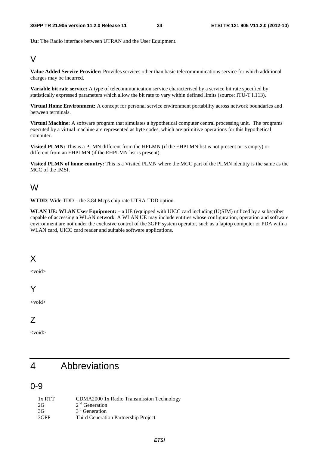**Uu:** The Radio interface between UTRAN and the User Equipment.

#### $\overline{V}$

**Value Added Service Provider:** Provides services other than basic telecommunications service for which additional charges may be incurred.

**Variable bit rate service:** A type of telecommunication service characterised by a service bit rate specified by statistically expressed parameters which allow the bit rate to vary within defined limits (source: ITU-T I.113).

**Virtual Home Environment:** A concept for personal service environment portability across network boundaries and between terminals.

**Virtual Machine:** A software program that simulates a hypothetical computer central processing unit. The programs executed by a virtual machine are represented as byte codes, which are primitive operations for this hypothetical computer.

**Visited PLMN:** This is a PLMN different from the HPLMN (if the EHPLMN list is not present or is empty) or different from an EHPLMN (if the EHPLMN list is present).

**Visited PLMN of home country:** This is a Visited PLMN where the MCC part of the PLMN identity is the same as the MCC of the IMSI.

#### W

**WTDD**: Wide TDD – the 3.84 Mcps chip rate UTRA-TDD option.

**WLAN UE: WLAN User Equipment:** – a UE (equipped with UICC card including (U)SIM) utilized by a subscriber capable of accessing a WLAN network. A WLAN UE may include entities whose configuration, operation and software environment are not under the exclusive control of the 3GPP system operator, such as a laptop computer or PDA with a WLAN card, UICC card reader and suitable software applications.

### X

<void>

### Y

<void>

#### Z

<void>

### 4 Abbreviations

#### 0-9

1x RTT CDMA2000 1x Radio Transmission Technology  $2<sup>nd</sup>$  Generation  $3<sup>rd</sup>$  Generation 3GPP Third Generation Partnership Project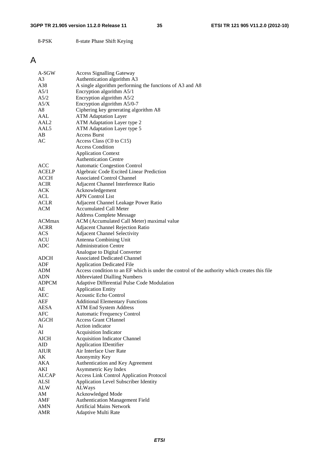#### **3GPP TR 21.905 version 11.2.0 Release 11 35 ETSI TR 121 905 V11.2.0 (2012-10)**

8-PSK 8-state Phase Shift Keying

### A

| A-SGW            | <b>Access Signalling Gateway</b>                                                              |
|------------------|-----------------------------------------------------------------------------------------------|
| A3               | Authentication algorithm A3                                                                   |
| A38              | A single algorithm performing the functions of A3 and A8                                      |
| A5/1             | Encryption algorithm A5/1                                                                     |
| A5/2             | Encryption algorithm A5/2                                                                     |
| A5/X             | Encryption algorithm A5/0-7                                                                   |
| A8               | Ciphering key generating algorithm A8                                                         |
| AAL              | <b>ATM Adaptation Layer</b>                                                                   |
| AAL <sub>2</sub> | ATM Adaptation Layer type 2                                                                   |
| AAL5             | ATM Adaptation Layer type 5                                                                   |
| AB               | <b>Access Burst</b>                                                                           |
| AC               | Access Class (C0 to C15)                                                                      |
|                  | <b>Access Condition</b>                                                                       |
|                  | <b>Application Context</b>                                                                    |
|                  | <b>Authentication Centre</b>                                                                  |
| ACC              | <b>Automatic Congestion Control</b>                                                           |
| <b>ACELP</b>     | Algebraic Code Excited Linear Prediction                                                      |
| <b>ACCH</b>      | <b>Associated Control Channel</b>                                                             |
| <b>ACIR</b>      | Adjacent Channel Interference Ratio                                                           |
| ACK              | Acknowledgement                                                                               |
| ACL              | <b>APN Control List</b>                                                                       |
| <b>ACLR</b>      | Adjacent Channel Leakage Power Ratio                                                          |
| <b>ACM</b>       | <b>Accumulated Call Meter</b>                                                                 |
|                  | <b>Address Complete Message</b>                                                               |
| <b>ACMmax</b>    | ACM (Accumulated Call Meter) maximal value                                                    |
| <b>ACRR</b>      | Adjacent Channel Rejection Ratio                                                              |
| ACS              | <b>Adjacent Channel Selectivity</b>                                                           |
| <b>ACU</b>       | Antenna Combining Unit                                                                        |
| <b>ADC</b>       | <b>Administration Centre</b>                                                                  |
|                  | Analogue to Digital Converter                                                                 |
| <b>ADCH</b>      | <b>Associated Dedicated Channel</b>                                                           |
| ADF              | <b>Application Dedicated File</b>                                                             |
| ADM              | Access condition to an EF which is under the control of the authority which creates this file |
| <b>ADN</b>       | <b>Abbreviated Dialling Numbers</b>                                                           |
| <b>ADPCM</b>     | Adaptive Differential Pulse Code Modulation                                                   |
| AE               | <b>Application Entity</b>                                                                     |
|                  | <b>Acoustic Echo Control</b>                                                                  |
| AEC<br>AEF       | <b>Additional Elementary Functions</b>                                                        |
| <b>AESA</b>      | <b>ATM End System Address</b>                                                                 |
| <b>AFC</b>       | <b>Automatic Frequency Control</b>                                                            |
| AGCH             | <b>Access Grant CHannel</b>                                                                   |
| Ai               | Action indicator                                                                              |
| AI               | <b>Acquisition Indicator</b>                                                                  |
| <b>AICH</b>      | <b>Acquisition Indicator Channel</b>                                                          |
| AID              | <b>Application IDentifier</b>                                                                 |
| <b>AIUR</b>      | Air Interface User Rate                                                                       |
| AK               | Anonymity Key                                                                                 |
| AKA              | Authentication and Key Agreement                                                              |
| AKI              | Asymmetric Key Index                                                                          |
| <b>ALCAP</b>     | <b>Access Link Control Application Protocol</b>                                               |
| <b>ALSI</b>      | Application Level Subscriber Identity                                                         |
| <b>ALW</b>       | ALWays                                                                                        |
| AM               | Acknowledged Mode                                                                             |
| AMF              | <b>Authentication Management Field</b>                                                        |
| AMN              | <b>Artificial Mains Network</b>                                                               |
| <b>AMR</b>       | Adaptive Multi Rate                                                                           |
|                  |                                                                                               |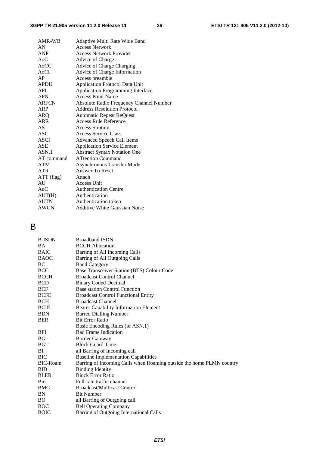| AMR-WB       | Adaptive Multi Rate Wide Band           |
|--------------|-----------------------------------------|
| AN           | <b>Access Network</b>                   |
| <b>ANP</b>   | <b>Access Network Provider</b>          |
| $A_0C$       | Advice of Charge                        |
| AoCC         | Advice of Charge Charging               |
| <b>AoCI</b>  | Advice of Charge Information            |
| AP.          | Access preamble                         |
| <b>APDU</b>  | <b>Application Protocol Data Unit</b>   |
| <b>API</b>   | Application Programming Interface       |
| <b>APN</b>   | <b>Access Point Name</b>                |
| <b>ARFCN</b> | Absolute Radio Frequency Channel Number |
| ARP          | <b>Address Resolution Protocol</b>      |
| ARO          | <b>Automatic Repeat ReQuest</b>         |
| ARR          | Access Rule Reference                   |
| AS.          | <b>Access Stratum</b>                   |
| ASC          | Access Service Class                    |
| ASCI         | <b>Advanced Speech Call Items</b>       |
| ASE          | <b>Application Service Element</b>      |
| ASN.1        | <b>Abstract Syntax Notation One</b>     |
| AT command   | <b>ATtention Command</b>                |
| <b>ATM</b>   | Asynchronous Transfer Mode              |
| <b>ATR</b>   | <b>Answer To Reset</b>                  |
| ATT (flag)   | Attach                                  |
| AU           | Access Unit                             |
| AuC          | <b>Authentication Centre</b>            |
| AUT(H)       | Authentication                          |
| <b>AUTN</b>  | Authentication token                    |
| AWGN         | <b>Additive White Gaussian Noise</b>    |

### B

| <b>B-ISDN</b>   | <b>Broadband ISDN</b>                                                |
|-----------------|----------------------------------------------------------------------|
| <b>BA</b>       | <b>BCCH</b> Allocation                                               |
| <b>BAIC</b>     | Barring of All Incoming Calls                                        |
| <b>BAOC</b>     | <b>Barring of All Outgoing Calls</b>                                 |
| BC              | <b>Band Category</b>                                                 |
| <b>BCC</b>      | Base Transceiver Station (BTS) Colour Code                           |
| <b>BCCH</b>     | <b>Broadcast Control Channel</b>                                     |
| <b>BCD</b>      | <b>Binary Coded Decimal</b>                                          |
| <b>BCF</b>      | <b>Base station Control Function</b>                                 |
| <b>BCFE</b>     | <b>Broadcast Control Functional Entity</b>                           |
| <b>BCH</b>      | <b>Broadcast Channel</b>                                             |
| <b>BCIE</b>     | <b>Bearer Capability Information Element</b>                         |
| <b>BDN</b>      | <b>Barred Dialling Number</b>                                        |
| <b>BER</b>      | <b>Bit Error Ratio</b>                                               |
|                 | Basic Encoding Rules (of ASN.1)                                      |
| BFI             | <b>Bad Frame Indication</b>                                          |
| <b>BG</b>       | <b>Border Gateway</b>                                                |
| <b>BGT</b>      | <b>Block Guard Time</b>                                              |
| BI              | all Barring of Incoming call                                         |
| <b>BIC</b>      | <b>Baseline Implementation Capabilities</b>                          |
| <b>BIC-Roam</b> | Barring of Incoming Calls when Roaming outside the home PLMN country |
| <b>BID</b>      | <b>Binding Identity</b>                                              |
| <b>BLER</b>     | <b>Block Error Ratio</b>                                             |
| <b>Bm</b>       | Full-rate traffic channel                                            |
| BMC             | <b>Broadcast/Multicast Control</b>                                   |
| BN              | <b>Bit Number</b>                                                    |
| <b>BO</b>       | all Barring of Outgoing call                                         |
| <b>BOC</b>      | <b>Bell Operating Company</b>                                        |
| <b>BOIC</b>     | Barring of Outgoing International Calls                              |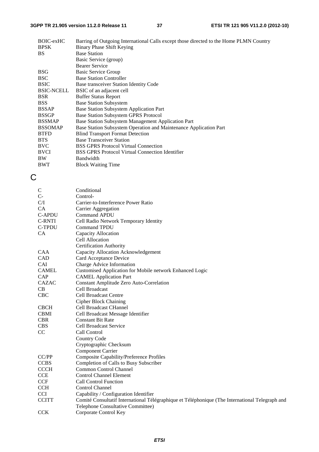| BOIC-exHC<br><b>BPSK</b> | Barring of Outgoing International Calls except those directed to the Home PLMN Country<br>Binary Phase Shift Keying |
|--------------------------|---------------------------------------------------------------------------------------------------------------------|
| <b>BS</b>                | <b>Base Station</b>                                                                                                 |
|                          | Basic Service (group)                                                                                               |
|                          | <b>Bearer Service</b>                                                                                               |
| <b>BSG</b>               | Basic Service Group                                                                                                 |
| <b>BSC</b>               | <b>Base Station Controller</b>                                                                                      |
| <b>BSIC</b>              | Base transceiver Station Identity Code                                                                              |
| <b>BSIC-NCELL</b>        | BSIC of an adjacent cell                                                                                            |
| <b>BSR</b>               | <b>Buffer Status Report</b>                                                                                         |
| <b>BSS</b>               | <b>Base Station Subsystem</b>                                                                                       |
| <b>BSSAP</b>             | Base Station Subsystem Application Part                                                                             |
| <b>BSSGP</b>             | Base Station Subsystem GPRS Protocol                                                                                |
| <b>BSSMAP</b>            | Base Station Subsystem Management Application Part                                                                  |
| <b>BSSOMAP</b>           | Base Station Subsystem Operation and Maintenance Application Part                                                   |
| <b>BTFD</b>              | <b>Blind Transport Format Detection</b>                                                                             |
| <b>BTS</b>               | <b>Base Transceiver Station</b>                                                                                     |
| <b>BVC</b>               | <b>BSS GPRS Protocol Virtual Connection</b>                                                                         |
| <b>BVCI</b>              | <b>BSS GPRS Protocol Virtual Connection Identifier</b>                                                              |
| <b>BW</b>                | Bandwidth                                                                                                           |
| <b>BWT</b>               | <b>Block Waiting Time</b>                                                                                           |

### C

| $\mathbf C$   | Conditional                                                                                     |
|---------------|-------------------------------------------------------------------------------------------------|
| $C-$          | Control-                                                                                        |
| C/I           | Carrier-to-Interference Power Ratio                                                             |
| CA            | Carrier Aggregation                                                                             |
| <b>C-APDU</b> | <b>Command APDU</b>                                                                             |
| C-RNTI        | Cell Radio Network Temporary Identity                                                           |
| <b>C-TPDU</b> | <b>Command TPDU</b>                                                                             |
| <b>CA</b>     | Capacity Allocation                                                                             |
|               | Cell Allocation                                                                                 |
|               | <b>Certification Authority</b>                                                                  |
| <b>CAA</b>    | Capacity Allocation Acknowledgement                                                             |
| CAD           | Card Acceptance Device                                                                          |
| <b>CAI</b>    | Charge Advice Information                                                                       |
| <b>CAMEL</b>  | Customised Application for Mobile network Enhanced Logic                                        |
| CAP           | <b>CAMEL Application Part</b>                                                                   |
| <b>CAZAC</b>  | Constant Amplitude Zero Auto-Correlation                                                        |
| CB            | Cell Broadcast                                                                                  |
| <b>CBC</b>    | <b>Cell Broadcast Centre</b>                                                                    |
|               | <b>Cipher Block Chaining</b>                                                                    |
| <b>CBCH</b>   | Cell Broadcast CHannel                                                                          |
| <b>CBMI</b>   | Cell Broadcast Message Identifier                                                               |
| <b>CBR</b>    | <b>Constant Bit Rate</b>                                                                        |
| <b>CBS</b>    | <b>Cell Broadcast Service</b>                                                                   |
| CC            | Call Control                                                                                    |
|               | <b>Country Code</b>                                                                             |
|               | Cryptographic Checksum                                                                          |
|               | <b>Component Carrier</b>                                                                        |
| CC/PP         | <b>Composite Capability/Preference Profiles</b>                                                 |
| <b>CCBS</b>   | Completion of Calls to Busy Subscriber                                                          |
| <b>CCCH</b>   | <b>Common Control Channel</b>                                                                   |
| CCE           | <b>Control Channel Element</b>                                                                  |
| <b>CCF</b>    | <b>Call Control Function</b>                                                                    |
| <b>CCH</b>    | <b>Control Channel</b>                                                                          |
| <b>CCI</b>    | Capability / Configuration Identifier                                                           |
| <b>CCITT</b>  | Comité Consultatif International Télégraphique et Téléphonique (The International Telegraph and |
|               | Telephone Consultative Committee)                                                               |
| <b>CCK</b>    | Corporate Control Key                                                                           |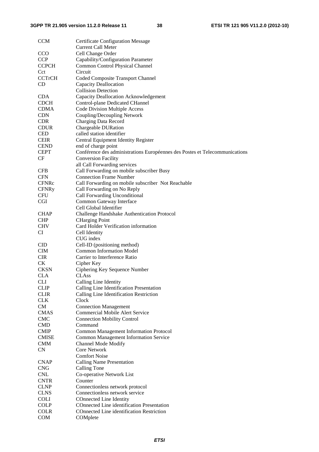| <b>CCM</b>    | <b>Certificate Configuration Message</b>                                    |
|---------------|-----------------------------------------------------------------------------|
|               | <b>Current Call Meter</b>                                                   |
| <b>CCO</b>    | Cell Change Order                                                           |
| <b>CCP</b>    | Capability/Configuration Parameter                                          |
| <b>CCPCH</b>  | Common Control Physical Channel                                             |
| Cct           | Circuit                                                                     |
| <b>CCTrCH</b> | Coded Composite Transport Channel                                           |
| <b>CD</b>     | <b>Capacity Deallocation</b>                                                |
|               | <b>Collision Detection</b>                                                  |
| <b>CDA</b>    | Capacity Deallocation Acknowledgement                                       |
| <b>CDCH</b>   | Control-plane Dedicated CHannel                                             |
| <b>CDMA</b>   | <b>Code Division Multiple Access</b>                                        |
| <b>CDN</b>    | Coupling/Decoupling Network                                                 |
| <b>CDR</b>    | Charging Data Record                                                        |
| <b>CDUR</b>   | Chargeable DURation                                                         |
| <b>CED</b>    | called station identifier                                                   |
| <b>CEIR</b>   | Central Equipment Identity Register                                         |
| <b>CEND</b>   | end of charge point                                                         |
| <b>CEPT</b>   | Conférence des administrations Européennes des Postes et Telecommunications |
| CF            | <b>Conversion Facility</b>                                                  |
|               | all Call Forwarding services                                                |
| <b>CFB</b>    | Call Forwarding on mobile subscriber Busy                                   |
| <b>CFN</b>    | <b>Connection Frame Number</b>                                              |
| <b>CFNRc</b>  | Call Forwarding on mobile subscriber Not Reachable                          |
| <b>CFNRy</b>  | Call Forwarding on No Reply                                                 |
| <b>CFU</b>    | Call Forwarding Unconditional                                               |
| <b>CGI</b>    | Common Gateway Interface                                                    |
|               | Cell Global Identifier                                                      |
| <b>CHAP</b>   | Challenge Handshake Authentication Protocol                                 |
| <b>CHP</b>    | <b>CHarging Point</b>                                                       |
| <b>CHV</b>    | Card Holder Verification information                                        |
| CI            | Cell Identity                                                               |
|               | CUG index                                                                   |
| <b>CID</b>    | Cell-ID (positioning method)                                                |
| <b>CIM</b>    | <b>Common Information Model</b>                                             |
| <b>CIR</b>    | Carrier to Interference Ratio                                               |
| CK            | Cipher Key                                                                  |
| <b>CKSN</b>   | Ciphering Key Sequence Number                                               |
| <b>CLA</b>    | <b>CLAss</b>                                                                |
| <b>CLI</b>    | Calling Line Identity                                                       |
| <b>CLIP</b>   | Calling Line Identification Presentation                                    |
| <b>CLIR</b>   | Calling Line Identification Restriction                                     |
| <b>CLK</b>    | Clock                                                                       |
| CM            |                                                                             |
| <b>CMAS</b>   | <b>Connection Management</b><br><b>Commercial Mobile Alert Service</b>      |
| <b>CMC</b>    |                                                                             |
|               | <b>Connection Mobility Control</b><br>Command                               |
| <b>CMD</b>    |                                                                             |
| <b>CMIP</b>   | <b>Common Management Information Protocol</b>                               |
| <b>CMISE</b>  | <b>Common Management Information Service</b>                                |
| $\rm CMM$     | Channel Mode Modify                                                         |
| CN            | <b>Core Network</b>                                                         |
|               | <b>Comfort Noise</b>                                                        |
| <b>CNAP</b>   | <b>Calling Name Presentation</b>                                            |
| <b>CNG</b>    | Calling Tone                                                                |
| <b>CNL</b>    | Co-operative Network List                                                   |
| <b>CNTR</b>   | Counter                                                                     |
| <b>CLNP</b>   | Connectionless network protocol                                             |
| <b>CLNS</b>   | Connectionless network service                                              |
| <b>COLI</b>   | COnnected Line Identity                                                     |
| <b>COLP</b>   | COnnected Line identification Presentation                                  |
| <b>COLR</b>   | COnnected Line identification Restriction                                   |
| <b>COM</b>    | COMplete                                                                    |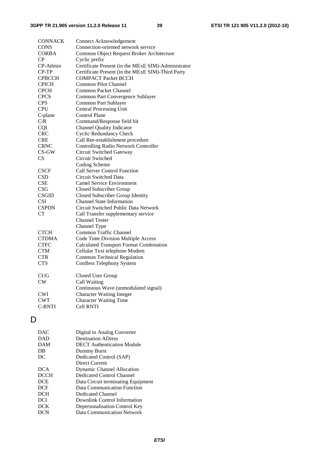| <b>CONNACK</b>  | <b>Connect Acknowledgement</b>                      |
|-----------------|-----------------------------------------------------|
| <b>CONS</b>     | Connection-oriented network service                 |
| <b>CORBA</b>    | Common Object Request Broker Architecture           |
| $\overline{CP}$ | Cyclic prefix                                       |
| CP-Admin        | Certificate Present (in the MExE SIM)-Administrator |
| CP-TP           | Certificate Present (in the MExE SIM)-Third Party   |
| <b>CPBCCH</b>   | <b>COMPACT Packet BCCH</b>                          |
| <b>CPICH</b>    | Common Pilot Channel                                |
| <b>CPCH</b>     | <b>Common Packet Channel</b>                        |
| <b>CPCS</b>     | Common Part Convergence Sublayer                    |
| <b>CPS</b>      | Common Part Sublayer                                |
| <b>CPU</b>      | <b>Central Processing Unit</b>                      |
| C-plane         | <b>Control Plane</b>                                |
| C/R             | Command/Response field bit                          |
| CQI             | <b>Channel Quality Indicator</b>                    |
| <b>CRC</b>      | <b>Cyclic Redundancy Check</b>                      |
| <b>CRE</b>      | Call Ree-establishment procedure                    |
| <b>CRNC</b>     | <b>Controlling Radio Network Controller</b>         |
| $CS$ -GW        | Circuit Switched Gateway                            |
| CS              | Circuit Switched                                    |
|                 | Coding Scheme                                       |
| <b>CSCF</b>     | <b>Call Server Control Function</b>                 |
| <b>CSD</b>      | Circuit Switched Data                               |
| <b>CSE</b>      | <b>Camel Service Environment</b>                    |
| CSG             | Closed Subscriber Group                             |
| <b>CSGID</b>    | Closed Subscriber Group Identity                    |
| <b>CSI</b>      | <b>Channel State Information</b>                    |
| <b>CSPDN</b>    | Circuit Switched Public Data Network                |
| <b>CT</b>       | Call Transfer supplementary service                 |
|                 | <b>Channel Tester</b>                               |
|                 | Channel Type                                        |
| <b>CTCH</b>     | Common Traffic Channel                              |
| <b>CTDMA</b>    | Code Time Division Multiple Access                  |
| <b>CTFC</b>     | <b>Calculated Transport Format Combination</b>      |
| <b>CTM</b>      | Cellular Text telephone Modem                       |
| <b>CTR</b>      | <b>Common Technical Regulation</b>                  |
| <b>CTS</b>      | <b>Cordless Telephony System</b>                    |
| <b>CUG</b>      | Closed User Group                                   |
| CW              | Call Waiting                                        |
|                 | Continuous Wave (unmodulated signal)                |
| <b>CWI</b>      | <b>Character Waiting Integer</b>                    |
| <b>CWT</b>      | <b>Character Waiting Time</b>                       |
| <b>C-RNTI</b>   | <b>Cell RNTI</b>                                    |
|                 |                                                     |

### D

| DAC.        | Digital to Analog Converter        |
|-------------|------------------------------------|
| <b>DAD</b>  | <b>Destination ADress</b>          |
| <b>DAM</b>  | <b>DECT</b> Authentication Module  |
| DB          | Dummy Burst                        |
| DC          | Dedicated Control (SAP)            |
|             | Direct Current                     |
| <b>DCA</b>  | <b>Dynamic Channel Allocation</b>  |
| <b>DCCH</b> | Dedicated Control Channel          |
| <b>DCE</b>  | Data Circuit terminating Equipment |
| <b>DCF</b>  | Data Communication Function        |
| <b>DCH</b>  | Dedicated Channel                  |
| <b>DCI</b>  | Downlink Control Information       |
| <b>DCK</b>  | Depersonalisation Control Key      |
| DCN         | <b>Data Communication Network</b>  |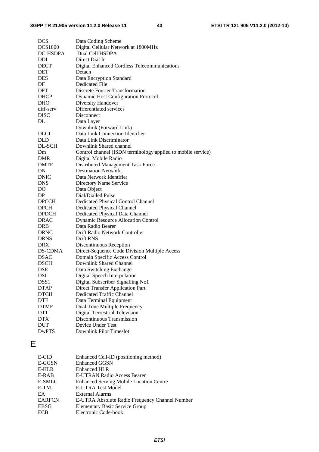| <b>DCS</b>       | Data Coding Scheme                                           |
|------------------|--------------------------------------------------------------|
| <b>DCS1800</b>   | Digital Cellular Network at 1800MHz                          |
| DC-HSDPA         | Dual Cell HSDPA                                              |
| DDI              | Direct Dial In                                               |
| <b>DECT</b>      | <b>Digital Enhanced Cordless Telecommunications</b>          |
| <b>DET</b>       | Detach                                                       |
| DES              | Data Encryption Standard                                     |
| DF               | <b>Dedicated File</b>                                        |
| <b>DFT</b>       | <b>Discrete Fourier Transformation</b>                       |
| DHCP             | <b>Dynamic Host Configuration Protocol</b>                   |
| <b>DHO</b>       | Diversity Handover                                           |
| diff-serv        | Differentiated services                                      |
| <b>DISC</b>      | Disconnect                                                   |
| DL               | Data Layer                                                   |
|                  | Downlink (Forward Link)                                      |
| <b>DLCI</b>      | Data Link Connection Identifier                              |
| DLD              | Data Link Discriminator                                      |
| DL-SCH           | Downlink Shared channel                                      |
| Dm               | Control channel (ISDN terminology applied to mobile service) |
| <b>DMR</b>       |                                                              |
| <b>DMTF</b>      | Digital Mobile Radio<br>Distributed Management Task Force    |
| DN               | <b>Destination Network</b>                                   |
| <b>DNIC</b>      | Data Network Identifier                                      |
| <b>DNS</b>       |                                                              |
|                  | Directory Name Service                                       |
| DO               | Data Object                                                  |
| DP.              | Dial/Dialled Pulse                                           |
| <b>DPCCH</b>     | Dedicated Physical Control Channel                           |
| <b>DPCH</b>      | Dedicated Physical Channel                                   |
| <b>DPDCH</b>     | Dedicated Physical Data Channel                              |
| <b>DRAC</b>      | <b>Dynamic Resource Allocation Control</b>                   |
| DRB              | Data Radio Bearer                                            |
| <b>DRNC</b>      | Drift Radio Network Controller                               |
| <b>DRNS</b>      | Drift RNS                                                    |
| <b>DRX</b>       | Discontinuous Reception                                      |
| DS-CDMA          | Direct-Sequence Code Division Multiple Access                |
| <b>DSAC</b>      | Domain Specific Access Control                               |
| <b>DSCH</b>      | Downlink Shared Channel                                      |
| <b>DSE</b>       | Data Switching Exchange                                      |
| DSI              | Digital Speech Interpolation                                 |
| DSS <sub>1</sub> | Digital Subscriber Signalling No1                            |
| <b>DTAP</b>      | <b>Direct Transfer Application Part</b>                      |
| <b>DTCH</b>      | Dedicated Traffic Channel                                    |
| <b>DTE</b>       | Data Terminal Equipment                                      |
| <b>DTMF</b>      | Dual Tone Multiple Frequency                                 |
| <b>DTT</b>       | <b>Digital Terrestrial Television</b>                        |
| <b>DTX</b>       | Discontinuous Transmission                                   |
| <b>DUT</b>       | Device Under Test                                            |
| <b>DwPTS</b>     | <b>Downlink Pilot Timeslot</b>                               |

### E

| E-CID         | Enhanced Cell-ID (positioning method)          |
|---------------|------------------------------------------------|
| E-GGSN        | <b>Enhanced GGSN</b>                           |
| E-HLR         | <b>Enhanced HLR</b>                            |
| E-RAB         | E-UTRAN Radio Access Bearer                    |
| E-SMLC        | <b>Enhanced Serving Mobile Location Centre</b> |
| E-TM          | <b>E-UTRA Test Model</b>                       |
| EA            | External Alarms                                |
| <b>EARFCN</b> | E-UTRA Absolute Radio Frequency Channel Number |
| <b>EBSG</b>   | <b>Elementary Basic Service Group</b>          |
| <b>ECB</b>    | Electronic Code-book                           |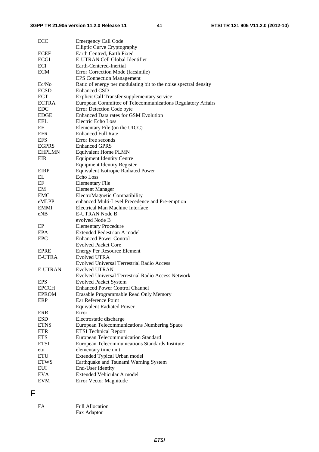| ECC            | <b>Emergency Call Code</b><br><b>Elliptic Curve Cryptography</b> |
|----------------|------------------------------------------------------------------|
|                |                                                                  |
| <b>ECEF</b>    | Earth Centred, Earth Fixed                                       |
| <b>ECGI</b>    | E-UTRAN Cell Global Identifier                                   |
| <b>ECI</b>     | Earth-Centered-Inertial                                          |
| <b>ECM</b>     | Error Correction Mode (facsimile)                                |
|                | <b>EPS Connection Management</b>                                 |
| Ec/No          | Ratio of energy per modulating bit to the noise spectral density |
| <b>ECSD</b>    | <b>Enhanced CSD</b>                                              |
| <b>ECT</b>     | Explicit Call Transfer supplementary service                     |
| <b>ECTRA</b>   | European Committee of Telecommunications Regulatory Affairs      |
| <b>EDC</b>     | Error Detection Code byte                                        |
| <b>EDGE</b>    | <b>Enhanced Data rates for GSM Evolution</b>                     |
| <b>EEL</b>     | Electric Echo Loss                                               |
| EF             | Elementary File (on the UICC)                                    |
| EFR            | <b>Enhanced Full Rate</b>                                        |
| <b>EFS</b>     | Error free seconds                                               |
| <b>EGPRS</b>   | <b>Enhanced GPRS</b>                                             |
| <b>EHPLMN</b>  | <b>Equivalent Home PLMN</b>                                      |
| EIR            | <b>Equipment Identity Centre</b>                                 |
|                | <b>Equipment Identity Register</b>                               |
| <b>EIRP</b>    | Equivalent Isotropic Radiated Power                              |
| EL             | Echo Loss                                                        |
| EF             | <b>Elementary File</b>                                           |
| EM             | <b>Element Manager</b>                                           |
| <b>EMC</b>     | ElectroMagnetic Compatibility                                    |
| eMLPP          | enhanced Multi-Level Precedence and Pre-emption                  |
| <b>EMMI</b>    | Electrical Man Machine Interface                                 |
| eNB            | E-UTRAN Node B                                                   |
|                | evolved Node B                                                   |
| EP             | <b>Elementary Procedure</b>                                      |
| EPA            | Extended Pedestrian A model                                      |
| <b>EPC</b>     | <b>Enhanced Power Control</b>                                    |
|                | <b>Evolved Packet Core</b>                                       |
| EPRE           | <b>Energy Per Resource Element</b>                               |
| E-UTRA         | <b>Evolved UTRA</b>                                              |
|                | <b>Evolved Universal Terrestrial Radio Access</b>                |
| <b>E-UTRAN</b> | <b>Evolved UTRAN</b>                                             |
|                |                                                                  |
| <b>EPS</b>     | Evolved Universal Terrestrial Radio Access Network               |
|                | <b>Evolved Packet System</b>                                     |
| <b>EPCCH</b>   | <b>Enhanced Power Control Channel</b>                            |
| <b>EPROM</b>   | Erasable Programmable Read Only Memory                           |
| ERP            | Ear Reference Point                                              |
|                | <b>Equivalent Radiated Power</b>                                 |
| ERR            | Error                                                            |
| <b>ESD</b>     | Electrostatic discharge                                          |
| <b>ETNS</b>    | European Telecommunications Numbering Space                      |
| <b>ETR</b>     | <b>ETSI Technical Report</b>                                     |
| <b>ETS</b>     | <b>European Telecommunication Standard</b>                       |
| <b>ETSI</b>    | European Telecommunications Standards Institute                  |
| etu            | elementary time unit                                             |
| <b>ETU</b>     | Extended Typical Urban model                                     |
| <b>ETWS</b>    | Earthquake and Tsunami Warning System                            |
| EUI            | End-User Identity                                                |
| <b>EVA</b>     | Extended Vehicular A model                                       |
| <b>EVM</b>     | Error Vector Magnitude                                           |

F

| FA | <b>Full Allocation</b> |
|----|------------------------|
|    | Fax Adaptor            |

*ETSI*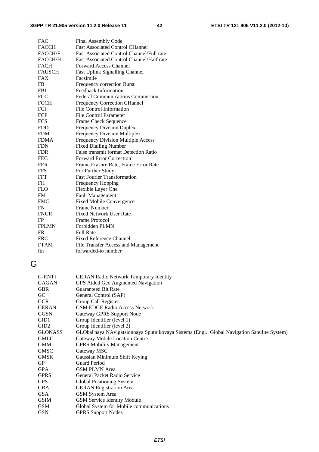| <b>FAC</b>     | Final Assembly Code                              |
|----------------|--------------------------------------------------|
| <b>FACCH</b>   | <b>Fast Associated Control CHannel</b>           |
| <b>FACCH/F</b> | <b>Fast Associated Control Channel/Full rate</b> |
| <b>FACCH/H</b> | <b>Fast Associated Control Channel/Half rate</b> |
| <b>FACH</b>    | Forward Access Channel                           |
| <b>FAUSCH</b>  | <b>Fast Uplink Signalling Channel</b>            |
| <b>FAX</b>     | Facsimile                                        |
| FB             | Frequency correction Burst                       |
| <b>FBI</b>     | <b>Feedback Information</b>                      |
| FCC            | <b>Federal Communications Commission</b>         |
| <b>FCCH</b>    | <b>Frequency Correction CHannel</b>              |
| FCI            | <b>File Control Information</b>                  |
| <b>FCP</b>     | <b>File Control Parameter</b>                    |
| <b>FCS</b>     | <b>Frame Check Sequence</b>                      |
| <b>FDD</b>     | <b>Frequency Division Duplex</b>                 |
| <b>FDM</b>     | <b>Frequency Division Multiplex</b>              |
| <b>FDMA</b>    | <b>Frequency Division Multiple Access</b>        |
| <b>FDN</b>     | <b>Fixed Dialling Number</b>                     |
| <b>FDR</b>     | False transmit format Detection Ratio            |
| <b>FEC</b>     | <b>Forward Error Correction</b>                  |
| <b>FER</b>     | Frame Erasure Rate, Frame Error Rate             |
| <b>FFS</b>     | For Further Study                                |
| FFT            | <b>Fast Fourier Transformation</b>               |
| FH             | Frequency Hopping                                |
| <b>FLO</b>     | Flexible Layer One                               |
| <b>FM</b>      | <b>Fault Management</b>                          |
| <b>FMC</b>     | <b>Fixed Mobile Convergence</b>                  |
| FN             | <b>Frame Number</b>                              |
| <b>FNUR</b>    | <b>Fixed Network User Rate</b>                   |
| FP.            | Frame Protocol                                   |
| <b>FPLMN</b>   | Forbidden PLMN                                   |
| <b>FR</b>      | <b>Full Rate</b>                                 |
| <b>FRC</b>     | <b>Fixed Reference Channel</b>                   |
| <b>FTAM</b>    | File Transfer Access and Management              |
| ftn            | forwarded-to number                              |
|                |                                                  |

### G

| <b>GERAN Radio Network Temporary Identity</b>                                                |
|----------------------------------------------------------------------------------------------|
| GPS Aided Geo Augmented Navigation                                                           |
| <b>Guaranteed Bit Rate</b>                                                                   |
| General Control (SAP)                                                                        |
| Group Call Register                                                                          |
| <b>GSM EDGE Radio Access Network</b>                                                         |
| <b>Gateway GPRS Support Node</b>                                                             |
| Group Identifier (level 1)                                                                   |
| Group Identifier (level 2)                                                                   |
| GLObal'naya NAvigatsionnaya Sputnikovaya Sistema (Engl.: Global Navigation Satellite System) |
| Gateway Mobile Location Centre                                                               |
| <b>GPRS Mobility Management</b>                                                              |
| Gateway MSC                                                                                  |
| Gaussian Minimum Shift Keying                                                                |
| <b>Guard Period</b>                                                                          |
| <b>GSM PLMN Area</b>                                                                         |
| General Packet Radio Service                                                                 |
| Global Positioning System                                                                    |
| <b>GERAN Registration Area</b>                                                               |
| GSM System Area                                                                              |
| <b>GSM Service Identity Module</b>                                                           |
| Global System for Mobile communications                                                      |
| <b>GPRS Support Nodes</b>                                                                    |
|                                                                                              |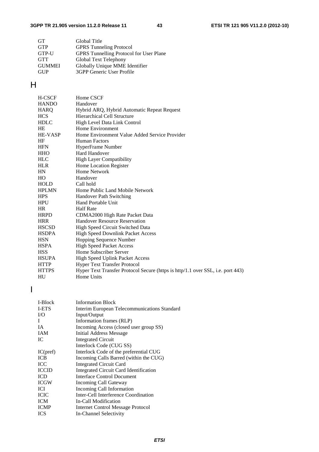| <b>GT</b>     | Global Title                                   |
|---------------|------------------------------------------------|
| <b>GTP</b>    | <b>GPRS</b> Tunneling Protocol                 |
| GTP-U         | <b>GPRS</b> Tunnelling Protocol for User Plane |
| <b>GTT</b>    | Global Text Telephony                          |
| <b>GUMMEI</b> | Globally Unique MME Identifier                 |
| <b>GUP</b>    | 3GPP Generic User Profile                      |
|               |                                                |

### H

| H-CSCF         | Home CSCF                                                                       |
|----------------|---------------------------------------------------------------------------------|
| <b>HANDO</b>   | Handover                                                                        |
| HARQ           | Hybrid ARQ, Hybrid Automatic Repeat Request                                     |
| <b>HCS</b>     | <b>Hierarchical Cell Structure</b>                                              |
| <b>HDLC</b>    | High Level Data Link Control                                                    |
| HE             | Home Environment                                                                |
| <b>HE-VASP</b> | Home Environment Value Added Service Provider                                   |
| HF             | <b>Human Factors</b>                                                            |
| <b>HFN</b>     | HyperFrame Number                                                               |
| <b>HHO</b>     | <b>Hard Handover</b>                                                            |
| <b>HLC</b>     | <b>High Layer Compatibility</b>                                                 |
| <b>HLR</b>     | Home Location Register                                                          |
| HN             | Home Network                                                                    |
| HO.            | Handover                                                                        |
| <b>HOLD</b>    | Call hold                                                                       |
| <b>HPLMN</b>   | Home Public Land Mobile Network                                                 |
| <b>HPS</b>     | <b>Handover Path Switching</b>                                                  |
| <b>HPU</b>     | <b>Hand Portable Unit</b>                                                       |
| HR             | <b>Half Rate</b>                                                                |
| <b>HRPD</b>    | CDMA2000 High Rate Packet Data                                                  |
| <b>HRR</b>     | <b>Handover Resource Reservation</b>                                            |
| <b>HSCSD</b>   | High Speed Circuit Switched Data                                                |
| <b>HSDPA</b>   | <b>High Speed Downlink Packet Access</b>                                        |
| <b>HSN</b>     | Hopping Sequence Number                                                         |
| <b>HSPA</b>    | <b>High Speed Packet Access</b>                                                 |
| <b>HSS</b>     | Home Subscriber Server                                                          |
| <b>HSUPA</b>   | <b>High Speed Uplink Packet Access</b>                                          |
| <b>HTTP</b>    | Hyper Text Transfer Protocol                                                    |
| <b>HTTPS</b>   | Hyper Text Transfer Protocol Secure (https is http/1.1 over SSL, i.e. port 443) |
| HU             | Home Units                                                                      |

I

| <b>Information Block</b>                     |
|----------------------------------------------|
| Interim European Telecommunications Standard |
| Input/Output                                 |
| Information frames (RLP)                     |
| Incoming Access (closed user group SS)       |
| Initial Address Message                      |
| <b>Integrated Circuit</b>                    |
| Interlock Code (CUG SS)                      |
| Interlock Code of the preferential CUG       |
| Incoming Calls Barred (within the CUG)       |
| <b>Integrated Circuit Card</b>               |
| Integrated Circuit Card Identification       |
| <b>Interface Control Document</b>            |
| Incoming Call Gateway                        |
| Incoming Call Information                    |
| Inter-Cell Interference Coordination         |
| In-Call Modification                         |
| Internet Control Message Protocol            |
| In-Channel Selectivity                       |
|                                              |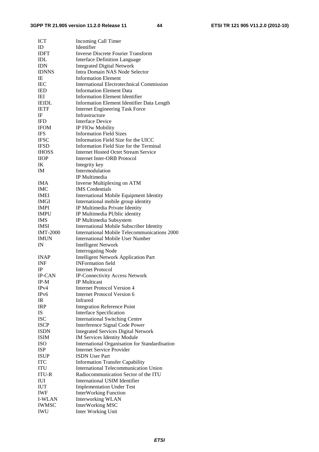| <b>ICT</b>                 | <b>Incoming Call Timer</b>                                                           |
|----------------------------|--------------------------------------------------------------------------------------|
| ID                         | Identifier                                                                           |
| <b>IDFT</b>                | <b>Inverse Discrete Fourier Transform</b>                                            |
| <b>IDL</b>                 | <b>Interface Definition Language</b>                                                 |
| <b>IDN</b>                 | <b>Integrated Digital Network</b>                                                    |
| <b>IDNNS</b>               | Intra Domain NAS Node Selector                                                       |
| IE                         | <b>Information Element</b>                                                           |
| <b>IEC</b>                 | <b>International Electrotechnical Commission</b>                                     |
| <b>IED</b>                 | <b>Information Element Data</b>                                                      |
| IEI                        | <b>Information Element Identifier</b>                                                |
| <b>IEIDL</b>               | Information Element Identifier Data Length                                           |
| <b>IETF</b>                | <b>Internet Engineering Task Force</b>                                               |
| ΙF                         | Infrastructure                                                                       |
| <b>IFD</b>                 | <b>Interface Device</b>                                                              |
| <b>IFOM</b>                | IP FlOw Mobility                                                                     |
| <b>IFS</b>                 | <b>Information Field Sizes</b>                                                       |
| <b>IFSC</b>                | Information Field Size for the UICC                                                  |
| <b>IFSD</b>                | Information Field Size for the Terminal                                              |
| <b>IHOSS</b>               | <b>Internet Hosted Octet Stream Service</b>                                          |
| <b>IIOP</b>                | Internet Inter-ORB Protocol                                                          |
| IK                         |                                                                                      |
| <b>IM</b>                  | Integrity key<br>Intermodulation                                                     |
|                            |                                                                                      |
|                            | IP Multimedia                                                                        |
| IMA                        | Inverse Multiplexing on ATM                                                          |
| <b>IMC</b>                 | <b>IMS</b> Credentials                                                               |
| <b>IMEI</b>                | <b>International Mobile Equipment Identity</b>                                       |
| IMGI                       | International mobile group identity                                                  |
| <b>IMPI</b>                | IP Multimedia Private Identity                                                       |
| <b>IMPU</b>                | IP Multimedia PUblic identity                                                        |
| <b>IMS</b>                 | IP Multimedia Subsystem                                                              |
|                            |                                                                                      |
| <b>IMSI</b>                | <b>International Mobile Subscriber Identity</b>                                      |
| <b>IMT-2000</b>            | International Mobile Telecommunications 2000                                         |
| <b>IMUN</b>                | <b>International Mobile User Number</b>                                              |
| IN                         | <b>Intelligent Network</b>                                                           |
|                            | <b>Interrogating Node</b>                                                            |
| <b>INAP</b>                | <b>Intelligent Network Application Part</b>                                          |
| INF                        | <b>INFormation field</b>                                                             |
| IP                         | Internet Protocol                                                                    |
| IP-CAN                     | <b>IP-Connectivity Access Network</b>                                                |
| IP-M                       | <b>IP</b> Multicast                                                                  |
| IPv4                       | <b>Internet Protocol Version 4</b>                                                   |
| IP <sub>v</sub> 6          | Internet Protocol Version 6                                                          |
| IR                         | Infrared                                                                             |
| <b>IRP</b>                 | <b>Integration Reference Point</b>                                                   |
| IS                         | <b>Interface Specification</b>                                                       |
| <b>ISC</b>                 |                                                                                      |
| <b>ISCP</b>                | <b>International Switching Centre</b>                                                |
| <b>ISDN</b>                | Interference Signal Code Power                                                       |
| <b>ISIM</b>                | <b>Integrated Services Digital Network</b>                                           |
| <b>ISO</b>                 | IM Services Identity Module                                                          |
|                            | International Organisation for Standardisation<br><b>Internet Service Provider</b>   |
| <b>ISP</b><br><b>ISUP</b>  | <b>ISDN</b> User Part                                                                |
| <b>ITC</b>                 |                                                                                      |
|                            | <b>Information Transfer Capability</b>                                               |
| <b>ITU</b>                 | <b>International Telecommunication Union</b><br>Radiocommunication Sector of the ITU |
| <b>ITU-R</b>               |                                                                                      |
| IUI                        | <b>International USIM Identifier</b>                                                 |
| <b>IUT</b>                 | <b>Implementation Under Test</b>                                                     |
| <b>IWF</b>                 | <b>InterWorking Function</b>                                                         |
| <b>I-WLAN</b>              | <b>Interworking WLAN</b>                                                             |
| <b>IWMSC</b><br><b>IWU</b> | <b>InterWorking MSC</b><br>Inter Working Unit                                        |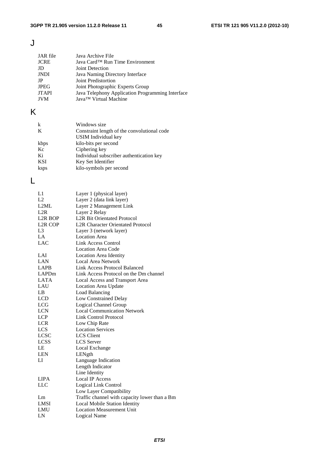### J

| JAR file     | Java Archive File                                |
|--------------|--------------------------------------------------|
| <b>JCRE</b>  | Java Card™ Run Time Environment                  |
| JD           | <b>Joint Detection</b>                           |
| JNDI         | Java Naming Directory Interface                  |
| JP.          | Joint Predistortion                              |
| <b>JPEG</b>  | Joint Photographic Experts Group                 |
| <b>JTAPI</b> | Java Telephony Application Programming Interface |
| <b>JVM</b>   | Java™ Virtual Machine                            |

### K

| k    | Windows size                                |
|------|---------------------------------------------|
| K    | Constraint length of the convolutional code |
|      | USIM Individual key                         |
| kbps | kilo-bits per second                        |
| Kc   | Ciphering key                               |
| Ki   | Individual subscriber authentication key    |
| KSI  | Key Set Identifier                          |
| ksps | kilo-symbols per second                     |

### L

| L1                   | Layer 1 (physical layer)                      |
|----------------------|-----------------------------------------------|
| L2                   | Layer 2 (data link layer)                     |
| L2ML                 | Layer 2 Management Link                       |
| L2R                  | Layer 2 Relay                                 |
| <b>L2R BOP</b>       | <b>L2R Bit Orientated Protocol</b>            |
| L <sub>2</sub> R COP | <b>L2R Character Orientated Protocol</b>      |
| L <sub>3</sub>       | Layer 3 (network layer)                       |
| LA                   | <b>Location Area</b>                          |
| <b>LAC</b>           | Link Access Control                           |
|                      | <b>Location Area Code</b>                     |
| LAI                  | <b>Location Area Identity</b>                 |
| LAN                  | Local Area Network                            |
| <b>LAPB</b>          | <b>Link Access Protocol Balanced</b>          |
| <b>LAPDm</b>         | Link Access Protocol on the Dm channel        |
| <b>LATA</b>          | Local Access and Transport Area               |
| LAU                  | Location Area Update                          |
| LB                   | Load Balancing                                |
| <b>LCD</b>           | Low Constrained Delay                         |
| <b>LCG</b>           | Logical Channel Group                         |
| <b>LCN</b>           | <b>Local Communication Network</b>            |
| <b>LCP</b>           | <b>Link Control Protocol</b>                  |
| <b>LCR</b>           | Low Chip Rate                                 |
| <b>LCS</b>           | <b>Location Services</b>                      |
| <b>LCSC</b>          | <b>LCS</b> Client                             |
| <b>LCSS</b>          | <b>LCS</b> Server                             |
| LE                   | Local Exchange                                |
| <b>LEN</b>           | LENgth                                        |
| LI                   | Language Indication                           |
|                      | Length Indicator                              |
|                      | Line Identity                                 |
| <b>LIPA</b>          | <b>Local IP Access</b>                        |
| <b>LLC</b>           | Logical Link Control                          |
|                      | Low Layer Compatibility                       |
| Lm                   | Traffic channel with capacity lower than a Bm |
| <b>LMSI</b>          | Local Mobile Station Identity                 |
| LMU                  | <b>Location Measurement Unit</b>              |
| LN                   | Logical Name                                  |
|                      |                                               |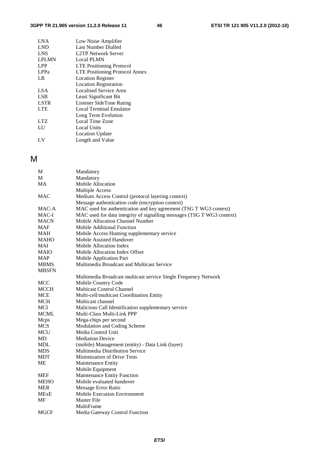#### **3GPP TR 21.905 version 11.2.0 Release 11 46 ETSI TR 121 905 V11.2.0 (2012-10)**

| <b>LNA</b>   | Low Noise Amplifier                   |
|--------------|---------------------------------------|
| <b>LND</b>   | Last Number Dialled                   |
| <b>LNS</b>   | L2TP Network Server                   |
| <b>LPLMN</b> | <b>Local PLMN</b>                     |
| <b>LPP</b>   | <b>LTE Positioning Protocol</b>       |
| LPPa         | <b>LTE Positioning Protocol Annex</b> |
| LR           | <b>Location Register</b>              |
|              | <b>Location Registration</b>          |
| LSA          | Localised Service Area                |
| <b>LSB</b>   | Least Significant Bit                 |
| <b>LSTR</b>  | Listener SideTone Rating              |
| <b>LTE</b>   | <b>Local Terminal Emulator</b>        |
|              | Long Term Evolution                   |
| <b>LTZ</b>   | Local Time Zone                       |
| LU           | <b>Local Units</b>                    |
|              | <b>Location Update</b>                |
| LV           | Length and Value                      |
|              |                                       |

### M

| М            | Mandatory                                                              |
|--------------|------------------------------------------------------------------------|
| М            | Mandatory                                                              |
| MA           | Mobile Allocation                                                      |
|              | <b>Multiple Access</b>                                                 |
| <b>MAC</b>   | Medium Access Control (protocol layering context)                      |
|              | Message authentication code (encryption context)                       |
| MAC-A        | MAC used for authentication and key agreement (TSG T WG3 context)      |
| MAC-I        | MAC used for data integrity of signalling messages (TSG T WG3 context) |
| <b>MACN</b>  | Mobile Allocation Channel Number                                       |
| <b>MAF</b>   | Mobile Additional Function                                             |
| <b>MAH</b>   | Mobile Access Hunting supplementary service                            |
| МАНО         | Mobile Assisted Handover                                               |
| MAI          | Mobile Allocation Index                                                |
| <b>MAIO</b>  | Mobile Allocation Index Offset                                         |
| <b>MAP</b>   | <b>Mobile Application Part</b>                                         |
| <b>MBMS</b>  | Multimedia Broadcast and Multicast Service                             |
| <b>MBSFN</b> |                                                                        |
|              | Multimedia Broadcast multicast service Single Frequency Network        |
| MCC          | Mobile Country Code                                                    |
| <b>MCCH</b>  | <b>Multicast Control Channel</b>                                       |
| <b>MCE</b>   | Multi-cell/multicast Coordination Entity                               |
| <b>MCH</b>   | Multicast channel                                                      |
| <b>MCI</b>   | Malicious Call Identification supplementary service                    |
| <b>MCML</b>  | Multi-Class Multi-Link PPP                                             |
| Mcps         | Mega-chips per second                                                  |
| <b>MCS</b>   | Modulation and Coding Scheme                                           |
| <b>MCU</b>   | Media Control Unit                                                     |
| MD           | <b>Mediation Device</b>                                                |
| MDL          | (mobile) Management (entity) - Data Link (layer)                       |
| <b>MDS</b>   | Multimedia Distribution Service                                        |
| <b>MDT</b>   | <b>Minimization of Drive Tests</b>                                     |
| MЕ           | Maintenance Entity                                                     |
|              | Mobile Equipment                                                       |
| <b>MEF</b>   | Maintenance Entity Function                                            |
| <b>MEHO</b>  | Mobile evaluated handover                                              |
| <b>MER</b>   | Message Error Ratio                                                    |
| MExE         | <b>Mobile Execution Environment</b>                                    |
| MF           | <b>Master File</b>                                                     |
|              | MultiFrame                                                             |
| MGCF         | Media Gateway Control Function                                         |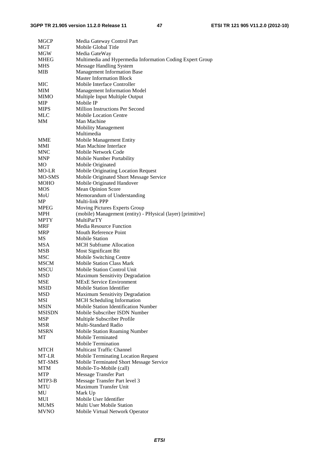#### **3GPP TR 21.905 version 11.2.0 Release 11 47 ETSI TR 121 905 V11.2.0 (2012-10)**

| <b>MGCP</b>   | Media Gateway Control Part                                  |
|---------------|-------------------------------------------------------------|
| MGT           | Mobile Global Title                                         |
| <b>MGW</b>    | Media GateWay                                               |
| <b>MHEG</b>   | Multimedia and Hypermedia Information Coding Expert Group   |
| <b>MHS</b>    | <b>Message Handling System</b>                              |
| <b>MIB</b>    | <b>Management Information Base</b>                          |
|               | <b>Master Information Block</b>                             |
| <b>MIC</b>    | Mobile Interface Controller                                 |
| MIM           | <b>Management Information Model</b>                         |
| <b>MIMO</b>   | Multiple Input Multiple Output                              |
| MIP           | Mobile IP                                                   |
| <b>MIPS</b>   | Million Instructions Per Second                             |
| MLC           | <b>Mobile Location Centre</b>                               |
| MМ            | Man Machine                                                 |
|               | Mobility Management                                         |
|               | Multimedia                                                  |
| MME           | Mobile Management Entity                                    |
| MMI           | Man Machine Interface                                       |
| <b>MNC</b>    | Mobile Network Code                                         |
|               |                                                             |
| <b>MNP</b>    | Mobile Number Portability                                   |
| МO            | Mobile Originated                                           |
| MO-LR         | Mobile Originating Location Request                         |
| <b>MO-SMS</b> | Mobile Originated Short Message Service                     |
| <b>MOHO</b>   | Mobile Originated Handover                                  |
| <b>MOS</b>    | <b>Mean Opinion Score</b>                                   |
| MoU           | Memorandum of Understanding                                 |
| MP            | Multi-link PPP                                              |
| <b>MPEG</b>   | Moving Pictures Experts Group                               |
| MPH           | (mobile) Management (entity) - PHysical (layer) [primitive] |
| <b>MPTY</b>   | <b>MultiParTY</b>                                           |
| <b>MRF</b>    | <b>Media Resource Function</b>                              |
| <b>MRP</b>    | Mouth Reference Point                                       |
| <b>MS</b>     | <b>Mobile Station</b>                                       |
| <b>MSA</b>    | <b>MCH</b> Subframe Allocation                              |
| MSB           | Most Significant Bit                                        |
| <b>MSC</b>    | Mobile Switching Centre                                     |
| <b>MSCM</b>   | <b>Mobile Station Class Mark</b>                            |
| <b>MSCU</b>   | Mobile Station Control Unit                                 |
| <b>MSD</b>    | <b>Maximum Sensitivity Degradation</b>                      |
| <b>MSE</b>    | <b>MExE Service Environment</b>                             |
| MSID          | <b>Mobile Station Identifier</b>                            |
| MSD           | Maximum Sensitivity Degradation                             |
| <b>MSI</b>    | MCH Scheduling Information                                  |
| <b>MSIN</b>   | Mobile Station Identification Number                        |
| <b>MSISDN</b> | Mobile Subscriber ISDN Number                               |
| <b>MSP</b>    | Multiple Subscriber Profile                                 |
| <b>MSR</b>    | Multi-Standard Radio                                        |
| <b>MSRN</b>   | <b>Mobile Station Roaming Number</b>                        |
| МT            | Mobile Terminated                                           |
|               | <b>Mobile Termination</b>                                   |
| MTCH          | <b>Multicast Traffic Channel</b>                            |
| MT-LR         | <b>Mobile Terminating Location Request</b>                  |
| MT-SMS        | Mobile Terminated Short Message Service                     |
| <b>MTM</b>    | Mobile-To-Mobile (call)                                     |
| MTP           | <b>Message Transfer Part</b>                                |
| MTP3-B        | Message Transfer Part level 3                               |
| MTU           | Maximum Transfer Unit                                       |
| MU            | Mark Up                                                     |
| MUI           | Mobile User Identifier                                      |
| MUMS          | Multi User Mobile Station                                   |
| <b>MVNO</b>   | Mobile Virtual Network Operator                             |
|               |                                                             |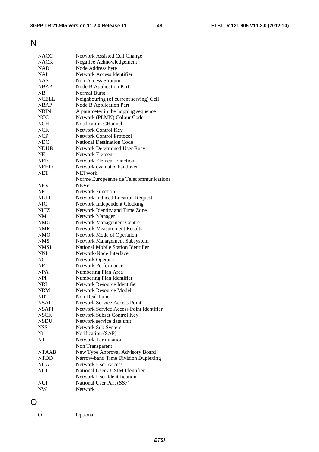### N

| <b>NACC</b>  | Network Assisted Cell Change            |
|--------------|-----------------------------------------|
| <b>NACK</b>  | Negative Acknowledgement                |
| NAD          | Node Address byte                       |
| <b>NAI</b>   | Network Access Identifier               |
| <b>NAS</b>   | <b>Non-Access Stratum</b>               |
| <b>NBAP</b>  | Node B Application Part                 |
| NB           | Normal Burst                            |
| <b>NCELL</b> | Neighbouring (of current serving) Cell  |
| <b>NBAP</b>  | Node B Application Part                 |
| <b>NBIN</b>  | A parameter in the hopping sequence     |
| <b>NCC</b>   | Network (PLMN) Colour Code              |
| <b>NCH</b>   | Notification CHannel                    |
| <b>NCK</b>   | Network Control Key                     |
| <b>NCP</b>   | <b>Network Control Protocol</b>         |
| <b>NDC</b>   | <b>National Destination Code</b>        |
| <b>NDUB</b>  | Network Determined User Busy            |
| <b>NE</b>    | Network Element                         |
|              | <b>Network Element Function</b>         |
| <b>NEF</b>   |                                         |
| <b>NEHO</b>  | Network evaluated handover              |
| <b>NET</b>   | <b>NETwork</b>                          |
|              | Norme Europeenne de Télécommunications  |
| <b>NEV</b>   | <b>NEVer</b>                            |
| NF           | <b>Network Function</b>                 |
| NI-LR        | Network Induced Location Request        |
| <b>NIC</b>   | Network Independent Clocking            |
| <b>NITZ</b>  | Network Identity and Time Zone          |
| <b>NM</b>    | Network Manager                         |
| <b>NMC</b>   | <b>Network Management Centre</b>        |
| NMR          | <b>Network Measurement Results</b>      |
| NMO          | Network Mode of Operation               |
| <b>NMS</b>   | Network Management Subsystem            |
| <b>NMSI</b>  | National Mobile Station Identifier      |
| <b>NNI</b>   | Network-Node Interface                  |
| NO           | Network Operator                        |
| NP           | <b>Network Performance</b>              |
| <b>NPA</b>   | Numbering Plan Area                     |
| <b>NPI</b>   | Numbering Plan Identifier               |
| <b>NRI</b>   | Network Resource Identifier             |
| <b>NRM</b>   | <b>Network Resource Model</b>           |
| <b>NRT</b>   | Non-Real Time                           |
|              | <b>Network Service Access Point</b>     |
| <b>NSAP</b>  | Network Service Access Point Identifier |
| <b>NSAPI</b> |                                         |
| <b>NSCK</b>  | Network Subset Control Key              |
| <b>NSDU</b>  | Network service data unit               |
| <b>NSS</b>   | Network Sub System                      |
| Nt           | Notification (SAP)                      |
| NT           | <b>Network Termination</b>              |
|              | Non Transparent                         |
| <b>NTAAB</b> | New Type Approval Advisory Board        |
| <b>NTDD</b>  | Narrow-band Time Division Duplexing     |
| <b>NUA</b>   | <b>Network User Access</b>              |
| <b>NUI</b>   | National User / USIM Identifier         |
|              | Network User Identification             |
| <b>NUP</b>   | National User Part (SS7)                |
| NW           | Network                                 |
|              |                                         |

O

O Optional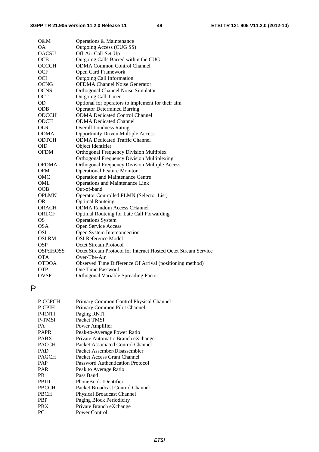| O&M              | Operations & Maintenance                                       |
|------------------|----------------------------------------------------------------|
| <b>OA</b>        | Outgoing Access (CUG SS)                                       |
| <b>OACSU</b>     | Off-Air-Call-Set-Up                                            |
| <b>OCB</b>       | Outgoing Calls Barred within the CUG                           |
| <b>OCCCH</b>     | <b>ODMA Common Control Channel</b>                             |
| <b>OCF</b>       | Open Card Framework                                            |
| <b>OCI</b>       | <b>Outgoing Call Information</b>                               |
| <b>OCNG</b>      | <b>OFDMA Channel Noise Generator</b>                           |
| <b>OCNS</b>      | Orthogonal Channel Noise Simulator                             |
| <b>OCT</b>       | <b>Outgoing Call Timer</b>                                     |
| OD               | Optional for operators to implement for their aim              |
| <b>ODB</b>       | <b>Operator Determined Barring</b>                             |
| <b>ODCCH</b>     | <b>ODMA Dedicated Control Channel</b>                          |
| <b>ODCH</b>      | <b>ODMA</b> Dedicated Channel                                  |
| <b>OLR</b>       | <b>Overall Loudness Rating</b>                                 |
| <b>ODMA</b>      | <b>Opportunity Driven Multiple Access</b>                      |
| <b>ODTCH</b>     | <b>ODMA</b> Dedicated Traffic Channel                          |
| <b>OID</b>       | Object Identifier                                              |
| <b>OFDM</b>      | <b>Orthogonal Frequency Division Multiplex</b>                 |
|                  | Orthogonal Frequency Division Multiplexing                     |
| <b>OFDMA</b>     | <b>Orthogonal Frequency Division Multiple Access</b>           |
| <b>OFM</b>       | <b>Operational Feature Monitor</b>                             |
| OMC              | <b>Operation and Maintenance Centre</b>                        |
| OML              | Operations and Maintenance Link                                |
| <b>OOB</b>       | Out-of-band                                                    |
| <b>OPLMN</b>     | Operator Controlled PLMN (Selector List)                       |
| <b>OR</b>        | <b>Optimal Routeing</b>                                        |
| <b>ORACH</b>     | <b>ODMA Random Access CHannel</b>                              |
| ORLCF            | Optimal Routeing for Late Call Forwarding                      |
| OS               | <b>Operations System</b>                                       |
| <b>OSA</b>       | Open Service Access                                            |
| <b>OSI</b>       | Open System Interconnection                                    |
| <b>OSI RM</b>    | <b>OSI Reference Model</b>                                     |
| <b>OSP</b>       | <b>Octet Stream Protocol</b>                                   |
| <b>OSP:IHOSS</b> | Octet Stream Protocol for Internet Hosted Octet Stream Service |
| <b>OTA</b>       | Over-The-Air                                                   |
| <b>OTDOA</b>     | Observed Time Difference Of Arrival (positioning method)       |
| <b>OTP</b>       | One Time Password                                              |
| <b>OVSF</b>      | Orthogonal Variable Spreading Factor                           |

### P

| P-CCPCH | Primary Common Control Physical Channel |
|---------|-----------------------------------------|
| P-CPIH  | Primary Common Pilot Channel            |
| P-RNTI  | Paging RNTI                             |
| P-TMSI  | Packet TMSI                             |
| PА      | Power Amplifier                         |
| PAPR    | Peak-to-Average Power Ratio             |
| PABX    | Private Automatic Branch eXchange       |
| PACCH   | Packet Associated Control Channel       |
| PAD     | Packet Assember/Disassembler            |
| PAGCH   | Packet Access Grant Channel             |
| PAP     | <b>Password Authentication Protocol</b> |
| PAR     | Peak to Average Ratio                   |
| PB      | Pass Band                               |
| PBID    | PhoneBook IDentifier                    |
| PBCCH   | Packet Broadcast Control Channel        |
| PBCH    | <b>Physical Broadcast Channel</b>       |
| PBP     | Paging Block Periodicity                |
| PBX     | Private Branch eXchange                 |
| PС      | <b>Power Control</b>                    |
|         |                                         |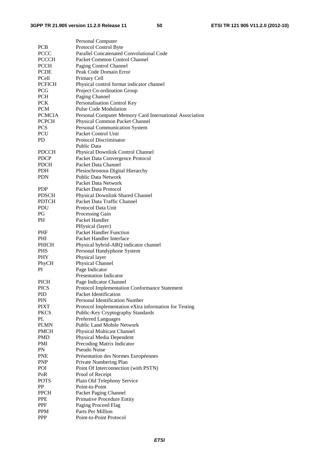|               | Personal Computer                                       |
|---------------|---------------------------------------------------------|
| <b>PCB</b>    | Protocol Control Byte                                   |
| <b>PCCC</b>   | Parallel Concatenated Convolutional Code                |
| <b>PCCCH</b>  | Packet Common Control Channel                           |
| <b>PCCH</b>   | Paging Control Channel                                  |
| <b>PCDE</b>   | Peak Code Domain Error                                  |
| PCell         | Primary Cell                                            |
| <b>PCFICH</b> | Physical control format indicator channel               |
| PCG           |                                                         |
| <b>PCH</b>    | Project Co-ordination Group<br>Paging Channel           |
| <b>PCK</b>    | Personalisation Control Key                             |
| <b>PCM</b>    | <b>Pulse Code Modulation</b>                            |
| <b>PCMCIA</b> | Personal Computer Memory Card International Association |
| <b>PCPCH</b>  | Physical Common Packet Channel                          |
| <b>PCS</b>    | Personal Communication System                           |
| PCU           | Packet Control Unit                                     |
| PD            | <b>Protocol Discriminator</b>                           |
|               | <b>Public Data</b>                                      |
| <b>PDCCH</b>  | Physical Downlink Control Channel                       |
| <b>PDCP</b>   | Packet Data Convergence Protocol                        |
| <b>PDCH</b>   | Packet Data Channel                                     |
| PDH           | Plesiochronous Digital Hierarchy                        |
| <b>PDN</b>    | <b>Public Data Network</b>                              |
|               | Packet Data Network                                     |
| <b>PDP</b>    | Packet Data Protocol                                    |
| <b>PDSCH</b>  | Physical Downlink Shared Channel                        |
| <b>PDTCH</b>  | Packet Data Traffic Channel                             |
| <b>PDU</b>    | Protocol Data Unit                                      |
| PG            | Processing Gain                                         |
| PH.           | Packet Handler                                          |
|               | PHysical (layer)                                        |
| <b>PHF</b>    | <b>Packet Handler Function</b>                          |
| <b>PHI</b>    | Packet Handler Interface                                |
| <b>PHICH</b>  | Physical hybrid-ARQ indicator channel                   |
| <b>PHS</b>    | Personal Handyphone System                              |
| <b>PHY</b>    | Physical layer                                          |
| PhyCH         | Physical Channel                                        |
| PI            | Page Indicator                                          |
|               | <b>Presentation Indicator</b>                           |
| <b>PICH</b>   | Page Indicator Channel                                  |
| <b>PICS</b>   | Protocol Implementation Conformance Statement           |
| PID           | Packet Identification                                   |
| PIN           | Personal Identification Number                          |
| <b>PIXT</b>   | Protocol Implementation eXtra information for Testing   |
| <b>PKCS</b>   | Public-Key Cryptography Standards                       |
| PL            | <b>Preferred Languages</b>                              |
| <b>PLMN</b>   | Public Land Mobile Network                              |
| <b>PMCH</b>   | <b>Physical Multicast Channel</b>                       |
| <b>PMD</b>    | Physical Media Dependent                                |
| <b>PMI</b>    | Precoding Matrix Indicator                              |
| <b>PN</b>     | Pseudo Noise                                            |
| <b>PNE</b>    | Présentation des Normes Européennes                     |
| <b>PNP</b>    | Private Numbering Plan                                  |
| POI           | Point Of Interconnection (with PSTN)                    |
| PoR           | Proof of Receipt                                        |
| <b>POTS</b>   | Plain Old Telephony Service                             |
| PP            | Point-to-Point                                          |
| <b>PPCH</b>   | Packet Paging Channel                                   |
| <b>PPE</b>    | Primative Procedure Entity                              |
| PPF           | Paging Proceed Flag                                     |
| <b>PPM</b>    | Parts Per Million                                       |
| PPP           | Point-to-Point Protocol                                 |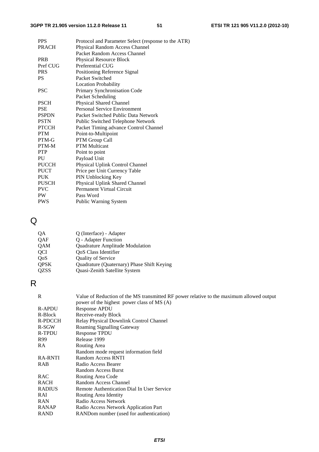| <b>PPS</b>   | Protocol and Parameter Select (response to the ATR) |
|--------------|-----------------------------------------------------|
| <b>PRACH</b> | Physical Random Access Channel                      |
|              | Packet Random Access Channel                        |
| <b>PRB</b>   | Physical Resource Block                             |
| Pref CUG     | Preferential CUG                                    |
| <b>PRS</b>   | Positioning Reference Signal                        |
| <b>PS</b>    | Packet Switched                                     |
|              | <b>Location Probability</b>                         |
| <b>PSC</b>   | Primary Synchronisation Code                        |
|              | Packet Scheduling                                   |
| <b>PSCH</b>  | <b>Physical Shared Channel</b>                      |
| <b>PSE</b>   | Personal Service Environment                        |
| <b>PSPDN</b> | Packet Switched Public Data Network                 |
| <b>PSTN</b>  | Public Switched Telephone Network                   |
| <b>PTCCH</b> | Packet Timing advance Control Channel               |
| <b>PTM</b>   | Point-to-Multipoint                                 |
| PTM-G        | PTM Group Call                                      |
| PTM-M        | <b>PTM</b> Multicast                                |
| <b>PTP</b>   | Point to point                                      |
| PU           | Payload Unit                                        |
| <b>PUCCH</b> | Physical Uplink Control Channel                     |
| <b>PUCT</b>  | Price per Unit Currency Table                       |
| <b>PUK</b>   | PIN Unblocking Key                                  |
| <b>PUSCH</b> | Physical Uplink Shared Channel                      |
| <b>PVC</b>   | <b>Permanent Virtual Circuit</b>                    |
| PW.          | Pass Word                                           |
| <b>PWS</b>   | Public Warning System                               |

### Q

| <b>OA</b>        | Q (Interface) - Adapter                    |
|------------------|--------------------------------------------|
| <b>QAF</b>       | Q - Adapter Function                       |
| <b>QAM</b>       | Quadrature Amplitude Modulation            |
| <b>OCI</b>       | OoS Class Identifier                       |
| O <sub>0</sub> S | Quality of Service                         |
| <b>QPSK</b>      | Quadrature (Quaternary) Phase Shift Keying |
| <b>QZSS</b>      | Quasi-Zenith Satellite System              |

### R

| R              | Value of Reduction of the MS transmitted RF power relative to the maximum allowed output<br>power of the highest power class of MS (A) |
|----------------|----------------------------------------------------------------------------------------------------------------------------------------|
| <b>R-APDU</b>  | Response APDU                                                                                                                          |
| R-Block        | Receive-ready Block                                                                                                                    |
| R-PDCCH        | Relay Physical Downlink Control Channel                                                                                                |
| R-SGW          | Roaming Signalling Gateway                                                                                                             |
| R-TPDU         | <b>Response TPDU</b>                                                                                                                   |
| R99            | Release 1999                                                                                                                           |
| RA             | Routing Area                                                                                                                           |
|                | Random mode request information field                                                                                                  |
| <b>RA-RNTI</b> | Random Access RNTI                                                                                                                     |
| RAB            | Radio Access Bearer                                                                                                                    |
|                | <b>Random Access Burst</b>                                                                                                             |
| <b>RAC</b>     | Routing Area Code                                                                                                                      |
| <b>RACH</b>    | Random Access Channel                                                                                                                  |
| <b>RADIUS</b>  | Remote Authentication Dial In User Service                                                                                             |
| RAI            | Routing Area Identity                                                                                                                  |
| <b>RAN</b>     | Radio Access Network                                                                                                                   |
| <b>RANAP</b>   | Radio Access Network Application Part                                                                                                  |
| <b>RAND</b>    | RANDom number (used for authentication)                                                                                                |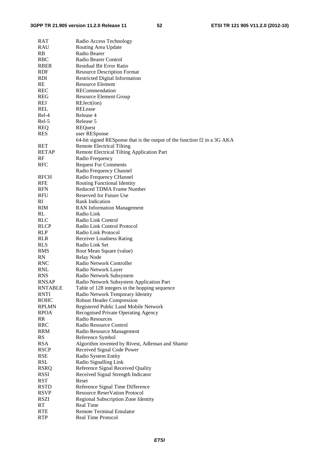#### **3GPP TR 21.905 version 11.2.0 Release 11 52 ETSI TR 121 905 V11.2.0 (2012-10)**

| RAT            | Radio Access Technology                                                  |
|----------------|--------------------------------------------------------------------------|
| RAU            | Routing Area Update                                                      |
| RB             | Radio Bearer                                                             |
| RBC            | Radio Bearer Control                                                     |
| RBER           | <b>Residual Bit Error Ratio</b>                                          |
| RDF            | <b>Resource Description Format</b>                                       |
| RDI            | <b>Restricted Digital Information</b>                                    |
| RE             | <b>Resource Element</b>                                                  |
| REC            | RECommendation                                                           |
| REG            | <b>Resource Element Group</b>                                            |
| <b>REJ</b>     | REJect(ion)                                                              |
| REL            | RELease                                                                  |
| Rel-4          | Release 4                                                                |
| Rel-5          | Release 5                                                                |
| <b>REQ</b>     | <b>REQuest</b>                                                           |
| RES            | user RESponse                                                            |
|                | 64-bit signed RESponse that is the output of the function f2 in a 3G AKA |
| RET            | <b>Remote Electrical Tilting</b>                                         |
| <b>RETAP</b>   | Remote Electrical Tilting Application Part                               |
| RF             | Radio Frequency                                                          |
| RFC            | <b>Request For Comments</b>                                              |
|                | Radio Frequency Channel                                                  |
| <b>RFCH</b>    | Radio Frequency CHannel                                                  |
| <b>RFE</b>     | Routing Functional Identity                                              |
| <b>RFN</b>     | Reduced TDMA Frame Number                                                |
| RFU            | Reserved for Future Use                                                  |
| RI             | Rank Indication                                                          |
| RIM            | <b>RAN</b> Information Management                                        |
| RL             | Radio Link                                                               |
| <b>RLC</b>     | Radio Link Control                                                       |
| RLCP           | Radio Link Control Protocol                                              |
| RLP            | Radio Link Protocol                                                      |
| RLR            | <b>Receiver Loudness Rating</b>                                          |
| <b>RLS</b>     | Radio Link Set                                                           |
| <b>RMS</b>     | Root Mean Square (value)                                                 |
| <b>RN</b>      | <b>Relay Node</b>                                                        |
| RNC            | Radio Network Controller                                                 |
| RNL            | Radio Network Layer                                                      |
| <b>RNS</b>     | Radio Network Subsystem                                                  |
| <b>RNSAP</b>   | Radio Network Subsystem Application Part                                 |
| <b>RNTABLE</b> | Table of 128 integers in the hopping sequence                            |
| <b>RNTI</b>    | Radio Network Temporary Identity                                         |
| <b>ROHC</b>    | <b>Robust Header Compression</b>                                         |
| <b>RPLMN</b>   | Registered Public Land Mobile Network                                    |
| <b>RPOA</b>    | Recognised Private Operating Agency                                      |
| RR             | Radio Resources                                                          |
| <b>RRC</b>     | Radio Resource Control                                                   |
| <b>RRM</b>     | Radio Resource Management                                                |
| <b>RS</b>      | Reference Symbol                                                         |
| <b>RSA</b>     | Algorithm invented by Rivest, Adleman and Shamir                         |
| <b>RSCP</b>    | Received Signal Code Power                                               |
| <b>RSE</b>     | Radio System Entity                                                      |
| RSL            | Radio Signalling Link                                                    |
| <b>RSRQ</b>    | Reference Signal Received Quality                                        |
| RSSI           | Received Signal Strength Indicator                                       |
| <b>RST</b>     | Reset                                                                    |
| <b>RSTD</b>    | Reference Signal Time Difference                                         |
| <b>RSVP</b>    | <b>Resource ReserVation Protocol</b>                                     |
| <b>RSZI</b>    | Regional Subscription Zone Identity                                      |
| <b>RT</b>      | <b>Real Time</b>                                                         |
| <b>RTE</b>     | <b>Remote Terminal Emulator</b>                                          |
| <b>RTP</b>     | Real Time Protocol                                                       |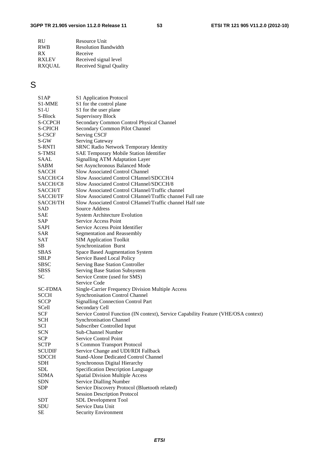| <b>RU</b>     | Resource Unit               |
|---------------|-----------------------------|
| <b>RWB</b>    | <b>Resolution Bandwidth</b> |
| RX            | Receive                     |
| <b>RXLEV</b>  | Received signal level       |
| <b>RXOUAL</b> | Received Signal Quality     |

### S

| S <sub>1</sub> AP   | S1 Application Protocol                                                             |
|---------------------|-------------------------------------------------------------------------------------|
| S <sub>1</sub> -MME | S1 for the control plane                                                            |
| $S1-U$              | S1 for the user plane                                                               |
| S-Block             | <b>Supervisory Block</b>                                                            |
| <b>S-CCPCH</b>      | Secondary Common Control Physical Channel                                           |
| <b>S-CPICH</b>      | Secondary Common Pilot Channel                                                      |
| S-CSCF              | <b>Serving CSCF</b>                                                                 |
| S-GW                | Serving Gateway                                                                     |
| <b>S-RNTI</b>       | <b>SRNC Radio Network Temporary Identity</b>                                        |
| S-TMSI              | SAE Temporary Mobile Station Identifier                                             |
| SAAL                | <b>Signalling ATM Adaptation Layer</b>                                              |
| <b>SABM</b>         | Set Asynchronous Balanced Mode                                                      |
| <b>SACCH</b>        | <b>Slow Associated Control Channel</b>                                              |
| SACCH/C4            | Slow Associated Control CHannel/SDCCH/4                                             |
| SACCH/C8            | Slow Associated Control CHannel/SDCCH/8                                             |
| SACCH/T             | Slow Associated Control CHannel/Traffic channel                                     |
| <b>SACCH/TF</b>     | Slow Associated Control CHannel/Traffic channel Full rate                           |
| <b>SACCH/TH</b>     | Slow Associated Control CHannel/Traffic channel Half rate                           |
| SAD                 | Source Address                                                                      |
| SAE                 | <b>System Architecture Evolution</b>                                                |
| SAP                 | Service Access Point                                                                |
| SAPI                | Service Access Point Identifier                                                     |
| SAR                 | Segmentation and Reassembly                                                         |
| <b>SAT</b>          | <b>SIM Application Toolkit</b>                                                      |
| SB.                 | Synchronization Burst                                                               |
| <b>SBAS</b>         | Space Based Augmentation System                                                     |
| <b>SBLP</b>         | Service Based Local Policy                                                          |
| <b>SBSC</b>         | Serving Base Station Controller                                                     |
| <b>SBSS</b>         | Serving Base Station Subsystem                                                      |
| <b>SC</b>           | Service Centre (used for SMS)                                                       |
|                     | Service Code                                                                        |
| <b>SC-FDMA</b>      | Single-Carrier Frequency Division Multiple Access                                   |
| <b>SCCH</b>         | <b>Synchronisation Control Channel</b>                                              |
| <b>SCCP</b>         | <b>Signalling Connection Control Part</b>                                           |
| SCell               | Secondary Cell                                                                      |
| <b>SCF</b>          | Service Control Function (IN context), Service Capability Feature (VHE/OSA context) |
| <b>SCH</b>          | <b>Synchronisation Channel</b>                                                      |
| SCI                 | Subscriber Controlled Input                                                         |
| <b>SCN</b>          | Sub-Channel Number                                                                  |
| <b>SCP</b>          | Service Control Point                                                               |
| <b>SCTP</b>         | <b>S Common Transport Protocol</b>                                                  |
| <b>SCUDIF</b>       | Service Change and UDI/RDI Fallback                                                 |
| <b>SDCCH</b>        | <b>Stand-Alone Dedicated Control Channel</b>                                        |
| <b>SDH</b>          |                                                                                     |
| <b>SDL</b>          | Synchronous Digital Hierarchy                                                       |
|                     | Specification Description Language                                                  |
| <b>SDMA</b>         | <b>Spatial Division Multiple Access</b>                                             |
| <b>SDN</b>          | <b>Service Dialling Number</b>                                                      |
| <b>SDP</b>          | Service Discovery Protocol (Bluetooth related)                                      |
|                     | <b>Session Description Protocol</b>                                                 |
| <b>SDT</b>          | SDL Development Tool                                                                |
| SDU                 | Service Data Unit                                                                   |
| $\rm SE$            | Security Environment                                                                |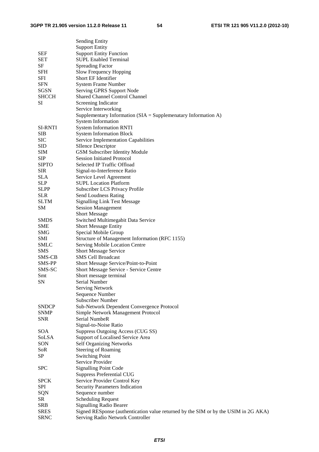|                | <b>Sending Entity</b>                                                               |
|----------------|-------------------------------------------------------------------------------------|
|                | <b>Support Entity</b>                                                               |
| SEF            | <b>Support Entity Function</b>                                                      |
| <b>SET</b>     | <b>SUPL Enabled Terminal</b>                                                        |
| SF             | <b>Spreading Factor</b>                                                             |
|                |                                                                                     |
| <b>SFH</b>     | Slow Frequency Hopping                                                              |
| SFI            | Short EF Identifier                                                                 |
| <b>SFN</b>     | <b>System Frame Number</b>                                                          |
| <b>SGSN</b>    | Serving GPRS Support Node                                                           |
| <b>SHCCH</b>   | <b>Shared Channel Control Channel</b>                                               |
| SI             | Screening Indicator                                                                 |
|                | Service Interworking                                                                |
|                | Supplementary Information ( $SIA =$ Supplemenatary Information A)                   |
|                | <b>System Information</b>                                                           |
|                |                                                                                     |
| <b>SI-RNTI</b> | <b>System Information RNTI</b>                                                      |
| <b>SIB</b>     | <b>System Information Block</b>                                                     |
| <b>SIC</b>     | Service Implementation Capabilities                                                 |
| <b>SID</b>     | <b>SIlence Descriptor</b>                                                           |
| <b>SIM</b>     | <b>GSM Subscriber Identity Module</b>                                               |
| <b>SIP</b>     | <b>Session Initiated Protocol</b>                                                   |
| <b>SIPTO</b>   | Selected IP Traffic Offload                                                         |
| <b>SIR</b>     | Signal-to-Interference Ratio                                                        |
| <b>SLA</b>     | Service Level Agreement                                                             |
| <b>SLP</b>     | <b>SUPL Location Platform</b>                                                       |
|                | Subscriber LCS Privacy Profile                                                      |
| <b>SLPP</b>    |                                                                                     |
| <b>SLR</b>     | Send Loudness Rating                                                                |
| <b>SLTM</b>    | <b>Signalling Link Test Message</b>                                                 |
| <b>SM</b>      | <b>Session Management</b>                                                           |
|                | <b>Short Message</b>                                                                |
| <b>SMDS</b>    | Switched Multimegabit Data Service                                                  |
| SME            | <b>Short Message Entity</b>                                                         |
| SMG            | Special Mobile Group                                                                |
| SMI            | Structure of Management Information (RFC 1155)                                      |
| <b>SMLC</b>    | Serving Mobile Location Centre                                                      |
| <b>SMS</b>     | <b>Short Message Service</b>                                                        |
| SMS-CB         | <b>SMS Cell Broadcast</b>                                                           |
| SMS-PP         | Short Message Service/Point-to-Point                                                |
| SMS-SC         | Short Message Service - Service Centre                                              |
|                |                                                                                     |
| Smt            | Short message terminal                                                              |
| <b>SN</b>      | Serial Number                                                                       |
|                | <b>Serving Network</b>                                                              |
|                | Sequence Number                                                                     |
|                | Subscriber Number                                                                   |
| <b>SNDCP</b>   | Sub-Network Dependent Convergence Protocol                                          |
| <b>SNMP</b>    | Simple Network Management Protocol                                                  |
| <b>SNR</b>     | Serial NumbeR                                                                       |
|                | Signal-to-Noise Ratio                                                               |
| SOA            | Suppress Outgoing Access (CUG SS)                                                   |
| SoLSA          | Support of Localised Service Area                                                   |
| SON            | <b>Self Organizing Networks</b>                                                     |
| SoR            | <b>Steering of Roaming</b>                                                          |
| <b>SP</b>      | <b>Switching Point</b>                                                              |
|                | Service Provider                                                                    |
| <b>SPC</b>     | <b>Signalling Point Code</b>                                                        |
|                | <b>Suppress Preferential CUG</b>                                                    |
| <b>SPCK</b>    | Service Provider Control Key                                                        |
|                |                                                                                     |
| <b>SPI</b>     | <b>Security Parameters Indication</b>                                               |
| <b>SQN</b>     | Sequence number                                                                     |
| <b>SR</b>      | <b>Scheduling Request</b>                                                           |
| <b>SRB</b>     | <b>Signalling Radio Bearer</b>                                                      |
| <b>SRES</b>    | Signed RESponse (authentication value returned by the SIM or by the USIM in 2G AKA) |
| <b>SRNC</b>    | Serving Radio Network Controller                                                    |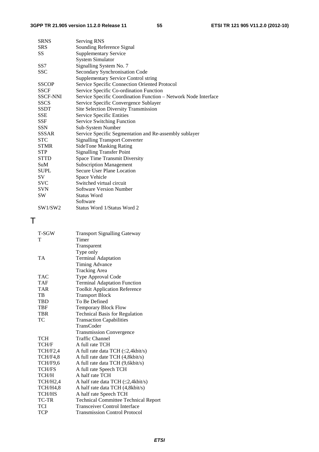| <b>SRNS</b>     | Serving RNS                                                     |  |  |  |  |  |  |
|-----------------|-----------------------------------------------------------------|--|--|--|--|--|--|
| <b>SRS</b>      | Sounding Reference Signal                                       |  |  |  |  |  |  |
| SS              | <b>Supplementary Service</b>                                    |  |  |  |  |  |  |
|                 | <b>System Simulator</b>                                         |  |  |  |  |  |  |
| SS7             | Signalling System No. 7                                         |  |  |  |  |  |  |
| SSC             | Secondary Synchronisation Code                                  |  |  |  |  |  |  |
|                 | <b>Supplementary Service Control string</b>                     |  |  |  |  |  |  |
| <b>SSCOP</b>    | Service Specific Connection Oriented Protocol                   |  |  |  |  |  |  |
| <b>SSCF</b>     | Service Specific Co-ordination Function                         |  |  |  |  |  |  |
| <b>SSCF-NNI</b> | Service Specific Coordination Function - Network Node Interface |  |  |  |  |  |  |
| <b>SSCS</b>     | Service Specific Convergence Sublayer                           |  |  |  |  |  |  |
| <b>SSDT</b>     | <b>Site Selection Diversity Transmission</b>                    |  |  |  |  |  |  |
| <b>SSE</b>      | Service Specific Entities                                       |  |  |  |  |  |  |
| <b>SSF</b>      | <b>Service Switching Function</b>                               |  |  |  |  |  |  |
| <b>SSN</b>      | Sub-System Number                                               |  |  |  |  |  |  |
| <b>SSSAR</b>    | Service Specific Segmentation and Re-assembly sublayer          |  |  |  |  |  |  |
| <b>STC</b>      | <b>Signalling Transport Converter</b>                           |  |  |  |  |  |  |
| <b>STMR</b>     | <b>SideTone Masking Rating</b>                                  |  |  |  |  |  |  |
| <b>STP</b>      | <b>Signalling Transfer Point</b>                                |  |  |  |  |  |  |
| <b>STTD</b>     | <b>Space Time Transmit Diversity</b>                            |  |  |  |  |  |  |
| SuM             | <b>Subscription Management</b>                                  |  |  |  |  |  |  |
| <b>SUPL</b>     | <b>Secure User Plane Location</b>                               |  |  |  |  |  |  |
| SV              | Space Vehicle                                                   |  |  |  |  |  |  |
| <b>SVC</b>      | Switched virtual circuit                                        |  |  |  |  |  |  |
| SVN             | <b>Software Version Number</b>                                  |  |  |  |  |  |  |
| <b>SW</b>       | <b>Status Word</b>                                              |  |  |  |  |  |  |
|                 | Software                                                        |  |  |  |  |  |  |
| SW1/SW2         | Status Word 1/Status Word 2                                     |  |  |  |  |  |  |
|                 |                                                                 |  |  |  |  |  |  |

### T

| T-SGW         | <b>Transport Signalling Gateway</b>         |  |  |  |  |  |
|---------------|---------------------------------------------|--|--|--|--|--|
| т             | Timer                                       |  |  |  |  |  |
|               | Transparent                                 |  |  |  |  |  |
|               | Type only                                   |  |  |  |  |  |
| TA            | <b>Terminal Adaptation</b>                  |  |  |  |  |  |
|               | <b>Timing Advance</b>                       |  |  |  |  |  |
|               | <b>Tracking Area</b>                        |  |  |  |  |  |
| TAC           | Type Approval Code                          |  |  |  |  |  |
| TAF           | <b>Terminal Adaptation Function</b>         |  |  |  |  |  |
| <b>TAR</b>    | <b>Toolkit Application Reference</b>        |  |  |  |  |  |
| TB            | <b>Transport Block</b>                      |  |  |  |  |  |
| <b>TBD</b>    | To Be Defined                               |  |  |  |  |  |
| TBF           | <b>Temporary Block Flow</b>                 |  |  |  |  |  |
| TBR           | <b>Technical Basis for Regulation</b>       |  |  |  |  |  |
| ТC            | <b>Transaction Capabilities</b>             |  |  |  |  |  |
|               | TransCoder                                  |  |  |  |  |  |
|               | <b>Transmission Convergence</b>             |  |  |  |  |  |
| TCH           | <b>Traffic Channel</b>                      |  |  |  |  |  |
| TCH/F         | A full rate TCH                             |  |  |  |  |  |
| TCH/F2,4      | A full rate data TCH ( $\leq$ 2,4kbit/s)    |  |  |  |  |  |
| TCH/F4,8      | A full rate date TCH (4,8kbit/s)            |  |  |  |  |  |
| TCH/F9.6      | A full rate data TCH (9,6kbit/s)            |  |  |  |  |  |
| <b>TCH/FS</b> | A full rate Speech TCH                      |  |  |  |  |  |
| TCH/H         | A half rate TCH                             |  |  |  |  |  |
| TCH/H2,4      | A half rate data TCH $(\leq 2,4$ kbit/s)    |  |  |  |  |  |
| TCH/H4,8      | A half rate data TCH (4,8kbit/s)            |  |  |  |  |  |
| <b>TCH/HS</b> | A half rate Speech TCH                      |  |  |  |  |  |
| TC-TR         | <b>Technical Committee Technical Report</b> |  |  |  |  |  |
| TCI           | <b>Transceiver Control Interface</b>        |  |  |  |  |  |
| <b>TCP</b>    | <b>Transmission Control Protocol</b>        |  |  |  |  |  |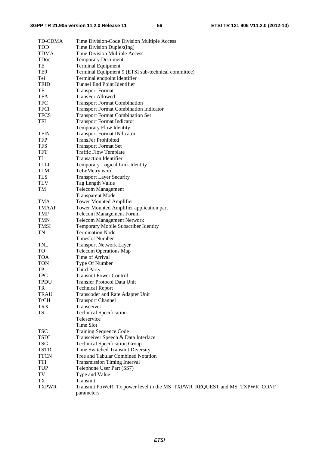| <b>TD-CDMA</b>   | Time Division-Code Division Multiple Access                              |
|------------------|--------------------------------------------------------------------------|
| <b>TDD</b>       | Time Division Duplex(ing)                                                |
| <b>TDMA</b>      | Time Division Multiple Access                                            |
| <b>TDoc</b>      | <b>Temporary Document</b>                                                |
| TE               | <b>Terminal Equipment</b>                                                |
| TE9              | Terminal Equipment 9 (ETSI sub-technical committee)                      |
| Tei              | Terminal endpoint identifier                                             |
| <b>TEID</b>      | Tunnel End Point Identifier                                              |
| TF               | <b>Transport Format</b>                                                  |
| <b>TFA</b>       | <b>TransFer Allowed</b>                                                  |
| <b>TFC</b>       | <b>Transport Format Combination</b>                                      |
| <b>TFCI</b>      | <b>Transport Format Combination Indicator</b>                            |
| <b>TFCS</b>      | <b>Transport Format Combination Set</b>                                  |
| <b>TFI</b>       | <b>Transport Format Indicator</b>                                        |
|                  | <b>Temporary Flow Identity</b>                                           |
| <b>TFIN</b>      | <b>Transport Format INdicator</b>                                        |
| <b>TFP</b>       | <b>TransFer Prohibited</b>                                               |
| <b>TFS</b>       | <b>Transport Format Set</b>                                              |
| <b>TFT</b>       | <b>Traffic Flow Template</b>                                             |
| TI               | <b>Transaction Identifier</b>                                            |
| <b>TLLI</b>      | Temporary Logical Link Identity                                          |
| <b>TLM</b>       | TeLeMetry word                                                           |
| <b>TLS</b>       | <b>Transport Layer Security</b>                                          |
| <b>TLV</b>       | Tag Length Value                                                         |
| TM               | <b>Telecom Management</b>                                                |
|                  | <b>Transparent Mode</b>                                                  |
| <b>TMA</b>       | <b>Tower Mounted Amplifier</b>                                           |
| <b>TMAAP</b>     | Tower Mounted Amplifier application part                                 |
| <b>TMF</b>       | <b>Telecom Management Forum</b>                                          |
| <b>TMN</b>       | <b>Telecom Management Network</b>                                        |
| <b>TMSI</b>      | Temporary Mobile Subscriber Identity                                     |
| <b>TN</b>        | <b>Termination Node</b>                                                  |
|                  | <b>Timeslot Number</b>                                                   |
| <b>TNL</b>       | <b>Transport Network Layer</b>                                           |
| <b>TO</b>        | <b>Telecom Operations Map</b>                                            |
| <b>TOA</b>       | Time of Arrival                                                          |
| <b>TON</b>       | Type Of Number                                                           |
| TP               | <b>Third Party</b>                                                       |
| <b>TPC</b>       | <b>Transmit Power Control</b>                                            |
| <b>TPDU</b>      | Transfer Protocol Data Unit                                              |
| TR               | <b>Technical Report</b>                                                  |
| <b>TRAU</b>      | Transcoder and Rate Adapter Unit                                         |
| <b>TrCH</b>      | <b>Transport Channel</b>                                                 |
| <b>TRX</b>       | Transceiver                                                              |
| <b>TS</b>        | <b>Technical Specification</b>                                           |
|                  | Teleservice                                                              |
|                  | Time Slot                                                                |
| <b>TSC</b>       | <b>Training Sequence Code</b>                                            |
| <b>TSDI</b>      | Transceiver Speech & Data Interface                                      |
| <b>TSG</b>       | <b>Technical Specification Group</b>                                     |
| <b>TSTD</b>      | Time Switched Transmit Diversity                                         |
| <b>TTCN</b>      | Tree and Tabular Combined Notation                                       |
| TTI              | <b>Transmission Timing Interval</b>                                      |
| <b>TUP</b>       | Telephone User Part (SS7)                                                |
| TV               | Type and Value                                                           |
| ${\rm T}{\rm X}$ | Transmit                                                                 |
| <b>TXPWR</b>     | Transmit PoWeR; Tx power level in the MS_TXPWR_REQUEST and MS_TXPWR_CONF |
|                  | parameters                                                               |
|                  |                                                                          |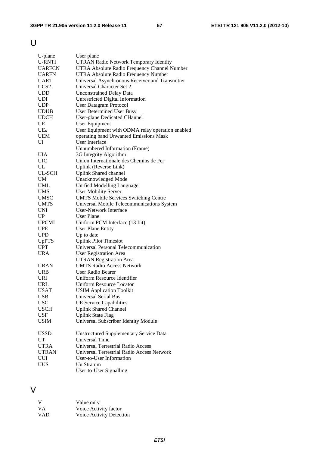U

| U-plane          | User plane                                                      |
|------------------|-----------------------------------------------------------------|
| <b>U-RNTI</b>    | <b>UTRAN Radio Network Temporary Identity</b>                   |
| <b>UARFCN</b>    | UTRA Absolute Radio Frequency Channel Number                    |
| <b>UARFN</b>     | UTRA Absolute Radio Frequency Number                            |
| <b>UART</b>      | Universal Asynchronous Receiver and Transmitter                 |
| UCS <sub>2</sub> | Universal Character Set 2                                       |
|                  |                                                                 |
| <b>UDD</b>       | <b>Unconstrained Delay Data</b>                                 |
| <b>UDI</b>       | Unrestricted Digital Information                                |
| <b>UDP</b>       | <b>User Datagram Protocol</b>                                   |
| <b>UDUB</b>      | <b>User Determined User Busy</b>                                |
| <b>UDCH</b>      | <b>User-plane Dedicated CHannel</b>                             |
| UE               | <b>User Equipment</b>                                           |
| $UE_R$           | User Equipment with ODMA relay operation enabled                |
| <b>UEM</b>       | operating band Unwanted Emissions Mask                          |
| UI               | <b>User Interface</b>                                           |
|                  | Unnumbered Information (Frame)                                  |
| UIA              | 3G Integrity Algorithm                                          |
| UIC              | Union Internationale des Chemins de Fer                         |
| UL               | Uplink (Reverse Link)                                           |
| UL-SCH           | <b>Uplink Shared channel</b>                                    |
| <b>UM</b>        | Unacknowledged Mode                                             |
| <b>UML</b>       | <b>Unified Modelling Language</b>                               |
| <b>UMS</b>       | <b>User Mobility Server</b>                                     |
| <b>UMSC</b>      | <b>UMTS Mobile Services Switching Centre</b>                    |
| <b>UMTS</b>      | Universal Mobile Telecommunications System                      |
| <b>UNI</b>       | User-Network Interface                                          |
| UP               | User Plane                                                      |
| <b>UPCMI</b>     | Uniform PCM Interface (13-bit)                                  |
| <b>UPE</b>       | <b>User Plane Entity</b>                                        |
| <b>UPD</b>       | Up to date                                                      |
| <b>UpPTS</b>     | <b>Uplink Pilot Timeslot</b>                                    |
| <b>UPT</b>       | Universal Personal Telecommunication                            |
| <b>URA</b>       |                                                                 |
|                  | <b>User Registration Area</b><br><b>UTRAN Registration Area</b> |
|                  |                                                                 |
| <b>URAN</b>      | <b>UMTS Radio Access Network</b>                                |
| <b>URB</b>       | User Radio Bearer                                               |
| <b>URI</b>       | Uniform Resource Identifier                                     |
| <b>URL</b>       | <b>Uniform Resource Locator</b>                                 |
| USAT             | <b>USIM Application Toolkit</b>                                 |
| <b>USB</b>       | <b>Universal Serial Bus</b>                                     |
| <b>USC</b>       | <b>UE Service Capabilities</b>                                  |
| <b>USCH</b>      | <b>Uplink Shared Channel</b>                                    |
| <b>USF</b>       | <b>Uplink State Flag</b>                                        |
| <b>USIM</b>      | Universal Subscriber Identity Module                            |
| <b>USSD</b>      | <b>Unstructured Supplementary Service Data</b>                  |
| UT               | Universal Time                                                  |
| <b>UTRA</b>      | <b>Universal Terrestrial Radio Access</b>                       |
| <b>UTRAN</b>     | Universal Terrestrial Radio Access Network                      |
| UUI              | <b>User-to-User Information</b>                                 |
| UUS              | Uu Stratum                                                      |
|                  | User-to-User Signalling                                         |
|                  |                                                                 |

### V

| V          | Value only               |
|------------|--------------------------|
| <b>VA</b>  | Voice Activity factor    |
| <b>VAD</b> | Voice Activity Detection |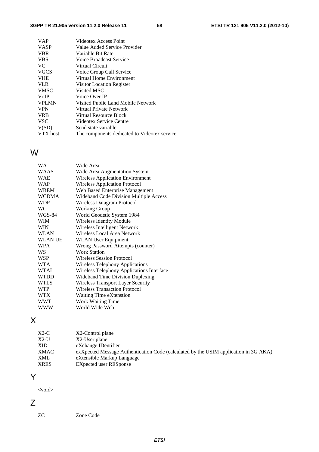| <b>VAP</b>   | Videotex Access Point                        |
|--------------|----------------------------------------------|
| <b>VASP</b>  | Value Added Service Provider                 |
| <b>VBR</b>   | Variable Bit Rate                            |
| <b>VBS</b>   | Voice Broadcast Service                      |
| VC.          | Virtual Circuit                              |
| <b>VGCS</b>  | Voice Group Call Service                     |
| <b>VHE</b>   | Virtual Home Environment                     |
| <b>VLR</b>   | Visitor Location Register                    |
| <b>VMSC</b>  | Visited MSC                                  |
| <b>V</b> oIP | Voice Over IP                                |
| <b>VPLMN</b> | Visited Public Land Mobile Network           |
| <b>VPN</b>   | Virtual Private Network                      |
| <b>VRB</b>   | Virtual Resource Block                       |
| <b>VSC</b>   | Videotex Service Centre                      |
| V(SD)        | Send state variable                          |
| VTX host     | The components dedicated to Videotex service |
|              |                                              |

### W

| WA             | Wide Area                                 |
|----------------|-------------------------------------------|
| WAAS           | Wide Area Augmentation System             |
| WAE            | <b>Wireless Application Environment</b>   |
| WAP            | <b>Wireless Application Protocol</b>      |
| WBEM           | Web Based Enterprise Management           |
| <b>WCDMA</b>   | Wideband Code Division Multiple Access    |
| <b>WDP</b>     | Wireless Datagram Protocol                |
| WG             | <b>Working Group</b>                      |
| WGS-84         | World Geodetic System 1984                |
| WIM            | <b>Wireless Identity Module</b>           |
| WIN            | Wireless Intelligent Network              |
| WLAN           | Wireless Local Area Network               |
| <b>WLAN UE</b> | <b>WLAN</b> User Equipment                |
| <b>WPA</b>     | Wrong Password Attempts (counter)         |
| WS             | <b>Work Station</b>                       |
| WSP            | <b>Wireless Session Protocol</b>          |
| WTA            | <b>Wireless Telephony Applications</b>    |
| WTAI           | Wireless Telephony Applications Interface |
| WTDD           | <b>Wideband Time Division Duplexing</b>   |
| <b>WTLS</b>    | <b>Wireless Transport Layer Security</b>  |
| <b>WTP</b>     | <b>Wireless Transaction Protocol</b>      |
| WTX            | Waiting Time eXtenstion                   |
| WWT            | Work Waiting Time                         |
| <b>WWW</b>     | World Wide Web                            |
|                |                                           |

### X

| exXpected Message Authentication Code (calculated by the USIM application in 3G AKA) |
|--------------------------------------------------------------------------------------|
|                                                                                      |

### Y

<void>

Z

$$
\angle
$$

ZC Zone Code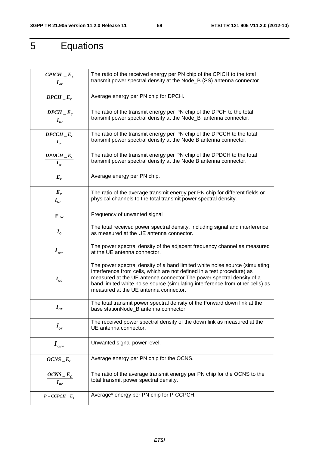## 5 Equations

| $CPICH$ $E_c$<br>$I_{\alpha r}$                                      | The ratio of the received energy per PN chip of the CPICH to the total<br>transmit power spectral density at the Node_B (SS) antenna connector.                                                                                                                                                                                                          |
|----------------------------------------------------------------------|----------------------------------------------------------------------------------------------------------------------------------------------------------------------------------------------------------------------------------------------------------------------------------------------------------------------------------------------------------|
| $DPCH$ <sub>_</sub> E <sub>c</sub>                                   | Average energy per PN chip for DPCH.                                                                                                                                                                                                                                                                                                                     |
| $DPCH$ <sub>-</sub> $E_c$<br>$I_{or}$                                | The ratio of the transmit energy per PN chip of the DPCH to the total<br>transmit power spectral density at the Node_B antenna connector.                                                                                                                                                                                                                |
| $DPCCH$ <sub><math>-E_c</math></sub><br>$I_{\scriptscriptstyle{or}}$ | The ratio of the transmit energy per PN chip of the DPCCH to the total<br>transmit power spectral density at the Node B antenna connector.                                                                                                                                                                                                               |
| $DPDCH$ <sub><math>-E_c</math></sub><br>$I_{\scriptscriptstyle{or}}$ | The ratio of the transmit energy per PN chip of the DPDCH to the total<br>transmit power spectral density at the Node B antenna connector.                                                                                                                                                                                                               |
| $E_c$                                                                | Average energy per PN chip.                                                                                                                                                                                                                                                                                                                              |
| $\frac{E_c}{I_{or}}$                                                 | The ratio of the average transmit energy per PN chip for different fields or<br>physical channels to the total transmit power spectral density.                                                                                                                                                                                                          |
| $F_{uw}$                                                             | Frequency of unwanted signal                                                                                                                                                                                                                                                                                                                             |
| I <sub>o</sub>                                                       | The total received power spectral density, including signal and interference,<br>as measured at the UE antenna connector.                                                                                                                                                                                                                                |
| $\bm{I}_{\mathit{oac}}$                                              | The power spectral density of the adjacent frequency channel as measured<br>at the UE antenna connector.                                                                                                                                                                                                                                                 |
| $I_{oc}$                                                             | The power spectral density of a band limited white noise source (simulating<br>interference from cells, which are not defined in a test procedure) as<br>measured at the UE antenna connector. The power spectral density of a<br>band limited white noise source (simulating interference from other cells) as<br>measured at the UE antenna connector. |
| $I_{or}$                                                             | The total transmit power spectral density of the Forward down link at the<br>base stationNode B antenna connector.                                                                                                                                                                                                                                       |
| $\hat{I}_{or}$                                                       | The received power spectral density of the down link as measured at the<br>UE antenna connector.                                                                                                                                                                                                                                                         |
| $I_{\scriptscriptstyle \textit{ouw}}$                                | Unwanted signal power level.                                                                                                                                                                                                                                                                                                                             |
| $OCNS$ <sub>-E<sub>c</sub></sub>                                     | Average energy per PN chip for the OCNS.                                                                                                                                                                                                                                                                                                                 |
| $OCNS$ <sub>-</sub> $E_c$<br>$I_{or}$                                | The ratio of the average transmit energy per PN chip for the OCNS to the<br>total transmit power spectral density.                                                                                                                                                                                                                                       |
| $P - CCPCH$ <sub>-E<sub>c</sub></sub>                                | Average* energy per PN chip for P-CCPCH.                                                                                                                                                                                                                                                                                                                 |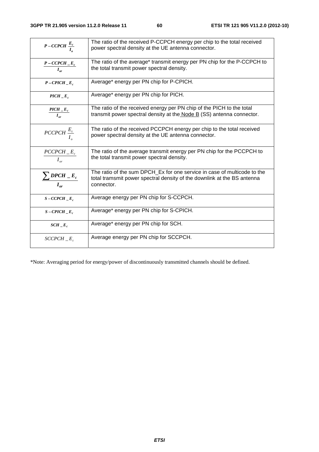| $P-CCPCH \frac{E_c}{I_c}$                          | The ratio of the received P-CCPCH energy per chip to the total received<br>power spectral density at the UE antenna connector.                                    |
|----------------------------------------------------|-------------------------------------------------------------------------------------------------------------------------------------------------------------------|
| $P$ – CCPCH $\_E_c$<br>$I_{\alpha r}$              | The ratio of the average* transmit energy per PN chip for the P-CCPCH to<br>the total transmit power spectral density.                                            |
| $P-CPICH$ <sub><math>-E_c</math></sub>             | Average* energy per PN chip for P-CPICH.                                                                                                                          |
| $PICH$ <sub><math>-E_c</math></sub>                | Average* energy per PN chip for PICH.                                                                                                                             |
| $PICH$ <sub>-E<sub>c</sub></sub><br>$I_{\alpha r}$ | The ratio of the received energy per PN chip of the PICH to the total<br>transmit power spectral density at the Node B (SS) antenna connector.                    |
| PCCPCH $\frac{E_c}{I_a}$                           | The ratio of the received PCCPCH energy per chip to the total received<br>power spectral density at the UE antenna connector.                                     |
| $\frac{PCCPCH - E_c}{P}$<br>$I_{\alpha r}$         | The ratio of the average transmit energy per PN chip for the PCCPCH to<br>the total transmit power spectral density.                                              |
| $\sum$ DPCH $\_E_c$<br>$I_{\alpha r}$              | The ratio of the sum DPCH Ex for one service in case of multicode to the<br>total tramsmit power spectral density of the downlink at the BS antenna<br>connector. |
| $S$ – CCPCH $E_c$                                  | Average energy per PN chip for S-CCPCH.                                                                                                                           |
| $S$ – CPICH $E_c$                                  | Average* energy per PN chip for S-CPICH.                                                                                                                          |
| $SCH\_E_c$                                         | Average* energy per PN chip for SCH.                                                                                                                              |
| $SCCPCH$ $E_c$                                     | Average energy per PN chip for SCCPCH.                                                                                                                            |

\*Note: Averaging period for energy/power of discontinuously transmitted channels should be defined.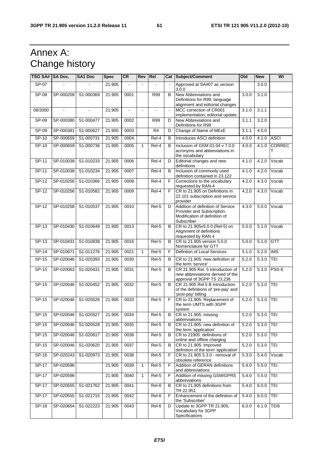### Annex A: Change history

| TSG SA# SA Doc. |           | <b>SA1 Doc</b>      | <b>Spec</b> | <b>CR</b>             | Rev          | Rel            |    | Cat Subject/Comment                                                                                            | Old   | <b>New</b> | WI                 |
|-----------------|-----------|---------------------|-------------|-----------------------|--------------|----------------|----|----------------------------------------------------------------------------------------------------------------|-------|------------|--------------------|
| $SP-07$         |           |                     | 21.905      |                       |              |                |    | Approved at SA#07 as version<br>3.0.0                                                                          |       | 3.0.0      |                    |
| $SP-08$         | SP-000209 | S1-000369           | 21.905      | 0001                  |              | <b>R99</b>     | B  | New Abbreviations and<br>Definitions for R99, language<br>alignment and editorial changes                      | 3.0.0 | 3.1.0      |                    |
| 08/2000         |           |                     | 21.905      | $\tilde{\phantom{a}}$ | $\mathbf{r}$ |                |    | MCC correction of CR001<br>implementation; editorial update.                                                   | 3.1.0 | 3.1.1      |                    |
| $SP-09$         | SP-000380 | S1-000477           | 21.905      | 0002                  |              | R99            | D  | New Abbreviations and<br>Definitions for R99                                                                   | 3.1.1 | 3.2.0      |                    |
| SP-09           | SP-000381 | S1-000627           | 21.905      | 0003                  |              | R <sub>4</sub> | D  | Change of Name of MExE                                                                                         | 3.1.1 | 4.0.0      |                    |
| $SP-10$         | SP-000659 | S1-000731           | 21.905      | 0004                  |              | $Rel-4$        | B  | Introduces ASCI definition                                                                                     | 4.0.0 | 4.1.0      | ASCI               |
| $SP-10$         | SP-000659 | S1-000736           | 21.905      | 0005                  | $\mathbf{1}$ | $Rel-4$        | B  | Inclusion of GSM 01.04 v 7.0.0<br>acronyms and abbreviations in<br>the vocabulary                              | 4.0.0 | 4.1.0      | <b>CORREC</b><br>т |
| $SP-11$         | SP-010038 | S1-010233           | 21.905      | 0006                  |              | Rel-4          | D  | Editorial changes and new<br>definitions                                                                       | 4.1.0 | 4.2.0      | Vocab              |
| $SP-11$         | SP-010038 | S1-010234           | 21.905      | 0007                  |              | $Rel-4$        | B  | Inclusion of commonly used<br>definition contained in 23.122                                                   | 4.1.0 | 4.2.0      | Vocab              |
| SP-12           | SP-010256 | S1-010366           | 21.905      | 0008                  |              | Rel-4          | F  | Corrections to the vocabulary<br>requested by RAN-4                                                            | 4.2.0 | 4.3.0      | Vocab              |
| $SP-12$         | SP-010256 | S1-010582           | 21.905      | 0009                  |              | $Rel-4$        | F  | CR to 21.905 on Definitions in<br>22.101 subscription and service<br>provider                                  | 4.2.0 | 4.3.0      | Vocab              |
| $SP-12$         | SP-010258 | S1-010537           | 21.905      | 0010                  |              | $Rel-5$        | D  | Addition of definition of Service<br>Provider and Subscription.<br>Modification of definition of<br>Subscriber | 4.3.0 | 5.0.0      | Vocab              |
| SP-13           | SP-010430 | S1-010649           | 21.905      | 0013                  |              | Rel-5          | B  | CR to 21.905v5.0.0 (Rel-5) on<br>Alignment of definitions<br>requested by RAN 4                                | 5.0.0 | 5.1.0      | Vocab              |
| SP-13           | SP-010431 | S1-010838           | 21.905      | 0016                  |              | Rel-5          | B  | CR to 21.905 version 5.0.0<br>Nomenclature for GTT                                                             | 5.0.0 | 5.1.0      | <b>GTT</b>         |
| SP-14           | SP-010671 | S1-011276           | 21.905      | 0021                  | $\mathbf{1}$ | Rel-5          | F  | Defintion of Local Services                                                                                    | 5.1.0 | 5.2.0      | <b>IMS</b>         |
| $SP-15$         | SP-020046 | S1-020393           | 21.905      | 0030                  |              | Rel-5          | B  | CR to 21.905: new definition of<br>the term 'service'                                                          | 5.2.0 | 5.3.0      | <b>TEI</b>         |
| $SP-15$         | SP-020063 | S1-020431           | 21.905      | 0031                  |              | $Rel-5$        | B  | CR 21.905 Rel. 5 Introduction of<br>new abbreviations derived of the<br>approval of 3GPP TS 23.236             | 5.2.0 | 5.3.0      | PSS-E              |
| $SP-15$         | SP-020046 | S1-020452           | 21.905      | 0032                  |              | $Rel-5$        | B  | CR 21.905 Rel.5 B Introduction<br>of the definitions of 'pre-pay' and<br>'post-pay' billing                    | 5.2.0 | 5.3.0      | TEI                |
| $SP-15$         | SP-020046 | S1-020526           | 21.905      | 0033                  |              | Rel-5          | F. | CR to 21.905: Replacement of<br>the term UMTS with 3GPP<br>system                                              | 5.2.0 | 5.3.0      | TEI                |
| $SP-15$         |           | SP-020046 S1-020527 | 21.905      | 0034                  |              | Rel-5          | B  | CR to 21.905: missing<br>abbreviations                                                                         | 5.2.0 | 5.3.0 TEI  |                    |
| $SP-15$         | SP-020046 | S1-020528           | 21.905      | 0035                  |              | Rel-5          | B  | CR to 21.905: new definition of<br>the term 'application'                                                      | 5.2.0 | 5.3.0      | TEI                |
| SP-15           | SP-020046 | S1-020617           | 21.905      | 0036                  |              | Rel-5          | B  | CR to 21905: definitions of<br>online and offline charging                                                     | 5.2.0 | 5.3.0      | TEI                |
| SP-15           | SP-020046 | S1-020620           | 21.905      | 0037                  |              | Rel-5          | B  | CR to 21.905: Improved<br>definition of the term 'application'                                                 | 5.2.0 | 5.3.0      | TEI                |
| $SP-16$         | SP-020243 | S1-020973           | 21.905      | 0038                  |              | Rel-5          | F  | CR to 21.905 5.3.0 - removal of<br>obsolete reference                                                          | 5.3.0 | 5.4.0      | Vocab              |
| $SP-17$         | SP-020596 |                     | 21.905      | 0039                  | 1            | $Rel-5$        | F  | Addition of GERAN definitions<br>and abbreviations                                                             | 5.4.0 | 5.5.0      | TEI                |
| $SP-17$         | SP-020596 |                     | 21.905      | 0040                  | $\mathbf{1}$ | Rel-5          | F  | Addition of missing GSM/GPRS<br>abbreviations                                                                  | 5.4.0 | 5.5.0      | TEI                |
| $SP-17$         | SP-020555 | S1-021762           | 21.905      | 0041                  |              | Rel-6          | B  | CR to 21.905 definitions from<br>TR 22.951                                                                     | 5.4.0 | 6.0.0      | TEI                |
| $SP-17$         | SP-020555 | S1-021715           | 21.905      | 0042                  |              | Rel-6          | F  | Enhancement of the definition of<br>the 'Subscriber'                                                           | 5.4.0 | 6.0.0      | TEI                |
| $SP-18$         | SP-020654 | S1-022223           | 21.905      | 0043                  |              | Rel-6          | D  | Update to 3GPP TR 21.905,<br>Vocabulary for 3GPP<br>Specifications                                             | 6.0.0 | 6.1.0      | TEI6               |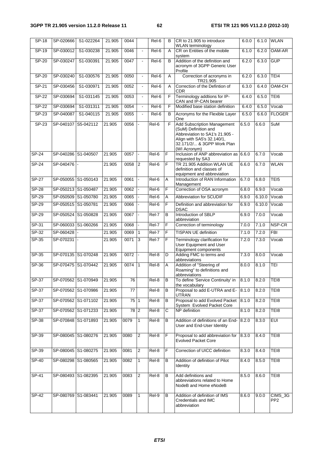| $SP-18$      | SP-020666           | S1-022264           | 21.905 | 0044 |                | Rel-6              | B  | CR to 21.905 to introduce<br><b>WLAN</b> terminology                                                                                                                     | 6.0.0 | 6.1.0  | <b>WLAN</b>                |
|--------------|---------------------|---------------------|--------|------|----------------|--------------------|----|--------------------------------------------------------------------------------------------------------------------------------------------------------------------------|-------|--------|----------------------------|
| $SP-19$      | SP-030012           | S1-030238           | 21.905 | 0046 | $\blacksquare$ | $Rel-6$            | A  | CR on Entities of the mobile<br>system                                                                                                                                   | 6.1.0 | 6.2.0  | OAM-AR                     |
| SP-20        | SP-030247           | S1-030391           | 21.905 | 0047 | ä,             | Rel-6              | B  | Addition of the definition and<br>acronym of 3GPP Generic User<br>Profile                                                                                                | 6.2.0 | 6.3.0  | GUP                        |
| $SP-20$      | SP-030240           | S1-030576           | 21.905 | 0050 | $\blacksquare$ | Rel-6              | A  | Correction of acronyms in<br>TR21.905                                                                                                                                    | 6.2.0 | 6.3.0  | TEI4                       |
| $SP-21$      | SP-030456           | S1-030971           | 21.905 | 0052 | $\blacksquare$ | Rel-6              | A  | Correction of the Defintion of<br>CDR                                                                                                                                    | 6.3.0 | 6.4.0  | OAM-CH                     |
| SP-22        | SP-030694           | S1-031145           | 21.905 | 0053 | $\blacksquare$ | Rel-6              | F  | Terminology addtions for IP-<br>CAN and IP-CAN bearer                                                                                                                    | 6.4.0 | 6.5.0  | TEI6                       |
| $SP-22$      | SP-030694           | S1-031311           | 21.905 | 0054 | ÷.             | Rel-6              | F  | Modified base station definition                                                                                                                                         | 6.4.0 | 6.5.0  | Vocab                      |
| SP-23        | SP-040087           | S1-040115           | 21.905 | 0055 | $\Box$         | $Rel-6$            | В  | Acronyms for the Flexible Layer<br>One                                                                                                                                   | 6.5.0 | 6.6.0  | <b>FLOGER</b>              |
| SP-23        | SP-040107           | S5-042112           | 21.905 | 0056 | $\overline{a}$ | Rel-6              | F. | <b>Add Subscription Management</b><br>(SuM) Definition and<br>Abbreviation to SA1's 21.905 -<br>Align with SA5's 32.140/1,<br>32.171/2/ & 3GPP Work Plan<br>(WI Acronym) | 6.5.0 | 6.6.0  | SuM                        |
| $SP-24$      | SP-040286 S1-040507 |                     | 21.905 | 0057 | $\overline{a}$ | Rel-6              | F  | Inclusion of ANP abbreviation as 6.6.0<br>requested by SA3                                                                                                               |       | 6.7.0  | Vocab                      |
| $SP-24$      | SP-040476           |                     | 21.905 | 0058 | $\overline{2}$ | Rel-6              | F  | TR 21.905 Addition WLAN UE<br>definition and classes of<br>equipment and abbreviation                                                                                    | 6.6.0 | 6.7.0  | <b>WLAN</b>                |
| <b>SP-27</b> | SP-050055 S1-050143 |                     | 21.905 | 0061 | $\overline{a}$ | Rel-6              | Α  | Introduction of RAN Information<br>Management                                                                                                                            | 6.7.0 | 6.8.0  | TEI5                       |
| $SP-28$      | SP-050213 S1-050487 |                     | 21.905 | 0062 |                | Rel-6              | F  | Correction of OSA acronym                                                                                                                                                | 6.8.0 | 6.9.0  | Vocab                      |
| $SP-29$      | SP-050509 S1-050780 |                     | 21.905 | 0065 |                | $Rel-6$            | A  | Abbreviation for SCUDIF                                                                                                                                                  | 6.9.0 | 6.10.0 | Vocab                      |
| $SP-29$      | SP-050515 S1-050781 |                     | 21.905 | 0066 | $\blacksquare$ | Rel-6              | F  | Definition and abbreviation for<br><b>DSAC</b>                                                                                                                           | 6.9.0 | 6.10.0 | Vocab                      |
| $SP-29$      | SP-050524 S1-050828 |                     | 21.905 | 0067 | $\overline{a}$ | $ReI-7$            | B  | Introduction of SBLP<br>abbreviation                                                                                                                                     | 6.9.0 | 7.0.0  | Vocab                      |
| $SP-31$      | SP-060033 S1-060266 |                     | 21.905 | 0068 |                | Rel-7              | F  | Correction of terminology                                                                                                                                                | 7.0.0 | 7.1.0  | NSP-CR                     |
| SP-32        | SP-060428           |                     | 21.905 | 0069 | $\mathbf{1}$   | $ReI-7$            | F  | <b>TISPAN UE definition</b>                                                                                                                                              | 7.1.0 | 7.2.0  | <b>FBI</b>                 |
| $SP-35$      | SP-070231           |                     | 21.905 | 0071 | 3              | Rel-7              | F  | Terminology clarification for<br>User Equipment and User<br>Equipment components                                                                                         | 7.2.0 | 7.3.0  | Vocab                      |
| $SP-35$      | SP-070135 S1-070248 |                     | 21.905 | 0072 | ÷,             | Rel-8              | D  | Adding FMC to terms and<br>abbreviations                                                                                                                                 | 7.3.0 | 8.0.0  | Vocab                      |
| SP-36        | SP-070475 S1-070442 |                     | 21.905 | 0074 | 1              | Rel-8              | A  | Addition of "Steering of<br>Roaming" to definitions and<br>abbreviations                                                                                                 | 8.0.0 | 8.1.0  | TEI                        |
| SP-37        | SP-070562 S1-070949 |                     | 21.905 | 76   |                | Rel-8              | B  | To define 'Service Continuity' in<br>the vocabulary                                                                                                                      | 8.1.0 | 8.2.0  | TEI8                       |
| $SP-37$      |                     | SP-070562 S1-070986 | 21.905 | 77   |                | Rel-8              | B  | Proposal to add E-UTRA and E-<br>UTRAN                                                                                                                                   | 8.1.0 | 8.2.0  | TEI8                       |
| $SP-37$      |                     | SP-070562 S1-071102 | 21.905 | 75 1 |                | Rel-8              | B  | Proposal to add Evolved Packet<br>System Evolved Packet Core                                                                                                             | 8.1.0 | 8.2.0  | TEI8                       |
| SP-37        | SP-070562 S1-071233 |                     | 21.905 | 78 2 |                | Rel-8              | С  | NP definition                                                                                                                                                            | 8.1.0 | 8.2.0  | TEI8                       |
| SP-38        |                     | SP-070848 S1-071893 | 21.905 | 0079 | 1              | $\overline{Rel-8}$ | B  | Addition of definitions of an End-<br>User and End-User Identity                                                                                                         | 8.2.0 | 8.3.0  | <b>EUI</b>                 |
| SP-39        | SP-080045 S1-080276 |                     | 21.905 | 0080 | $\overline{2}$ | Rel-8              | F  | Proposal to add abbreviation for<br><b>Evolved Packet Core</b>                                                                                                           | 8.3.0 | 8.4.0  | TEI8                       |
| SP-39        | SP-080045           | S1-080275           | 21.905 | 0081 | $\overline{c}$ | Rel-8              | F  | Correction of UICC definition                                                                                                                                            | 8.3.0 | 8.4.0  | TEI8                       |
| $SP-40$      | SP-080298 S1-080565 |                     | 21.905 | 0082 | $\mathbf{1}$   | Rel-8              | В  | Addition of definition of Pilot<br>Identity                                                                                                                              | 8.4.0 | 8.5.0  | TEI8                       |
| SP-41        |                     | SP-080493 S1-082395 | 21.905 | 0083 | $\overline{2}$ | Rel-8              | B  | Add definitions and<br>abbreviations related to Home<br>NodeB and Home eNodeB                                                                                            | 8.5.0 | 8.6.0  | TEI8                       |
| SP-42        | SP-080769 S1-083441 |                     | 21.905 | 0089 | 1              | Rel-9              | B  | Addition of definition of IMS<br>Credentials and IMC<br>abbreviation                                                                                                     | 8.6.0 | 9.0.0  | CIMS_3G<br>PP <sub>2</sub> |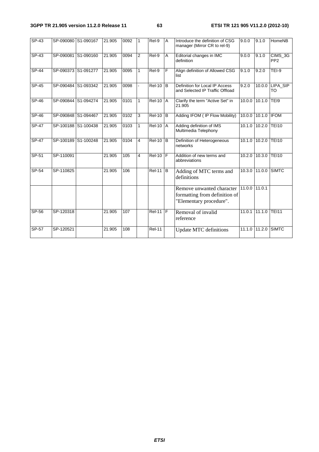#### **3GPP TR 21.905 version 11.2.0 Release 11 63 ETSI TR 121 905 V11.2.0 (2012-10)**

| $SP-43$      |           | SP-090080 S1-090167 | 21.905 | 0092 | $\mathbf{1}$   | Rel-9         | $\overline{A}$ | Introduce the definition of CSG<br>manager (Mirror CR to rel-9)                       | 9.0.0         | 9.1.0         | HomeNB                     |
|--------------|-----------|---------------------|--------|------|----------------|---------------|----------------|---------------------------------------------------------------------------------------|---------------|---------------|----------------------------|
| SP-43        |           | SP-090081 S1-090160 | 21.905 | 0094 | 2              | Rel-9         | A              | Editorial changes in IMC<br>definition                                                | 9.0.0         | 9.1.0         | CIMS_3G<br>PP <sub>2</sub> |
| <b>SP-44</b> |           | SP-090373 S1-091277 | 21.905 | 0095 | $\mathbf{1}$   | Rel-9         | E              | Align definition of Allowed CSG<br>list                                               | 9.1.0         | 9.2.0         | TEI-9                      |
| $SP-45$      |           | SP-090484 S1-093342 | 21.905 | 0098 |                | $ReI-10$ B    |                | Definition for Local IP Access<br>and Selected IP Traffic Offload                     | 9.2.0         |               | 10.0.0 LIPA SIP<br>TO      |
| SP-46        |           | SP-090844 S1-094274 | 21.905 | 0101 | $\mathbf{1}$   | <b>Rel-10</b> | A              | Clarify the term "Active Set" in<br>21.905                                            |               | 10.0.0 10.1.0 | TEI9                       |
| $SP-46$      |           | SP-090848 S1-094467 | 21.905 | 0102 | 3              | $Rel-10$      | B              | Adding IFOM ( IP Flow Mobility)                                                       | 10.0.0        | 10.1.0        | <b>IFOM</b>                |
| $SP-47$      |           | SP-100188 S1-100438 | 21.905 | 0103 | $\mathbf{1}$   | $Rel-10$      | A              | Adding definition of IMS<br>Multimedia Telephony                                      |               | 10.1.0 10.2.0 | <b>TEI10</b>               |
| $SP-47$      |           | SP-100189 S1-100248 | 21.905 | 0104 | $\overline{4}$ | $Rel-10$ B    |                | Definition of Heterogeneous<br>networks                                               |               | 10.1.0 10.2.0 | <b>TEI10</b>               |
| SP-51        | SP-110091 |                     | 21.905 | 105  | 4              | <b>Rel-10</b> | F              | Addition of new terms and<br>abbreviations                                            |               | 10.2.0 10.3.0 | <b>TEI10</b>               |
| SP-54        | SP-110825 |                     | 21.905 | 106  |                | $Rel-11$ $B$  |                | Adding of MTC terms and<br>definitions                                                |               | 10.3.0 11.0.0 | <b>SIMTC</b>               |
|              |           |                     |        |      |                |               |                | Remove unwanted character<br>formatting from definition of<br>"Elementary procedure". | 11.0.0 11.0.1 |               |                            |
| SP-56        | SP-120318 |                     | 21.905 | 107  |                | <b>Rel-11</b> | F              | Removal of invalid<br>reference                                                       | 11.0.1        | 111.1.0       | <b>TEI11</b>               |
| $SP-57$      | SP-120521 |                     | 21.905 | 108  |                | $Rel-11$      |                | <b>Update MTC definitions</b>                                                         |               | 11.1.0 11.2.0 | <b>SIMTC</b>               |